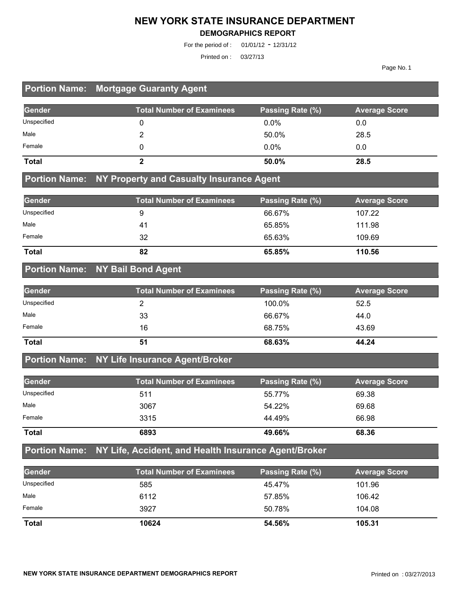#### **NEW YORK STATE INSURANCE DEPARTMENT**

#### **DEMOGRAPHICS REPORT**

For the period of : 01/01/12 - 12/31/12

Printed on : 03/27/13

Page No. 1

## **Portion Name: Mortgage Guaranty Agent**

| Gender       | <b>Total Number of Examinees</b> | Passing Rate (%) | <b>Average Score</b> |
|--------------|----------------------------------|------------------|----------------------|
| Unspecified  |                                  | $0.0\%$          | 0.0                  |
| Male         |                                  | 50.0%            | 28.5                 |
| Female       |                                  | $0.0\%$          | 0.0                  |
| <b>Total</b> |                                  | 50.0%            | 28.5                 |

#### **Portion Name: NY Property and Casualty Insurance Agent**

| Gender       | <b>Total Number of Examinees</b> | Passing Rate (%) | <b>Average Score</b> |
|--------------|----------------------------------|------------------|----------------------|
| Unspecified  |                                  | 66.67%           | 107.22               |
| Male         | 41                               | 65.85%           | 111.98               |
| Female       | 32                               | 65.63%           | 109.69               |
| <b>Total</b> | 82                               | 65.85%           | 110.56               |

#### **Portion Name: NY Bail Bond Agent**

| Gender       | <b>Total Number of Examinees</b> | Passing Rate (%) | <b>Average Score</b> |
|--------------|----------------------------------|------------------|----------------------|
| Unspecified  |                                  | 100.0%           | 52.5                 |
| Male         | 33                               | 66.67%           | 44.0                 |
| Female       | 16                               | 68.75%           | 43.69                |
| <b>Total</b> | 51                               | 68.63%           | 44.24                |

#### **Portion Name: NY Life Insurance Agent/Broker**

| Gender       | <b>Total Number of Examinees</b> | Passing Rate (%) | <b>Average Score</b> |
|--------------|----------------------------------|------------------|----------------------|
| Unspecified  | 511                              | 55.77%           | 69.38                |
| Male         | 3067                             | 54.22%           | 69.68                |
| Female       | 3315                             | 44.49%           | 66.98                |
| <b>Total</b> | 6893                             | 49.66%           | 68.36                |

## **Portion Name: NY Life, Accident, and Health Insurance Agent/Broker**

| <b>Gender</b> | <b>Total Number of Examinees</b> | Passing Rate (%) | <b>Average Score</b> |
|---------------|----------------------------------|------------------|----------------------|
| Unspecified   | 585                              | 45.47%           | 101.96               |
| Male          | 6112                             | 57.85%           | 106.42               |
| Female        | 3927                             | 50.78%           | 104.08               |
| <b>Total</b>  | 10624                            | 54.56%           | 105.31               |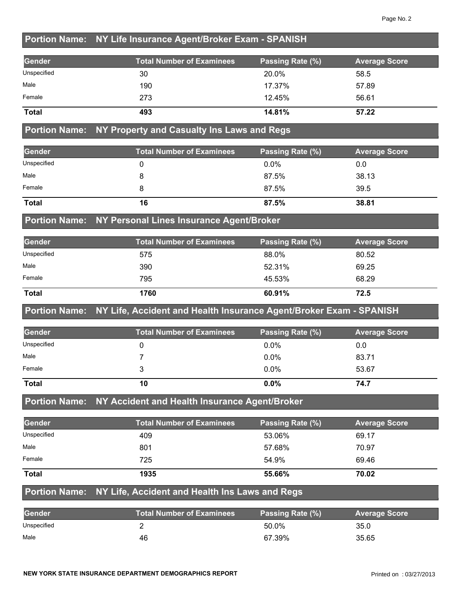## **Portion Name: NY Life Insurance Agent/Broker Exam - SPANISH**

| Gender       | <b>Total Number of Examinees</b> | Passing Rate (%) | <b>Average Score</b> |
|--------------|----------------------------------|------------------|----------------------|
| Unspecified  | 30                               | 20.0%            | 58.5                 |
| Male         | 190                              | 17.37%           | 57.89                |
| Female       | 273                              | 12.45%           | 56.61                |
| <b>Total</b> | 493                              | 14.81%           | 57.22                |

#### **Portion Name: NY Property and Casualty Ins Laws and Regs**

| Gender       | <b>Total Number of Examinees</b> | Passing Rate (%) | <b>Average Score</b> |
|--------------|----------------------------------|------------------|----------------------|
| Unspecified  |                                  | $0.0\%$          | 0.0                  |
| Male         |                                  | 87.5%            | 38.13                |
| Female       |                                  | 87.5%            | 39.5                 |
| <b>Total</b> | 16                               | 87.5%            | 38.81                |

#### **Portion Name: NY Personal Lines Insurance Agent/Broker**

| Gender       | <b>Total Number of Examinees</b> | Passing Rate (%) | <b>Average Score</b> |
|--------------|----------------------------------|------------------|----------------------|
| Unspecified  | 575                              | 88.0%            | 80.52                |
| Male         | 390                              | 52.31%           | 69.25                |
| Female       | 795                              | 45.53%           | 68.29                |
| <b>Total</b> | 1760                             | 60.91%           | 72.5                 |

#### **Portion Name: NY Life, Accident and Health Insurance Agent/Broker Exam - SPANISH**

| Gender       | <b>Total Number of Examinees</b> | Passing Rate (%) | <b>Average Score</b> |
|--------------|----------------------------------|------------------|----------------------|
| Unspecified  |                                  | $0.0\%$          | 0.0                  |
| Male         |                                  | $0.0\%$          | 83.71                |
| Female       |                                  | $0.0\%$          | 53.67                |
| <b>Total</b> | 10                               | $0.0\%$          | 74.7                 |

## **Portion Name: NY Accident and Health Insurance Agent/Broker**

| Gender       | <b>Total Number of Examinees</b> | Passing Rate (%) | <b>Average Score</b> |
|--------------|----------------------------------|------------------|----------------------|
| Unspecified  | 409                              | 53.06%           | 69.17                |
| Male         | 801                              | 57.68%           | 70.97                |
| Female       | 725                              | 54.9%            | 69.46                |
| <b>Total</b> | 1935                             | 55.66%           | 70.02                |

#### **Portion Name: NY Life, Accident and Health Ins Laws and Regs**

| Gender      | <b>Total Number of Examinees</b> | Passing Rate (%) | <b>Average Score</b> |
|-------------|----------------------------------|------------------|----------------------|
| Unspecified |                                  | 50.0%            | 35.0                 |
| Male        | 46                               | 67.39%           | 35.65                |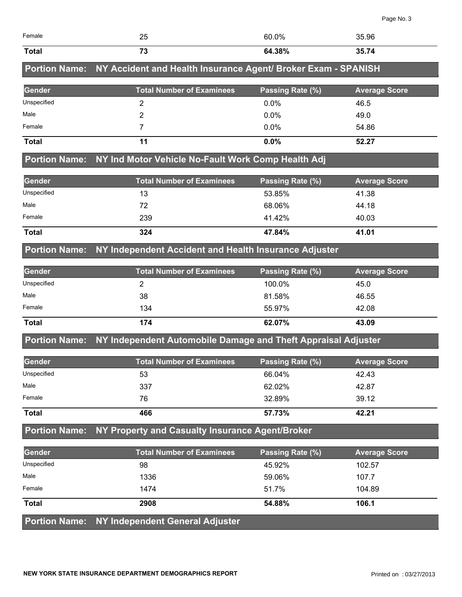| Female        | 25                                                                          | 60.0%            | 35.96                |
|---------------|-----------------------------------------------------------------------------|------------------|----------------------|
|               |                                                                             |                  |                      |
| <b>Total</b>  | 73                                                                          | 64.38%           | 35.74                |
|               | Portion Name: NY Accident and Health Insurance Agent/ Broker Exam - SPANISH |                  |                      |
| <b>Gender</b> | <b>Total Number of Examinees</b>                                            | Passing Rate (%) | <b>Average Score</b> |
| Unspecified   | 2                                                                           | $0.0\%$          | 46.5                 |
| Male          | 2                                                                           | $0.0\%$          | 49.0                 |
| Female        |                                                                             | $0.0\%$          | 54.86                |
| <b>Total</b>  | 11                                                                          | $0.0\%$          | 52.27                |
|               | Portion Name: NY Ind Motor Vehicle No-Fault Work Comp Health Adj            |                  |                      |
| <b>Gender</b> | <b>Total Number of Examinees</b>                                            | Passing Rate (%) | <b>Average Score</b> |
| Unspecified   | 13                                                                          | 53.85%           | 41.38                |
| Male          | 72                                                                          | 68.06%           | 44.18                |
| Female        | 239                                                                         | 41.42%           | 40.03                |
| <b>Total</b>  | 324                                                                         | 47.84%           | 41.01                |

#### **Portion Name: NY Independent Accident and Health Insurance Adjuster**

| Gender      | <b>Total Number of Examinees</b> | Passing Rate (%) | <b>Average Score</b> |
|-------------|----------------------------------|------------------|----------------------|
| Unspecified |                                  | 100.0%           | 45.0                 |
| Male        | 38                               | 81.58%           | 46.55                |
| Female      | 134                              | 55.97%           | 42.08                |
| Total       | 174                              | 62.07%           | 43.09                |

#### **Portion Name: NY Independent Automobile Damage and Theft Appraisal Adjuster**

| <b>Gender</b> | <b>Total Number of Examinees</b> | Passing Rate (%) | <b>Average Score</b> |
|---------------|----------------------------------|------------------|----------------------|
| Unspecified   | 53                               | 66.04%           | 42.43                |
| Male          | 337                              | 62.02%           | 42.87                |
| Female        | 76                               | 32.89%           | 39.12                |
| <b>Total</b>  | 466                              | 57.73%           | 42.21                |

#### **Portion Name: NY Property and Casualty Insurance Agent/Broker**

| Gender       | <b>Total Number of Examinees</b>              | Passing Rate (%) | <b>Average Score</b> |
|--------------|-----------------------------------------------|------------------|----------------------|
| Unspecified  | 98                                            | 45.92%           | 102.57               |
| Male         | 1336                                          | 59.06%           | 107.7                |
| Female       | 1474                                          | 51.7%            | 104.89               |
| <b>Total</b> | 2908                                          | 54.88%           | 106.1                |
|              | Portion Name: NY Independent General Adjuster |                  |                      |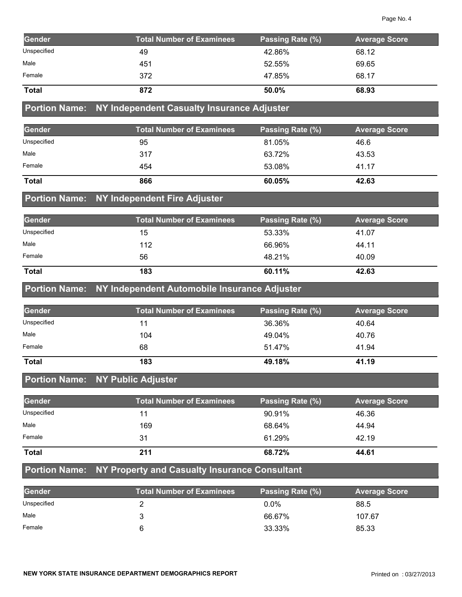| Gender       | <b>Total Number of Examinees</b> | Passing Rate (%) | <b>Average Score</b> |
|--------------|----------------------------------|------------------|----------------------|
| Unspecified  | 49                               | 42.86%           | 68.12                |
| Male         | 451                              | 52.55%           | 69.65                |
| Female       | 372                              | 47.85%           | 68.17                |
| <b>Total</b> | 872                              | 50.0%            | 68.93                |

#### **Portion Name: NY Independent Casualty Insurance Adjuster**

| Gender       | <b>Total Number of Examinees</b> | Passing Rate (%) | <b>Average Score</b> |
|--------------|----------------------------------|------------------|----------------------|
| Unspecified  | 95                               | 81.05%           | 46.6                 |
| Male         | 317                              | 63.72%           | 43.53                |
| Female       | 454                              | 53.08%           | 41.17                |
| <b>Total</b> | 866                              | 60.05%           | 42.63                |

## **Portion Name: NY Independent Fire Adjuster**

| Gender       | <b>Total Number of Examinees</b> | Passing Rate (%) | <b>Average Score</b> |
|--------------|----------------------------------|------------------|----------------------|
| Unspecified  | 15                               | 53.33%           | 41.07                |
| Male         | 112                              | 66.96%           | 44.11                |
| Female       | 56                               | 48.21%           | 40.09                |
| <b>Total</b> | 183                              | 60.11%           | 42.63                |

#### **Portion Name: NY Independent Automobile Insurance Adjuster**

| Gender       | <b>Total Number of Examinees</b> | Passing Rate (%) | <b>Average Score</b> |
|--------------|----------------------------------|------------------|----------------------|
| Unspecified  | 11                               | 36.36%           | 40.64                |
| Male         | 104                              | 49.04%           | 40.76                |
| Female       | 68                               | 51.47%           | 41.94                |
| <b>Total</b> | 183                              | 49.18%           | 41.19                |

## **Portion Name: NY Public Adjuster**

| Gender       | <b>Total Number of Examinees</b> | Passing Rate (%) | <b>Average Score</b> |
|--------------|----------------------------------|------------------|----------------------|
| Unspecified  | 11                               | 90.91%           | 46.36                |
| Male         | 169                              | 68.64%           | 44.94                |
| Female       | 31                               | 61.29%           | 42.19                |
| <b>Total</b> | 211                              | 68.72%           | 44.61                |

# **Portion Name: NY Property and Casualty Insurance Consultant**

| <b>Gender</b> | <b>Total Number of Examinees</b> | Passing Rate (%) | <b>Average Score</b> |
|---------------|----------------------------------|------------------|----------------------|
| Unspecified   |                                  | $0.0\%$          | 88.5                 |
| Male          |                                  | 66.67%           | 107.67               |
| Female        |                                  | 33.33%           | 85.33                |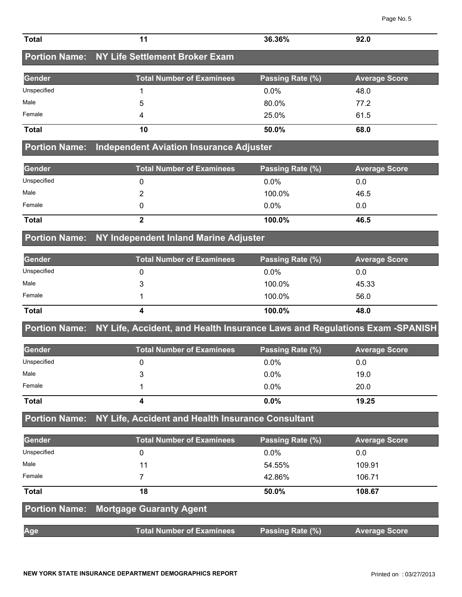| <b>Total</b>         | 11                                                                         | 36.36%           | 92.0                 |
|----------------------|----------------------------------------------------------------------------|------------------|----------------------|
|                      | <b>Portion Name: NY Life Settlement Broker Exam</b>                        |                  |                      |
| Gender               | <b>Total Number of Examinees</b>                                           | Passing Rate (%) | <b>Average Score</b> |
| Unspecified          | 1                                                                          | 0.0%             | 48.0                 |
| Male                 | 5                                                                          | 80.0%            | 77.2                 |
| Female               | 4                                                                          | 25.0%            | 61.5                 |
| <b>Total</b>         | 10                                                                         | 50.0%            | 68.0                 |
| <b>Portion Name:</b> | <b>Independent Aviation Insurance Adjuster</b>                             |                  |                      |
| Gender               | <b>Total Number of Examinees</b>                                           | Passing Rate (%) | <b>Average Score</b> |
| Unspecified          | 0                                                                          | 0.0%             | 0.0                  |
| Male                 | 2                                                                          | 100.0%           | 46.5                 |
| Female               | 0                                                                          | 0.0%             | 0.0                  |
| <b>Total</b>         | $\overline{2}$                                                             | 100.0%           | 46.5                 |
|                      | Portion Name: NY Independent Inland Marine Adjuster                        |                  |                      |
| Gender               | <b>Total Number of Examinees</b>                                           | Passing Rate (%) | <b>Average Score</b> |
| Unspecified          | 0                                                                          | 0.0%             | 0.0                  |
| Male                 | 3                                                                          | 100.0%           | 45.33                |
| Female               | 1                                                                          | 100.0%           | 56.0                 |
| <b>Total</b>         | 4                                                                          | 100.0%           | 48.0                 |
| <b>Portion Name:</b> | NY Life, Accident, and Health Insurance Laws and Regulations Exam -SPANISH |                  |                      |
| Gender               | <b>Total Number of Examinees</b>                                           | Passing Rate (%) | <b>Average Score</b> |
| Unspecified          | 0                                                                          | 0.0%             | 0.0                  |
| Male                 | 3                                                                          | 0.0%             | 19.0                 |
| Female               | 1                                                                          | 0.0%             | 20.0                 |
| <b>Total</b>         | 4                                                                          | 0.0%             | 19.25                |
| <b>Portion Name:</b> | NY Life, Accident and Health Insurance Consultant                          |                  |                      |
| <b>Gender</b>        | <b>Total Number of Examinees</b>                                           | Passing Rate (%) | <b>Average Score</b> |
| Unspecified          | $\mathbf 0$                                                                | 0.0%             | 0.0                  |
| Male                 | 11                                                                         | 54.55%           | 109.91               |
| Female               | $\overline{7}$                                                             | 42.86%           | 106.71               |
| <b>Total</b>         | 18                                                                         | 50.0%            | 108.67               |
| <b>Portion Name:</b> | <b>Mortgage Guaranty Agent</b>                                             |                  |                      |
| Age                  | <b>Total Number of Examinees</b>                                           | Passing Rate (%) | <b>Average Score</b> |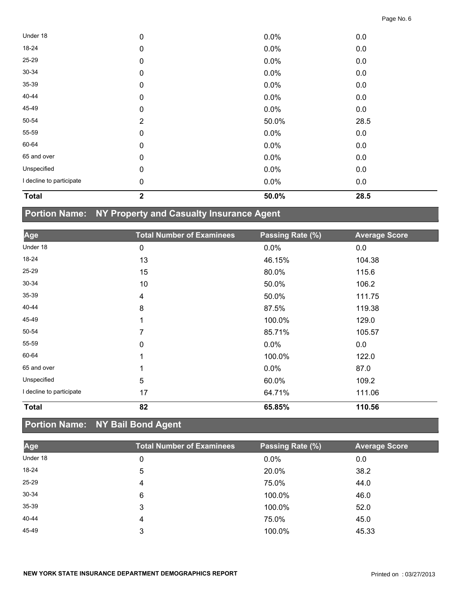| <b>Total</b>             | $\mathbf 2$    | 50.0%   | 28.5 |  |
|--------------------------|----------------|---------|------|--|
| I decline to participate | $\pmb{0}$      | 0.0%    | 0.0  |  |
| Unspecified              | $\pmb{0}$      | 0.0%    | 0.0  |  |
| 65 and over              | $\mathbf 0$    | $0.0\%$ | 0.0  |  |
| 60-64                    | $\pmb{0}$      | 0.0%    | 0.0  |  |
| 55-59                    | $\pmb{0}$      | 0.0%    | 0.0  |  |
| 50-54                    | $\overline{2}$ | 50.0%   | 28.5 |  |
| 45-49                    | $\pmb{0}$      | $0.0\%$ | 0.0  |  |
| 40-44                    | $\mathbf 0$    | 0.0%    | 0.0  |  |
| 35-39                    | $\pmb{0}$      | 0.0%    | 0.0  |  |
| 30-34                    | $\mathbf 0$    | 0.0%    | 0.0  |  |
| 25-29                    | $\mathbf 0$    | 0.0%    | 0.0  |  |
| 18-24                    | $\pmb{0}$      | 0.0%    | 0.0  |  |
| Under 18                 | $\pmb{0}$      | 0.0%    | 0.0  |  |

# **Portion Name: NY Property and Casualty Insurance Agent**

| Age                      | <b>Total Number of Examinees</b> | Passing Rate (%) | <b>Average Score</b> |
|--------------------------|----------------------------------|------------------|----------------------|
| Under 18                 | 0                                | 0.0%             | 0.0                  |
| 18-24                    | 13                               | 46.15%           | 104.38               |
| 25-29                    | 15                               | 80.0%            | 115.6                |
| 30-34                    | 10                               | 50.0%            | 106.2                |
| 35-39                    | 4                                | 50.0%            | 111.75               |
| 40-44                    | 8                                | 87.5%            | 119.38               |
| 45-49                    | 1                                | 100.0%           | 129.0                |
| 50-54                    | 7                                | 85.71%           | 105.57               |
| 55-59                    | 0                                | 0.0%             | 0.0                  |
| 60-64                    | 1                                | 100.0%           | 122.0                |
| 65 and over              | 1                                | 0.0%             | 87.0                 |
| Unspecified              | 5                                | 60.0%            | 109.2                |
| I decline to participate | 17                               | 64.71%           | 111.06               |
| <b>Total</b>             | 82                               | 65.85%           | 110.56               |

# **Portion Name: NY Bail Bond Agent**

| Age       | <b>Total Number of Examinees</b> | Passing Rate (%) | <b>Average Score</b> |
|-----------|----------------------------------|------------------|----------------------|
| Under 18  | 0                                | 0.0%             | 0.0                  |
| 18-24     | 5                                | 20.0%            | 38.2                 |
| $25 - 29$ | 4                                | 75.0%            | 44.0                 |
| $30 - 34$ | 6                                | 100.0%           | 46.0                 |
| $35 - 39$ | 3                                | 100.0%           | 52.0                 |
| 40-44     | 4                                | 75.0%            | 45.0                 |
| 45-49     | 3                                | 100.0%           | 45.33                |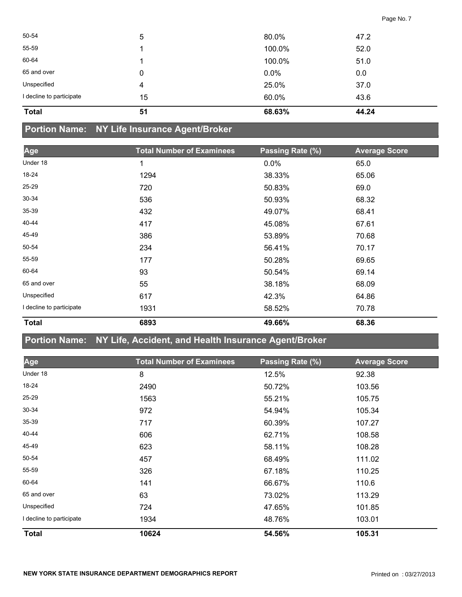| 43.6 |
|------|
|      |
| 37.0 |
| 0.0  |
| 51.0 |
| 52.0 |
| 47.2 |
|      |

## **Portion Name: NY Life Insurance Agent/Broker**

| Age                      | <b>Total Number of Examinees</b> | Passing Rate (%) | <b>Average Score</b> |
|--------------------------|----------------------------------|------------------|----------------------|
| Under 18                 | 1                                | $0.0\%$          | 65.0                 |
| 18-24                    | 1294                             | 38.33%           | 65.06                |
| 25-29                    | 720                              | 50.83%           | 69.0                 |
| $30 - 34$                | 536                              | 50.93%           | 68.32                |
| 35-39                    | 432                              | 49.07%           | 68.41                |
| 40-44                    | 417                              | 45.08%           | 67.61                |
| 45-49                    | 386                              | 53.89%           | 70.68                |
| 50-54                    | 234                              | 56.41%           | 70.17                |
| 55-59                    | 177                              | 50.28%           | 69.65                |
| 60-64                    | 93                               | 50.54%           | 69.14                |
| 65 and over              | 55                               | 38.18%           | 68.09                |
| Unspecified              | 617                              | 42.3%            | 64.86                |
| I decline to participate | 1931                             | 58.52%           | 70.78                |
| <b>Total</b>             | 6893                             | 49.66%           | 68.36                |

## **Portion Name: NY Life, Accident, and Health Insurance Agent/Broker**

| Age                      | <b>Total Number of Examinees</b> | Passing Rate (%) | <b>Average Score</b> |
|--------------------------|----------------------------------|------------------|----------------------|
| Under 18                 | $\bf 8$                          | 12.5%            | 92.38                |
| 18-24                    | 2490                             | 50.72%           | 103.56               |
| 25-29                    | 1563                             | 55.21%           | 105.75               |
| $30 - 34$                | 972                              | 54.94%           | 105.34               |
| 35-39                    | 717                              | 60.39%           | 107.27               |
| 40-44                    | 606                              | 62.71%           | 108.58               |
| 45-49                    | 623                              | 58.11%           | 108.28               |
| 50-54                    | 457                              | 68.49%           | 111.02               |
| 55-59                    | 326                              | 67.18%           | 110.25               |
| 60-64                    | 141                              | 66.67%           | 110.6                |
| 65 and over              | 63                               | 73.02%           | 113.29               |
| Unspecified              | 724                              | 47.65%           | 101.85               |
| I decline to participate | 1934                             | 48.76%           | 103.01               |
| <b>Total</b>             | 10624                            | 54.56%           | 105.31               |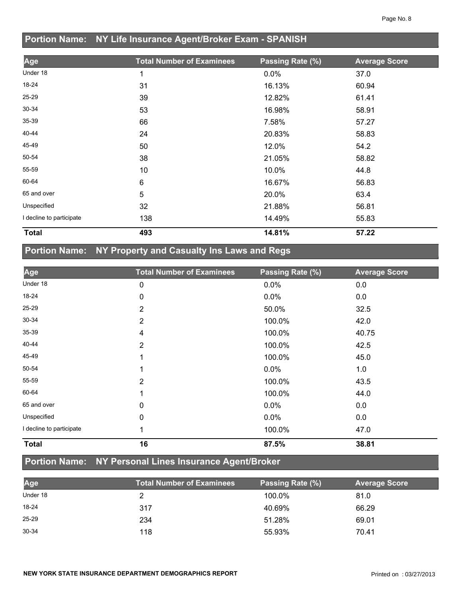# **Portion Name: NY Life Insurance Agent/Broker Exam - SPANISH**

| Age                      | <b>Total Number of Examinees</b> | Passing Rate (%) | <b>Average Score</b> |
|--------------------------|----------------------------------|------------------|----------------------|
| Under 18                 | 1                                | 0.0%             | 37.0                 |
| 18-24                    | 31                               | 16.13%           | 60.94                |
| 25-29                    | 39                               | 12.82%           | 61.41                |
| 30-34                    | 53                               | 16.98%           | 58.91                |
| 35-39                    | 66                               | 7.58%            | 57.27                |
| 40-44                    | 24                               | 20.83%           | 58.83                |
| 45-49                    | 50                               | 12.0%            | 54.2                 |
| 50-54                    | 38                               | 21.05%           | 58.82                |
| 55-59                    | 10                               | 10.0%            | 44.8                 |
| 60-64                    | 6                                | 16.67%           | 56.83                |
| 65 and over              | 5                                | 20.0%            | 63.4                 |
| Unspecified              | 32                               | 21.88%           | 56.81                |
| I decline to participate | 138                              | 14.49%           | 55.83                |
| <b>Total</b>             | 493                              | 14.81%           | 57.22                |

## **Portion Name: NY Property and Casualty Ins Laws and Regs**

| Age                      | <b>Total Number of Examinees</b> | Passing Rate (%) | <b>Average Score</b> |
|--------------------------|----------------------------------|------------------|----------------------|
| Under 18                 | 0                                | 0.0%             | 0.0                  |
| 18-24                    | 0                                | 0.0%             | 0.0                  |
| 25-29                    | $\overline{2}$                   | 50.0%            | 32.5                 |
| 30-34                    | 2                                | 100.0%           | 42.0                 |
| 35-39                    | 4                                | 100.0%           | 40.75                |
| 40-44                    | $\overline{2}$                   | 100.0%           | 42.5                 |
| 45-49                    |                                  | 100.0%           | 45.0                 |
| 50-54                    |                                  | $0.0\%$          | 1.0                  |
| 55-59                    | $\overline{2}$                   | 100.0%           | 43.5                 |
| 60-64                    |                                  | 100.0%           | 44.0                 |
| 65 and over              | 0                                | $0.0\%$          | 0.0                  |
| Unspecified              | $\mathbf 0$                      | $0.0\%$          | 0.0                  |
| I decline to participate |                                  | 100.0%           | 47.0                 |
| <b>Total</b>             | 16                               | 87.5%            | 38.81                |

## **Portion Name: NY Personal Lines Insurance Agent/Broker**

| Age       | <b>Total Number of Examinees</b> | Passing Rate (%) | <b>Average Score</b> |
|-----------|----------------------------------|------------------|----------------------|
| Under 18  |                                  | 100.0%           | 81.0                 |
| $18 - 24$ | 317                              | 40.69%           | 66.29                |
| $25 - 29$ | 234                              | 51.28%           | 69.01                |
| 30-34     | 118                              | 55.93%           | 70.41                |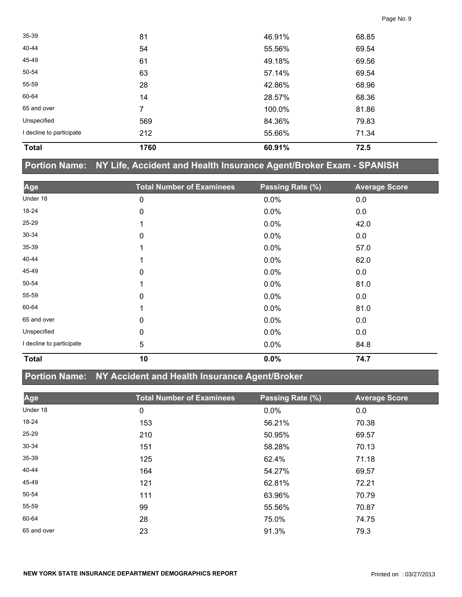| <b>Total</b>             | 1760           | 60.91% | 72.5  |  |
|--------------------------|----------------|--------|-------|--|
| I decline to participate | 212            | 55.66% | 71.34 |  |
| Unspecified              | 569            | 84.36% | 79.83 |  |
| 65 and over              | $\overline{7}$ | 100.0% | 81.86 |  |
| 60-64                    | 14             | 28.57% | 68.36 |  |
| 55-59                    | 28             | 42.86% | 68.96 |  |
| 50-54                    | 63             | 57.14% | 69.54 |  |
| 45-49                    | 61             | 49.18% | 69.56 |  |
| 40-44                    | 54             | 55.56% | 69.54 |  |
| $35 - 39$                | 81             | 46.91% | 68.85 |  |

|             | Portion Name: NY Life, Accident and Health Insurance Agent/Broker Exam - SPANISH |                  |                      |
|-------------|----------------------------------------------------------------------------------|------------------|----------------------|
| Age         | <b>Total Number of Examinees</b>                                                 | Passing Rate (%) | <b>Average Score</b> |
| Under 18    | 0                                                                                | 0.0%             | 0.0                  |
| 18-24       | 0                                                                                | 0.0%             | 0.0                  |
| 25-29       |                                                                                  | 0.0%             | 42.0                 |
| 30-34       | 0                                                                                | 0.0%             | 0.0                  |
| 35-39       |                                                                                  | 0.0%             | 57.0                 |
| 40-44       |                                                                                  | 0.0%             | 62.0                 |
| 45-49       | 0                                                                                | 0.0%             | 0.0                  |
| 50-54       |                                                                                  | 0.0%             | 81.0                 |
| 55-59       | 0                                                                                | 0.0%             | 0.0                  |
| 60-64       |                                                                                  | 0.0%             | 81.0                 |
| 65 and over | 0                                                                                | 0.0%             | 0.0                  |
| Unspecified | 0                                                                                | 0.0%             | 0.0                  |

#### **Portion Name: NY Accident and Health Insurance Agent/Broker**

I decline to participate  $\overline{5}$  5 0.0% 84.8

**Total 10 0.0% 74.7** 

| Age         | <b>Total Number of Examinees</b> | Passing Rate (%) | <b>Average Score</b> |
|-------------|----------------------------------|------------------|----------------------|
| Under 18    | 0                                | $0.0\%$          | 0.0                  |
| 18-24       | 153                              | 56.21%           | 70.38                |
| 25-29       | 210                              | 50.95%           | 69.57                |
| 30-34       | 151                              | 58.28%           | 70.13                |
| 35-39       | 125                              | 62.4%            | 71.18                |
| 40-44       | 164                              | 54.27%           | 69.57                |
| 45-49       | 121                              | 62.81%           | 72.21                |
| 50-54       | 111                              | 63.96%           | 70.79                |
| 55-59       | 99                               | 55.56%           | 70.87                |
| 60-64       | 28                               | 75.0%            | 74.75                |
| 65 and over | 23                               | 91.3%            | 79.3                 |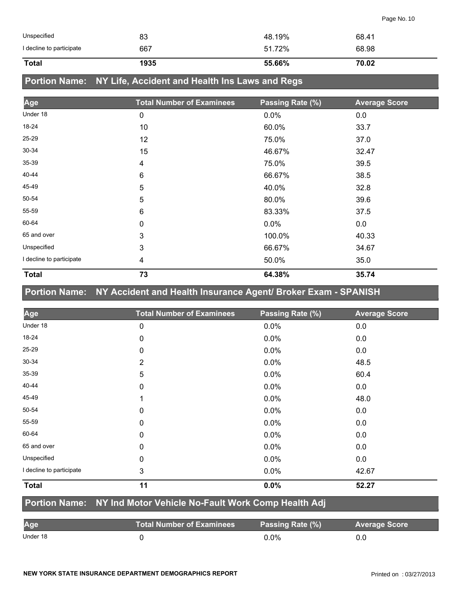| <b>Total</b>             | 1935 | 55.66% | 70.02 |
|--------------------------|------|--------|-------|
| I decline to participate | 667  | 51.72% | 68.98 |
| Unspecified              | 83   | 48.19% | 68.41 |

## **Portion Name: NY Life, Accident and Health Ins Laws and Regs**

| Age                      | <b>Total Number of Examinees</b> | Passing Rate (%) | <b>Average Score</b> |
|--------------------------|----------------------------------|------------------|----------------------|
| Under 18                 | 0                                | $0.0\%$          | 0.0                  |
| 18-24                    | 10                               | 60.0%            | 33.7                 |
| $25 - 29$                | 12                               | 75.0%            | 37.0                 |
| $30 - 34$                | 15                               | 46.67%           | 32.47                |
| $35 - 39$                | 4                                | 75.0%            | 39.5                 |
| 40-44                    | 6                                | 66.67%           | 38.5                 |
| 45-49                    | 5                                | 40.0%            | 32.8                 |
| 50-54                    | 5                                | 80.0%            | 39.6                 |
| 55-59                    | 6                                | 83.33%           | 37.5                 |
| 60-64                    | 0                                | $0.0\%$          | 0.0                  |
| 65 and over              | 3                                | 100.0%           | 40.33                |
| Unspecified              | 3                                | 66.67%           | 34.67                |
| I decline to participate | 4                                | 50.0%            | 35.0                 |
| <b>Total</b>             | 73                               | 64.38%           | 35.74                |

## **Portion Name: NY Accident and Health Insurance Agent/ Broker Exam - SPANISH**

| Age                      | <b>Total Number of Examinees</b> | Passing Rate (%) | <b>Average Score</b> |
|--------------------------|----------------------------------|------------------|----------------------|
| Under 18                 | 0                                | 0.0%             | 0.0                  |
| 18-24                    | 0                                | 0.0%             | 0.0                  |
| 25-29                    | 0                                | 0.0%             | 0.0                  |
| 30-34                    | $\overline{2}$                   | 0.0%             | 48.5                 |
| 35-39                    | 5                                | 0.0%             | 60.4                 |
| 40-44                    | 0                                | 0.0%             | 0.0                  |
| 45-49                    | 1                                | 0.0%             | 48.0                 |
| 50-54                    | 0                                | $0.0\%$          | 0.0                  |
| 55-59                    | 0                                | 0.0%             | 0.0                  |
| 60-64                    | 0                                | $0.0\%$          | 0.0                  |
| 65 and over              | 0                                | 0.0%             | 0.0                  |
| Unspecified              | 0                                | 0.0%             | 0.0                  |
| I decline to participate | 3                                | 0.0%             | 42.67                |
| <b>Total</b>             | 11                               | 0.0%             | 52.27                |

#### **Portion Name: NY Ind Motor Vehicle No-Fault Work Comp Health Adj**

| Age      | <b>Total Number of Examinees</b> | Passing Rate (%) | <b>Average Score</b> |
|----------|----------------------------------|------------------|----------------------|
| Under 18 |                                  | 0.0%             |                      |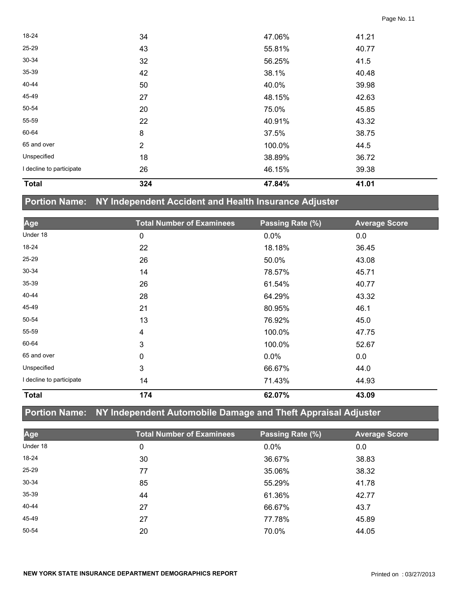| <b>Total</b>             | 324          | 47.84% | 41.01 |  |
|--------------------------|--------------|--------|-------|--|
| I decline to participate | 26           | 46.15% | 39.38 |  |
| Unspecified              | 18           | 38.89% | 36.72 |  |
| 65 and over              | $\mathbf{2}$ | 100.0% | 44.5  |  |
| 60-64                    | 8            | 37.5%  | 38.75 |  |
| 55-59                    | 22           | 40.91% | 43.32 |  |
| 50-54                    | 20           | 75.0%  | 45.85 |  |
| 45-49                    | 27           | 48.15% | 42.63 |  |
| 40-44                    | 50           | 40.0%  | 39.98 |  |
| 35-39                    | 42           | 38.1%  | 40.48 |  |
| $30 - 34$                | 32           | 56.25% | 41.5  |  |
| $25 - 29$                | 43           | 55.81% | 40.77 |  |
| 18-24                    | 34           | 47.06% | 41.21 |  |

## **Portion Name: NY Independent Accident and Health Insurance Adjuster**

| Age                      | <b>Total Number of Examinees</b> | Passing Rate (%) | <b>Average Score</b> |
|--------------------------|----------------------------------|------------------|----------------------|
| Under 18                 | 0                                | 0.0%             | 0.0                  |
| 18-24                    | 22                               | 18.18%           | 36.45                |
| 25-29                    | 26                               | 50.0%            | 43.08                |
| 30-34                    | 14                               | 78.57%           | 45.71                |
| 35-39                    | 26                               | 61.54%           | 40.77                |
| 40-44                    | 28                               | 64.29%           | 43.32                |
| 45-49                    | 21                               | 80.95%           | 46.1                 |
| 50-54                    | 13                               | 76.92%           | 45.0                 |
| 55-59                    | $\overline{\mathbf{4}}$          | 100.0%           | 47.75                |
| 60-64                    | 3                                | 100.0%           | 52.67                |
| 65 and over              | 0                                | 0.0%             | 0.0                  |
| Unspecified              | 3                                | 66.67%           | 44.0                 |
| I decline to participate | 14                               | 71.43%           | 44.93                |
| <b>Total</b>             | 174                              | 62.07%           | 43.09                |

## **Portion Name: NY Independent Automobile Damage and Theft Appraisal Adjuster**

| Age      | <b>Total Number of Examinees</b> | Passing Rate (%) | <b>Average Score</b> |
|----------|----------------------------------|------------------|----------------------|
| Under 18 | 0                                | 0.0%             | 0.0                  |
| 18-24    | 30                               | 36.67%           | 38.83                |
| 25-29    | 77                               | 35.06%           | 38.32                |
| 30-34    | 85                               | 55.29%           | 41.78                |
| 35-39    | 44                               | 61.36%           | 42.77                |
| 40-44    | 27                               | 66.67%           | 43.7                 |
| 45-49    | 27                               | 77.78%           | 45.89                |
| 50-54    | 20                               | 70.0%            | 44.05                |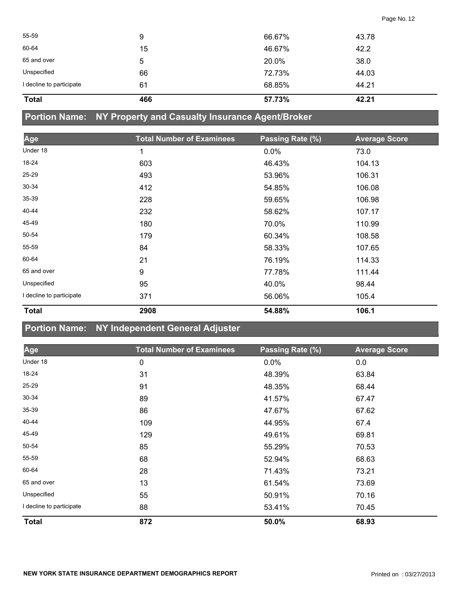| <b>Total</b>             | 466 | 57.73% | 42.21 |
|--------------------------|-----|--------|-------|
| I decline to participate | 61  | 68.85% | 44.21 |
| Unspecified              | 66  | 72.73% | 44.03 |
| 65 and over              | 5   | 20.0%  | 38.0  |
| 60-64                    | 15  | 46.67% | 42.2  |
| 55-59                    | 9   | 66.67% | 43.78 |
|                          |     |        |       |

# **Portion Name: NY Property and Casualty Insurance Agent/Broker**

| Age                      | <b>Total Number of Examinees</b> | Passing Rate (%) | <b>Average Score</b> |
|--------------------------|----------------------------------|------------------|----------------------|
| Under 18                 | 1                                | 0.0%             | 73.0                 |
| 18-24                    | 603                              | 46.43%           | 104.13               |
| $25 - 29$                | 493                              | 53.96%           | 106.31               |
| $30 - 34$                | 412                              | 54.85%           | 106.08               |
| 35-39                    | 228                              | 59.65%           | 106.98               |
| 40-44                    | 232                              | 58.62%           | 107.17               |
| 45-49                    | 180                              | 70.0%            | 110.99               |
| 50-54                    | 179                              | 60.34%           | 108.58               |
| 55-59                    | 84                               | 58.33%           | 107.65               |
| 60-64                    | 21                               | 76.19%           | 114.33               |
| 65 and over              | 9                                | 77.78%           | 111.44               |
| Unspecified              | 95                               | 40.0%            | 98.44                |
| I decline to participate | 371                              | 56.06%           | 105.4                |
| <b>Total</b>             | 2908                             | 54.88%           | 106.1                |

## **Portion Name: NY Independent General Adjuster**

| Age                      | <b>Total Number of Examinees</b> | Passing Rate (%) | <b>Average Score</b> |
|--------------------------|----------------------------------|------------------|----------------------|
| Under 18                 | 0                                | 0.0%             | 0.0                  |
| 18-24                    | 31                               | 48.39%           | 63.84                |
| $25 - 29$                | 91                               | 48.35%           | 68.44                |
| 30-34                    | 89                               | 41.57%           | 67.47                |
| $35 - 39$                | 86                               | 47.67%           | 67.62                |
| 40-44                    | 109                              | 44.95%           | 67.4                 |
| 45-49                    | 129                              | 49.61%           | 69.81                |
| 50-54                    | 85                               | 55.29%           | 70.53                |
| 55-59                    | 68                               | 52.94%           | 68.63                |
| 60-64                    | 28                               | 71.43%           | 73.21                |
| 65 and over              | 13                               | 61.54%           | 73.69                |
| Unspecified              | 55                               | 50.91%           | 70.16                |
| I decline to participate | 88                               | 53.41%           | 70.45                |
| <b>Total</b>             | 872                              | 50.0%            | 68.93                |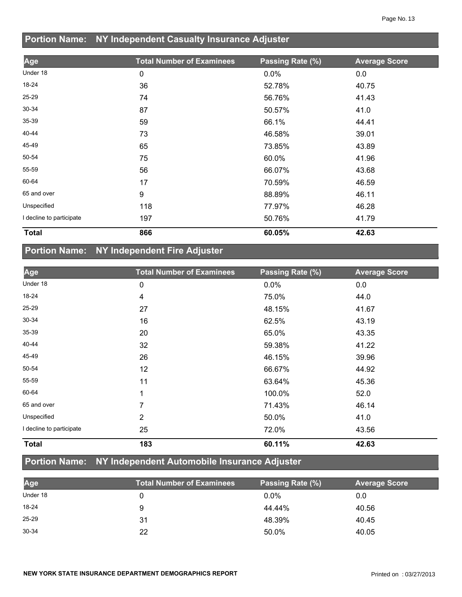## **Portion Name: NY Independent Casualty Insurance Adjuster**

| Age                      | <b>Total Number of Examinees</b> | Passing Rate (%) | <b>Average Score</b> |
|--------------------------|----------------------------------|------------------|----------------------|
| Under 18                 | 0                                | $0.0\%$          | 0.0                  |
| 18-24                    | 36                               | 52.78%           | 40.75                |
| 25-29                    | 74                               | 56.76%           | 41.43                |
| 30-34                    | 87                               | 50.57%           | 41.0                 |
| 35-39                    | 59                               | 66.1%            | 44.41                |
| 40-44                    | 73                               | 46.58%           | 39.01                |
| 45-49                    | 65                               | 73.85%           | 43.89                |
| 50-54                    | 75                               | 60.0%            | 41.96                |
| 55-59                    | 56                               | 66.07%           | 43.68                |
| 60-64                    | 17                               | 70.59%           | 46.59                |
| 65 and over              | 9                                | 88.89%           | 46.11                |
| Unspecified              | 118                              | 77.97%           | 46.28                |
| I decline to participate | 197                              | 50.76%           | 41.79                |
| <b>Total</b>             | 866                              | 60.05%           | 42.63                |

## **Portion Name: NY Independent Fire Adjuster**

| Age                      | <b>Total Number of Examinees</b> | Passing Rate (%) | <b>Average Score</b> |
|--------------------------|----------------------------------|------------------|----------------------|
| Under 18                 | 0                                | $0.0\%$          | 0.0                  |
| 18-24                    | 4                                | 75.0%            | 44.0                 |
| 25-29                    | 27                               | 48.15%           | 41.67                |
| 30-34                    | 16                               | 62.5%            | 43.19                |
| 35-39                    | 20                               | 65.0%            | 43.35                |
| 40-44                    | 32                               | 59.38%           | 41.22                |
| 45-49                    | 26                               | 46.15%           | 39.96                |
| 50-54                    | 12                               | 66.67%           | 44.92                |
| 55-59                    | 11                               | 63.64%           | 45.36                |
| 60-64                    | 1                                | 100.0%           | 52.0                 |
| 65 and over              | 7                                | 71.43%           | 46.14                |
| Unspecified              | $\overline{2}$                   | 50.0%            | 41.0                 |
| I decline to participate | 25                               | 72.0%            | 43.56                |
| <b>Total</b>             | 183                              | 60.11%           | 42.63                |

## **Portion Name: NY Independent Automobile Insurance Adjuster**

| Age       | <b>Total Number of Examinees</b> | Passing Rate (%) | <b>Average Score</b> |
|-----------|----------------------------------|------------------|----------------------|
| Under 18  |                                  | $0.0\%$          | 0.0                  |
| 18-24     |                                  | 44.44%           | 40.56                |
| $25 - 29$ | 31                               | 48.39%           | 40.45                |
| $30 - 34$ | 22                               | 50.0%            | 40.05                |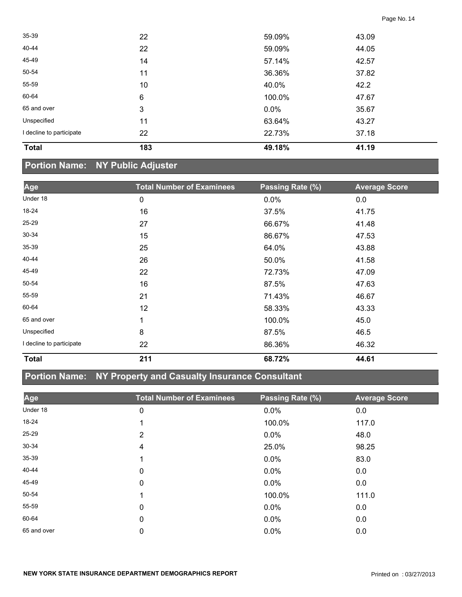| <b>Total</b>             | 183 | 49.18%  | 41.19 |  |
|--------------------------|-----|---------|-------|--|
| I decline to participate | 22  | 22.73%  | 37.18 |  |
| Unspecified              | 11  | 63.64%  | 43.27 |  |
| 65 and over              | 3   | $0.0\%$ | 35.67 |  |
| 60-64                    | 6   | 100.0%  | 47.67 |  |
| 55-59                    | 10  | 40.0%   | 42.2  |  |
| 50-54                    | 11  | 36.36%  | 37.82 |  |
| 45-49                    | 14  | 57.14%  | 42.57 |  |
| 40-44                    | 22  | 59.09%  | 44.05 |  |
| 35-39                    | 22  | 59.09%  | 43.09 |  |

# **Portion Name: NY Public Adjuster**

| Age                      | <b>Total Number of Examinees</b> | Passing Rate (%) | <b>Average Score</b> |
|--------------------------|----------------------------------|------------------|----------------------|
| Under 18                 | 0                                | 0.0%             | 0.0                  |
| 18-24                    | 16                               | 37.5%            | 41.75                |
| 25-29                    | 27                               | 66.67%           | 41.48                |
| $30 - 34$                | 15                               | 86.67%           | 47.53                |
| $35 - 39$                | 25                               | 64.0%            | 43.88                |
| 40-44                    | 26                               | 50.0%            | 41.58                |
| 45-49                    | 22                               | 72.73%           | 47.09                |
| 50-54                    | 16                               | 87.5%            | 47.63                |
| 55-59                    | 21                               | 71.43%           | 46.67                |
| 60-64                    | 12                               | 58.33%           | 43.33                |
| 65 and over              | 1                                | 100.0%           | 45.0                 |
| Unspecified              | 8                                | 87.5%            | 46.5                 |
| I decline to participate | 22                               | 86.36%           | 46.32                |
| <b>Total</b>             | 211                              | 68.72%           | 44.61                |

## **Portion Name: NY Property and Casualty Insurance Consultant**

| Age         | <b>Total Number of Examinees</b> | Passing Rate (%) | <b>Average Score</b> |
|-------------|----------------------------------|------------------|----------------------|
| Under 18    | 0                                | 0.0%             | 0.0                  |
| 18-24       |                                  | 100.0%           | 117.0                |
| 25-29       | 2                                | $0.0\%$          | 48.0                 |
| $30 - 34$   | 4                                | 25.0%            | 98.25                |
| $35 - 39$   |                                  | $0.0\%$          | 83.0                 |
| 40-44       | 0                                | $0.0\%$          | 0.0                  |
| 45-49       | 0                                | $0.0\%$          | 0.0                  |
| 50-54       |                                  | 100.0%           | 111.0                |
| 55-59       | 0                                | $0.0\%$          | 0.0                  |
| 60-64       | 0                                | $0.0\%$          | 0.0                  |
| 65 and over | 0                                | 0.0%             | 0.0                  |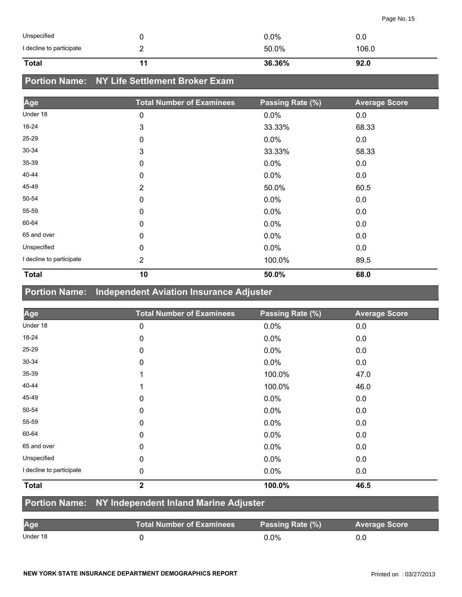| Unspecified              | $0.0\%$ | 0.0   |
|--------------------------|---------|-------|
| I decline to participate | 50.0%   | 106.0 |
| <b>Total</b>             | 36.36%  | 92.0  |

## **Portion Name: NY Life Settlement Broker Exam**

| Age                      | <b>Total Number of Examinees</b> | Passing Rate (%) | <b>Average Score</b> |
|--------------------------|----------------------------------|------------------|----------------------|
| Under 18                 | 0                                | 0.0%             | 0.0                  |
| 18-24                    | 3                                | 33.33%           | 68.33                |
| 25-29                    | 0                                | 0.0%             | 0.0                  |
| 30-34                    | 3                                | 33.33%           | 58.33                |
| 35-39                    | 0                                | 0.0%             | 0.0                  |
| 40-44                    | 0                                | 0.0%             | 0.0                  |
| 45-49                    | 2                                | 50.0%            | 60.5                 |
| 50-54                    | 0                                | 0.0%             | 0.0                  |
| 55-59                    | 0                                | 0.0%             | 0.0                  |
| 60-64                    | 0                                | 0.0%             | 0.0                  |
| 65 and over              | 0                                | 0.0%             | 0.0                  |
| Unspecified              | 0                                | 0.0%             | 0.0                  |
| I decline to participate | $\overline{2}$                   | 100.0%           | 89.5                 |
| <b>Total</b>             | 10                               | 50.0%            | 68.0                 |

## **Portion Name: Independent Aviation Insurance Adjuster**

| Age                      | <b>Total Number of Examinees</b> | Passing Rate (%) | <b>Average Score</b> |
|--------------------------|----------------------------------|------------------|----------------------|
| Under 18                 | 0                                | 0.0%             | 0.0                  |
| 18-24                    | 0                                | 0.0%             | 0.0                  |
| $25 - 29$                | 0                                | 0.0%             | 0.0                  |
| 30-34                    | 0                                | 0.0%             | 0.0                  |
| 35-39                    | 1                                | 100.0%           | 47.0                 |
| 40-44                    | 1                                | 100.0%           | 46.0                 |
| 45-49                    | 0                                | 0.0%             | 0.0                  |
| 50-54                    | 0                                | 0.0%             | 0.0                  |
| 55-59                    | 0                                | 0.0%             | 0.0                  |
| 60-64                    | $\mathbf 0$                      | 0.0%             | 0.0                  |
| 65 and over              | 0                                | 0.0%             | 0.0                  |
| Unspecified              | 0                                | 0.0%             | 0.0                  |
| I decline to participate | 0                                | 0.0%             | 0.0                  |
| <b>Total</b>             | $\overline{2}$                   | 100.0%           | 46.5                 |

#### **Portion Name: NY Independent Inland Marine Adjuster**

| Age      | Total Number of Examinees | Passing Rate (%) | <b>Average Score</b> |
|----------|---------------------------|------------------|----------------------|
| Under 18 |                           | 0.0%             |                      |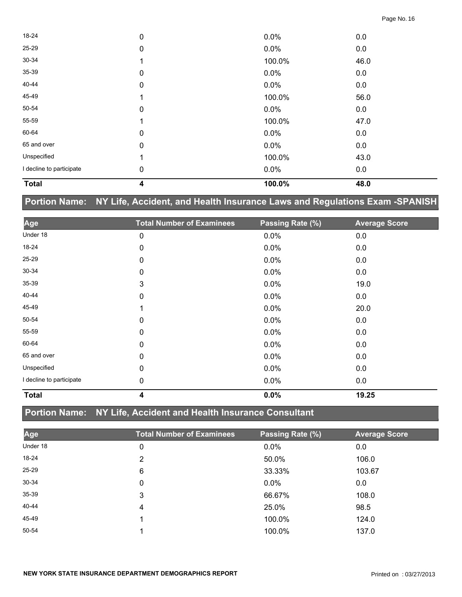| <b>Total</b>             | 4           | 100.0%  | 48.0 |  |
|--------------------------|-------------|---------|------|--|
| I decline to participate | 0           | 0.0%    | 0.0  |  |
| Unspecified              | 1           | 100.0%  | 43.0 |  |
| 65 and over              | $\mathbf 0$ | 0.0%    | 0.0  |  |
| 60-64                    | 0           | 0.0%    | 0.0  |  |
| 55-59                    |             | 100.0%  | 47.0 |  |
| 50-54                    | $\pmb{0}$   | $0.0\%$ | 0.0  |  |
| 45-49                    |             | 100.0%  | 56.0 |  |
| 40-44                    | 0           | $0.0\%$ | 0.0  |  |
| 35-39                    | 0           | 0.0%    | 0.0  |  |
| 30-34                    |             | 100.0%  | 46.0 |  |
| 25-29                    | $\mathbf 0$ | 0.0%    | 0.0  |  |
| 18-24                    | 0           | 0.0%    | 0.0  |  |

## **Portion Name: NY Life, Accident, and Health Insurance Laws and Regulations Exam -SPANISH**

| Age                      | <b>Total Number of Examinees</b> | Passing Rate (%) | <b>Average Score</b> |
|--------------------------|----------------------------------|------------------|----------------------|
| Under 18                 | 0                                | 0.0%             | 0.0                  |
| 18-24                    | 0                                | 0.0%             | 0.0                  |
| 25-29                    | 0                                | 0.0%             | 0.0                  |
| $30 - 34$                | 0                                | 0.0%             | 0.0                  |
| 35-39                    | 3                                | 0.0%             | 19.0                 |
| 40-44                    | 0                                | 0.0%             | 0.0                  |
| 45-49                    | 1                                | 0.0%             | 20.0                 |
| 50-54                    | $\mathbf 0$                      | 0.0%             | 0.0                  |
| 55-59                    | 0                                | 0.0%             | 0.0                  |
| 60-64                    | 0                                | 0.0%             | 0.0                  |
| 65 and over              | 0                                | 0.0%             | 0.0                  |
| Unspecified              | 0                                | 0.0%             | 0.0                  |
| I decline to participate | 0                                | $0.0\%$          | 0.0                  |
| <b>Total</b>             | 4                                | 0.0%             | 19.25                |

## **Portion Name: NY Life, Accident and Health Insurance Consultant**

| Age       | <b>Total Number of Examinees</b> | Passing Rate (%) | <b>Average Score</b> |
|-----------|----------------------------------|------------------|----------------------|
| Under 18  | 0                                | 0.0%             | 0.0                  |
| 18-24     | 2                                | 50.0%            | 106.0                |
| $25 - 29$ | 6                                | 33.33%           | 103.67               |
| 30-34     | 0                                | $0.0\%$          | 0.0                  |
| 35-39     | 3                                | 66.67%           | 108.0                |
| 40-44     | 4                                | 25.0%            | 98.5                 |
| 45-49     |                                  | 100.0%           | 124.0                |
| 50-54     |                                  | 100.0%           | 137.0                |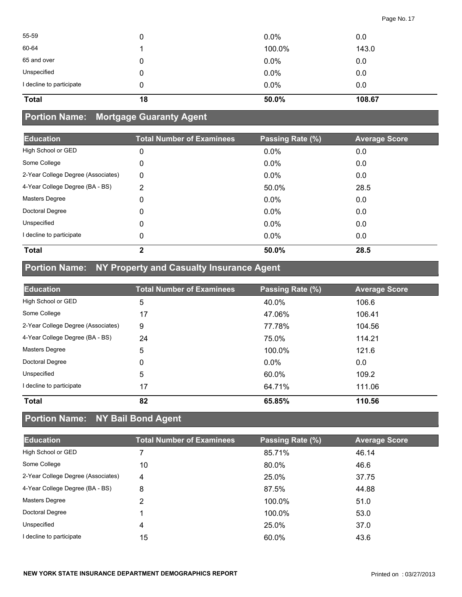| 55-59                    | 0  | $0.0\%$ | 0.0    |
|--------------------------|----|---------|--------|
| 60-64                    |    | 100.0%  | 143.0  |
| 65 and over              | 0  | 0.0%    | 0.0    |
| Unspecified              | 0  | 0.0%    | 0.0    |
| I decline to participate | 0  | 0.0%    | 0.0    |
| <b>Total</b>             | 18 | 50.0%   | 108.67 |

# **Portion Name: Mortgage Guaranty Agent**

| <b>Education</b>                   | <b>Total Number of Examinees</b> | Passing Rate (%) | <b>Average Score</b> |
|------------------------------------|----------------------------------|------------------|----------------------|
| High School or GED                 | $\mathbf 0$                      | 0.0%             | 0.0                  |
| Some College                       | 0                                | 0.0%             | 0.0                  |
| 2-Year College Degree (Associates) | 0                                | 0.0%             | 0.0                  |
| 4-Year College Degree (BA - BS)    | 2                                | 50.0%            | 28.5                 |
| <b>Masters Degree</b>              | 0                                | 0.0%             | 0.0                  |
| Doctoral Degree                    | 0                                | 0.0%             | 0.0                  |
| Unspecified                        | 0                                | 0.0%             | 0.0                  |
| I decline to participate           | 0                                | 0.0%             | 0.0                  |
| <b>Total</b>                       | $\mathbf{2}$                     | 50.0%            | 28.5                 |

# **Portion Name: NY Property and Casualty Insurance Agent**

| <b>Education</b>                   | <b>Total Number of Examinees</b> | Passing Rate (%) | <b>Average Score</b> |
|------------------------------------|----------------------------------|------------------|----------------------|
| High School or GED                 | 5                                | 40.0%            | 106.6                |
| Some College                       | 17                               | 47.06%           | 106.41               |
| 2-Year College Degree (Associates) | 9                                | 77.78%           | 104.56               |
| 4-Year College Degree (BA - BS)    | 24                               | 75.0%            | 114.21               |
| <b>Masters Degree</b>              | 5                                | 100.0%           | 121.6                |
| Doctoral Degree                    | 0                                | $0.0\%$          | 0.0                  |
| Unspecified                        | 5                                | 60.0%            | 109.2                |
| I decline to participate           | 17                               | 64.71%           | 111.06               |
| <b>Total</b>                       | 82                               | 65.85%           | 110.56               |

# **Portion Name: NY Bail Bond Agent**

| <b>Education</b>                   | <b>Total Number of Examinees</b> | Passing Rate (%) | <b>Average Score</b> |
|------------------------------------|----------------------------------|------------------|----------------------|
| High School or GED                 |                                  | 85.71%           | 46.14                |
| Some College                       | 10                               | 80.0%            | 46.6                 |
| 2-Year College Degree (Associates) | 4                                | 25.0%            | 37.75                |
| 4-Year College Degree (BA - BS)    | 8                                | 87.5%            | 44.88                |
| Masters Degree                     | 2                                | 100.0%           | 51.0                 |
| Doctoral Degree                    |                                  | 100.0%           | 53.0                 |
| Unspecified                        | 4                                | 25.0%            | 37.0                 |
| I decline to participate           | 15                               | 60.0%            | 43.6                 |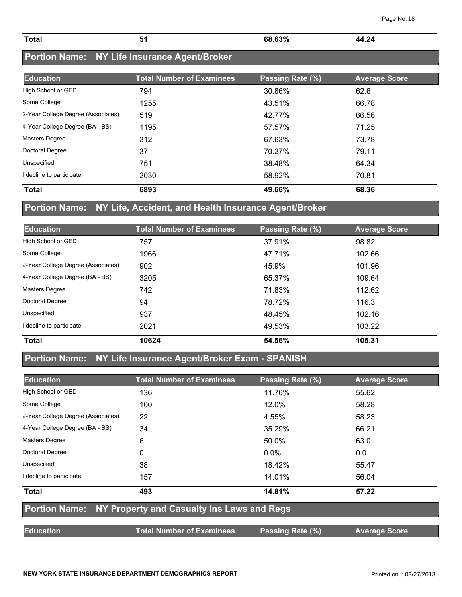| <b>Total</b> | $\sim$ $\sim$ | $\sim$ C <sub>20</sub> /<br>n<br>.<br>70 | クハ |
|--------------|---------------|------------------------------------------|----|
|              |               |                                          |    |

# **Portion Name: NY Life Insurance Agent/Broker**

| <b>Education</b>                   | <b>Total Number of Examinees</b> | Passing Rate (%) | <b>Average Score</b> |
|------------------------------------|----------------------------------|------------------|----------------------|
| High School or GED                 | 794                              | 30.86%           | 62.6                 |
| Some College                       | 1255                             | 43.51%           | 66.78                |
| 2-Year College Degree (Associates) | 519                              | 42.77%           | 66.56                |
| 4-Year College Degree (BA - BS)    | 1195                             | 57.57%           | 71.25                |
| <b>Masters Degree</b>              | 312                              | 67.63%           | 73.78                |
| Doctoral Degree                    | 37                               | 70.27%           | 79.11                |
| Unspecified                        | 751                              | 38.48%           | 64.34                |
| I decline to participate           | 2030                             | 58.92%           | 70.81                |
| <b>Total</b>                       | 6893                             | 49.66%           | 68.36                |

## **Portion Name: NY Life, Accident, and Health Insurance Agent/Broker**

| <b>Education</b>                   | <b>Total Number of Examinees</b> | Passing Rate (%) | <b>Average Score</b> |
|------------------------------------|----------------------------------|------------------|----------------------|
| High School or GED                 | 757                              | 37.91%           | 98.82                |
| Some College                       | 1966                             | 47.71%           | 102.66               |
| 2-Year College Degree (Associates) | 902                              | 45.9%            | 101.96               |
| 4-Year College Degree (BA - BS)    | 3205                             | 65.37%           | 109.64               |
| <b>Masters Degree</b>              | 742                              | 71.83%           | 112.62               |
| Doctoral Degree                    | 94                               | 78.72%           | 116.3                |
| Unspecified                        | 937                              | 48.45%           | 102.16               |
| I decline to participate           | 2021                             | 49.53%           | 103.22               |
| <b>Total</b>                       | 10624                            | 54.56%           | 105.31               |

## **Portion Name: NY Life Insurance Agent/Broker Exam - SPANISH**

| <b>Education</b>                                         | <b>Total Number of Examinees</b> | Passing Rate (%) | <b>Average Score</b> |  |
|----------------------------------------------------------|----------------------------------|------------------|----------------------|--|
| High School or GED                                       | 136                              | 11.76%           | 55.62                |  |
| Some College                                             | 100                              | 12.0%            | 58.28                |  |
| 2-Year College Degree (Associates)                       | 22                               | 4.55%            | 58.23                |  |
| 4-Year College Degree (BA - BS)                          | 34                               | 35.29%           | 66.21                |  |
| <b>Masters Degree</b>                                    | 6                                | 50.0%            | 63.0                 |  |
| Doctoral Degree                                          | 0                                | $0.0\%$          | 0.0                  |  |
| Unspecified                                              | 38                               | 18.42%           | 55.47                |  |
| I decline to participate                                 | 157                              | 14.01%           | 56.04                |  |
| <b>Total</b>                                             | 493                              | 14.81%           | 57.22                |  |
| Portion Name: NY Property and Casualty Ins Laws and Regs |                                  |                  |                      |  |
| <b>Education</b>                                         | <b>Total Number of Examinees</b> | Passing Rate (%) | <b>Average Score</b> |  |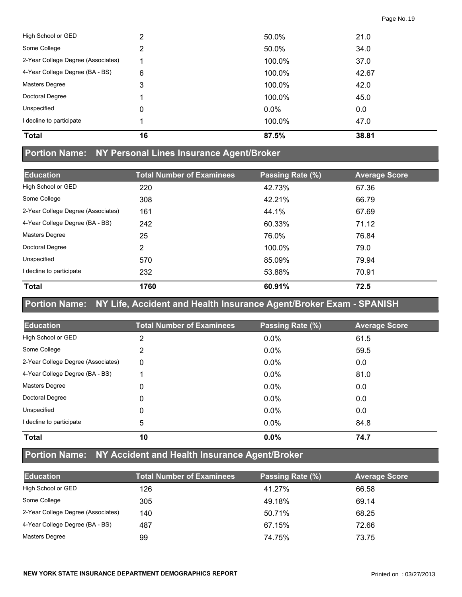| <b>Total</b>                       | 16 | 87.5%  | 38.81 |
|------------------------------------|----|--------|-------|
| I decline to participate           |    | 100.0% | 47.0  |
| Unspecified                        | 0  | 0.0%   | 0.0   |
| Doctoral Degree                    |    | 100.0% | 45.0  |
| <b>Masters Degree</b>              | 3  | 100.0% | 42.0  |
| 4-Year College Degree (BA - BS)    | 6  | 100.0% | 42.67 |
| 2-Year College Degree (Associates) |    | 100.0% | 37.0  |
| Some College                       | 2  | 50.0%  | 34.0  |
| High School or GED                 | 2  | 50.0%  | 21.0  |

#### **Portion Name: NY Personal Lines Insurance Agent/Broker**

| <b>Education</b>                   | <b>Total Number of Examinees</b> | Passing Rate (%) | <b>Average Score</b> |
|------------------------------------|----------------------------------|------------------|----------------------|
| High School or GED                 | 220                              | 42.73%           | 67.36                |
| Some College                       | 308                              | 42.21%           | 66.79                |
| 2-Year College Degree (Associates) | 161                              | 44.1%            | 67.69                |
| 4-Year College Degree (BA - BS)    | 242                              | 60.33%           | 71.12                |
| <b>Masters Degree</b>              | 25                               | 76.0%            | 76.84                |
| Doctoral Degree                    | 2                                | 100.0%           | 79.0                 |
| Unspecified                        | 570                              | 85.09%           | 79.94                |
| I decline to participate           | 232                              | 53.88%           | 70.91                |
| <b>Total</b>                       | 1760                             | 60.91%           | 72.5                 |

#### **Portion Name: NY Life, Accident and Health Insurance Agent/Broker Exam - SPANISH**

| <b>Education</b>                   | <b>Total Number of Examinees</b> | Passing Rate (%) | <b>Average Score</b> |
|------------------------------------|----------------------------------|------------------|----------------------|
| High School or GED                 | 2                                | $0.0\%$          | 61.5                 |
| Some College                       | 2                                | $0.0\%$          | 59.5                 |
| 2-Year College Degree (Associates) | 0                                | $0.0\%$          | 0.0                  |
| 4-Year College Degree (BA - BS)    |                                  | $0.0\%$          | 81.0                 |
| Masters Degree                     | 0                                | $0.0\%$          | 0.0                  |
| Doctoral Degree                    | 0                                | 0.0%             | 0.0                  |
| Unspecified                        | 0                                | $0.0\%$          | 0.0                  |
| I decline to participate           | 5                                | $0.0\%$          | 84.8                 |
| <b>Total</b>                       | 10                               | 0.0%             | 74.7                 |

# **Portion Name: NY Accident and Health Insurance Agent/Broker**

| <b>Education</b>                   | <b>Total Number of Examinees</b> | Passing Rate (%) | <b>Average Score</b> |
|------------------------------------|----------------------------------|------------------|----------------------|
| High School or GED                 | 126                              | 41.27%           | 66.58                |
| Some College                       | 305                              | 49.18%           | 69.14                |
| 2-Year College Degree (Associates) | 140                              | 50.71%           | 68.25                |
| 4-Year College Degree (BA - BS)    | 487                              | 67.15%           | 72.66                |
| <b>Masters Degree</b>              | 99                               | 74.75%           | 73.75                |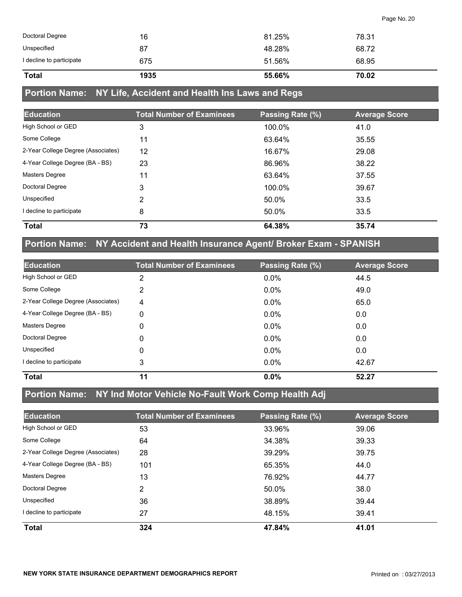| <b>Total</b>             | 1935 | 55.66% | 70.02 |
|--------------------------|------|--------|-------|
| I decline to participate | 675  | 51.56% | 68.95 |
| Unspecified              | 87   | 48.28% | 68.72 |
| Doctoral Degree          | 16   | 81.25% | 78.31 |

## **Portion Name: NY Life, Accident and Health Ins Laws and Regs**

| <b>Education</b>                   | <b>Total Number of Examinees</b> | Passing Rate (%) | <b>Average Score</b> |
|------------------------------------|----------------------------------|------------------|----------------------|
| High School or GED                 | 3                                | 100.0%           | 41.0                 |
| Some College                       | 11                               | 63.64%           | 35.55                |
| 2-Year College Degree (Associates) | 12                               | 16.67%           | 29.08                |
| 4-Year College Degree (BA - BS)    | 23                               | 86.96%           | 38.22                |
| Masters Degree                     | 11                               | 63.64%           | 37.55                |
| Doctoral Degree                    | 3                                | 100.0%           | 39.67                |
| Unspecified                        | 2                                | 50.0%            | 33.5                 |
| I decline to participate           | 8                                | 50.0%            | 33.5                 |
| <b>Total</b>                       | 73                               | 64.38%           | 35.74                |

# **Portion Name: NY Accident and Health Insurance Agent/ Broker Exam - SPANISH**

| <b>Education</b>                   | <b>Total Number of Examinees</b> | Passing Rate (%) | <b>Average Score</b> |
|------------------------------------|----------------------------------|------------------|----------------------|
| High School or GED                 | 2                                | $0.0\%$          | 44.5                 |
| Some College                       | 2                                | $0.0\%$          | 49.0                 |
| 2-Year College Degree (Associates) | 4                                | 0.0%             | 65.0                 |
| 4-Year College Degree (BA - BS)    | 0                                | $0.0\%$          | 0.0                  |
| <b>Masters Degree</b>              | 0                                | 0.0%             | 0.0                  |
| Doctoral Degree                    | 0                                | 0.0%             | 0.0                  |
| Unspecified                        | $\Omega$                         | $0.0\%$          | 0.0                  |
| I decline to participate           | 3                                | 0.0%             | 42.67                |
| <b>Total</b>                       | 11                               | 0.0%             | 52.27                |

#### **Portion Name: NY Ind Motor Vehicle No-Fault Work Comp Health Adj**

| <b>Education</b>                   | <b>Total Number of Examinees</b> | Passing Rate (%) | <b>Average Score</b> |
|------------------------------------|----------------------------------|------------------|----------------------|
| High School or GED                 | 53                               | 33.96%           | 39.06                |
| Some College                       | 64                               | 34.38%           | 39.33                |
| 2-Year College Degree (Associates) | 28                               | 39.29%           | 39.75                |
| 4-Year College Degree (BA - BS)    | 101                              | 65.35%           | 44.0                 |
| Masters Degree                     | 13                               | 76.92%           | 44.77                |
| Doctoral Degree                    | 2                                | 50.0%            | 38.0                 |
| Unspecified                        | 36                               | 38.89%           | 39.44                |
| I decline to participate           | 27                               | 48.15%           | 39.41                |
| <b>Total</b>                       | 324                              | 47.84%           | 41.01                |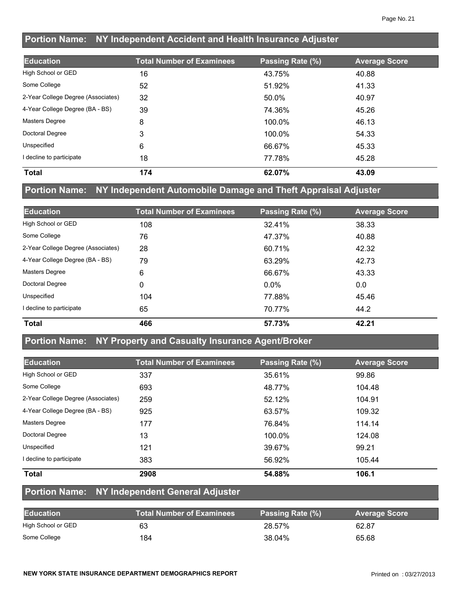## **Portion Name: NY Independent Accident and Health Insurance Adjuster**

| <b>Education</b>                   | <b>Total Number of Examinees</b> | Passing Rate (%) | <b>Average Score</b> |
|------------------------------------|----------------------------------|------------------|----------------------|
| High School or GED                 | 16                               | 43.75%           | 40.88                |
| Some College                       | 52                               | 51.92%           | 41.33                |
| 2-Year College Degree (Associates) | 32                               | 50.0%            | 40.97                |
| 4-Year College Degree (BA - BS)    | 39                               | 74.36%           | 45.26                |
| <b>Masters Degree</b>              | 8                                | 100.0%           | 46.13                |
| Doctoral Degree                    | 3                                | 100.0%           | 54.33                |
| Unspecified                        | 6                                | 66.67%           | 45.33                |
| decline to participate             | 18                               | 77.78%           | 45.28                |
| <b>Total</b>                       | 174                              | 62.07%           | 43.09                |

#### **Portion Name: NY Independent Automobile Damage and Theft Appraisal Adjuster**

| <b>Education</b>                   | <b>Total Number of Examinees</b> | Passing Rate (%) | <b>Average Score</b> |
|------------------------------------|----------------------------------|------------------|----------------------|
| High School or GED                 | 108                              | 32.41%           | 38.33                |
| Some College                       | 76                               | 47.37%           | 40.88                |
| 2-Year College Degree (Associates) | 28                               | 60.71%           | 42.32                |
| 4-Year College Degree (BA - BS)    | 79                               | 63.29%           | 42.73                |
| <b>Masters Degree</b>              | 6                                | 66.67%           | 43.33                |
| Doctoral Degree                    | 0                                | $0.0\%$          | 0.0                  |
| Unspecified                        | 104                              | 77.88%           | 45.46                |
| I decline to participate           | 65                               | 70.77%           | 44.2                 |
| <b>Total</b>                       | 466                              | 57.73%           | 42.21                |

#### **Portion Name: NY Property and Casualty Insurance Agent/Broker**

| <b>Education</b>                   | <b>Total Number of Examinees</b> | Passing Rate (%) | <b>Average Score</b> |
|------------------------------------|----------------------------------|------------------|----------------------|
| High School or GED                 | 337                              | 35.61%           | 99.86                |
| Some College                       | 693                              | 48.77%           | 104.48               |
| 2-Year College Degree (Associates) | 259                              | 52.12%           | 104.91               |
| 4-Year College Degree (BA - BS)    | 925                              | 63.57%           | 109.32               |
| <b>Masters Degree</b>              | 177                              | 76.84%           | 114.14               |
| Doctoral Degree                    | 13                               | 100.0%           | 124.08               |
| Unspecified                        | 121                              | 39.67%           | 99.21                |
| decline to participate             | 383                              | 56.92%           | 105.44               |
| <b>Total</b>                       | 2908                             | 54.88%           | 106.1                |

#### **Portion Name: NY Independent General Adjuster**

| <b>Education</b>   | <b>Total Number of Examinees</b> | Passing Rate (%) | <b>Average Score</b> |
|--------------------|----------------------------------|------------------|----------------------|
| High School or GED | 63                               | 28.57%           | 62.87                |
| Some College       | 184                              | 38.04%           | 65.68                |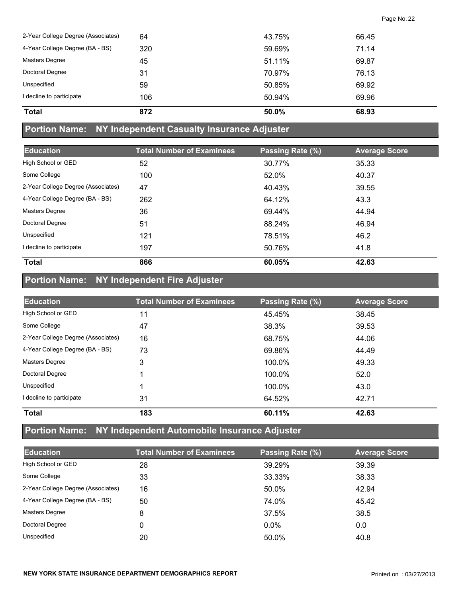| <b>Total</b>                       | 872 | 50.0%  | 68.93 |
|------------------------------------|-----|--------|-------|
| decline to participate             | 106 | 50.94% | 69.96 |
| Unspecified                        | 59  | 50.85% | 69.92 |
| Doctoral Degree                    | 31  | 70.97% | 76.13 |
| Masters Degree                     | 45  | 51.11% | 69.87 |
| 4-Year College Degree (BA - BS)    | 320 | 59.69% | 71.14 |
| 2-Year College Degree (Associates) | 64  | 43.75% | 66.45 |

#### **Portion Name: NY Independent Casualty Insurance Adjuster**

| <b>Education</b>                   | <b>Total Number of Examinees</b> | Passing Rate (%) | <b>Average Score</b> |
|------------------------------------|----------------------------------|------------------|----------------------|
| High School or GED                 | 52                               | 30.77%           | 35.33                |
| Some College                       | 100                              | 52.0%            | 40.37                |
| 2-Year College Degree (Associates) | 47                               | 40.43%           | 39.55                |
| 4-Year College Degree (BA - BS)    | 262                              | 64.12%           | 43.3                 |
| <b>Masters Degree</b>              | 36                               | 69.44%           | 44.94                |
| Doctoral Degree                    | 51                               | 88.24%           | 46.94                |
| Unspecified                        | 121                              | 78.51%           | 46.2                 |
| I decline to participate           | 197                              | 50.76%           | 41.8                 |
| <b>Total</b>                       | 866                              | 60.05%           | 42.63                |

# **Portion Name: NY Independent Fire Adjuster**

| <b>Education</b>                   | <b>Total Number of Examinees</b> | Passing Rate (%) | <b>Average Score</b> |
|------------------------------------|----------------------------------|------------------|----------------------|
| High School or GED                 | 11                               | 45.45%           | 38.45                |
| Some College                       | 47                               | 38.3%            | 39.53                |
| 2-Year College Degree (Associates) | 16                               | 68.75%           | 44.06                |
| 4-Year College Degree (BA - BS)    | 73                               | 69.86%           | 44.49                |
| <b>Masters Degree</b>              | 3                                | 100.0%           | 49.33                |
| Doctoral Degree                    |                                  | 100.0%           | 52.0                 |
| Unspecified                        |                                  | 100.0%           | 43.0                 |
| decline to participate             | 31                               | 64.52%           | 42.71                |
| <b>Total</b>                       | 183                              | 60.11%           | 42.63                |

## **Portion Name: NY Independent Automobile Insurance Adjuster**

| <b>Education</b>                   | <b>Total Number of Examinees</b> | Passing Rate (%) | <b>Average Score</b> |
|------------------------------------|----------------------------------|------------------|----------------------|
| High School or GED                 | 28                               | 39.29%           | 39.39                |
| Some College                       | 33                               | 33.33%           | 38.33                |
| 2-Year College Degree (Associates) | 16                               | 50.0%            | 42.94                |
| 4-Year College Degree (BA - BS)    | 50                               | 74.0%            | 45.42                |
| <b>Masters Degree</b>              | 8                                | 37.5%            | 38.5                 |
| Doctoral Degree                    | 0                                | $0.0\%$          | 0.0                  |
| Unspecified                        | 20                               | 50.0%            | 40.8                 |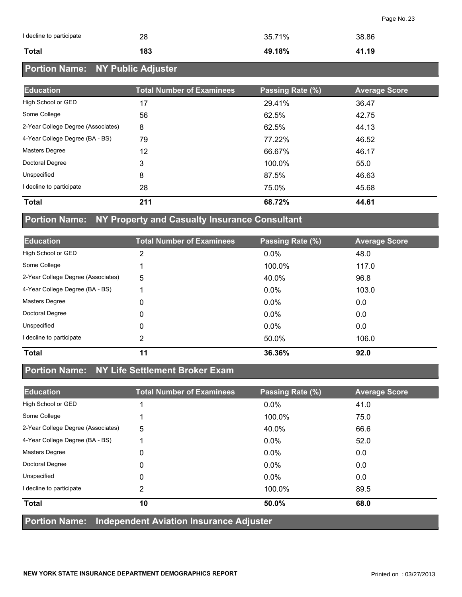| I decline to participate | 28  | 35.71% | 38.86 |
|--------------------------|-----|--------|-------|
| <b>Total</b>             | 183 | 49.18% | 41.19 |

## **Portion Name: NY Public Adjuster**

| <b>Education</b>                   | <b>Total Number of Examinees</b> | Passing Rate (%) | <b>Average Score</b> |
|------------------------------------|----------------------------------|------------------|----------------------|
| High School or GED                 | 17                               | 29.41%           | 36.47                |
| Some College                       | 56                               | 62.5%            | 42.75                |
| 2-Year College Degree (Associates) | 8                                | 62.5%            | 44.13                |
| 4-Year College Degree (BA - BS)    | 79                               | 77.22%           | 46.52                |
| <b>Masters Degree</b>              | 12                               | 66.67%           | 46.17                |
| Doctoral Degree                    | 3                                | 100.0%           | 55.0                 |
| Unspecified                        | 8                                | 87.5%            | 46.63                |
| I decline to participate           | 28                               | 75.0%            | 45.68                |
| <b>Total</b>                       | 211                              | 68.72%           | 44.61                |

#### **Portion Name: NY Property and Casualty Insurance Consultant**

| <b>Education</b>                   | <b>Total Number of Examinees</b> | Passing Rate (%) | <b>Average Score</b> |
|------------------------------------|----------------------------------|------------------|----------------------|
| High School or GED                 | 2                                | 0.0%             | 48.0                 |
| Some College                       |                                  | 100.0%           | 117.0                |
| 2-Year College Degree (Associates) | 5                                | 40.0%            | 96.8                 |
| 4-Year College Degree (BA - BS)    |                                  | 0.0%             | 103.0                |
| <b>Masters Degree</b>              | 0                                | $0.0\%$          | 0.0                  |
| Doctoral Degree                    | 0                                | $0.0\%$          | 0.0                  |
| Unspecified                        | 0                                | $0.0\%$          | 0.0                  |
| I decline to participate           | 2                                | 50.0%            | 106.0                |
| <b>Total</b>                       | 11                               | 36.36%           | 92.0                 |

## **Portion Name: NY Life Settlement Broker Exam**

| <b>Education</b>                   | <b>Total Number of Examinees</b> | Passing Rate (%) | <b>Average Score</b> |
|------------------------------------|----------------------------------|------------------|----------------------|
| High School or GED                 |                                  | $0.0\%$          | 41.0                 |
| Some College                       |                                  | 100.0%           | 75.0                 |
| 2-Year College Degree (Associates) | 5                                | 40.0%            | 66.6                 |
| 4-Year College Degree (BA - BS)    |                                  | $0.0\%$          | 52.0                 |
| <b>Masters Degree</b>              | 0                                | $0.0\%$          | 0.0                  |
| Doctoral Degree                    | 0                                | $0.0\%$          | 0.0                  |
| Unspecified                        | 0                                | $0.0\%$          | 0.0                  |
| I decline to participate           | 2                                | 100.0%           | 89.5                 |
| <b>Total</b>                       | 10                               | 50.0%            | 68.0                 |
|                                    |                                  | .                |                      |

**Portion Name: Independent Aviation Insurance Adjuster**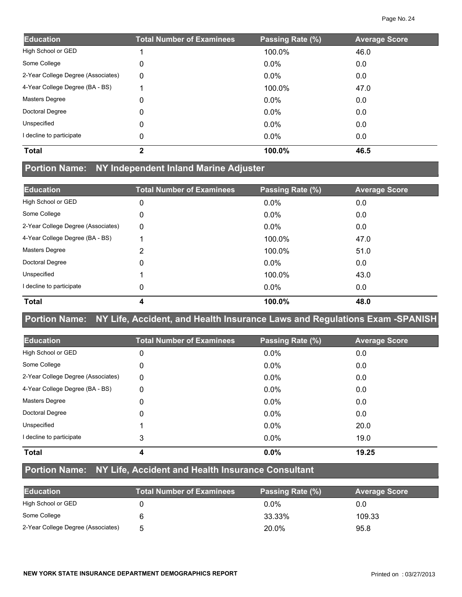| <b>Education</b>                   | <b>Total Number of Examinees</b> | Passing Rate (%) | <b>Average Score</b> |
|------------------------------------|----------------------------------|------------------|----------------------|
| High School or GED                 |                                  | 100.0%           | 46.0                 |
| Some College                       | 0                                | $0.0\%$          | 0.0                  |
| 2-Year College Degree (Associates) | 0                                | $0.0\%$          | 0.0                  |
| 4-Year College Degree (BA - BS)    |                                  | 100.0%           | 47.0                 |
| Masters Degree                     | 0                                | $0.0\%$          | 0.0                  |
| Doctoral Degree                    | 0                                | $0.0\%$          | 0.0                  |
| Unspecified                        | 0                                | $0.0\%$          | 0.0                  |
| I decline to participate           | 0                                | $0.0\%$          | 0.0                  |
| <b>Total</b>                       | $\mathbf{2}$                     | 100.0%           | 46.5                 |

## **Portion Name: NY Independent Inland Marine Adjuster**

| <b>Education</b>                   | <b>Total Number of Examinees</b> | Passing Rate (%) | <b>Average Score</b> |
|------------------------------------|----------------------------------|------------------|----------------------|
| High School or GED                 | 0                                | $0.0\%$          | 0.0                  |
| Some College                       | 0                                | $0.0\%$          | 0.0                  |
| 2-Year College Degree (Associates) | 0                                | 0.0%             | 0.0                  |
| 4-Year College Degree (BA - BS)    |                                  | 100.0%           | 47.0                 |
| <b>Masters Degree</b>              | 2                                | 100.0%           | 51.0                 |
| Doctoral Degree                    | $\Omega$                         | $0.0\%$          | 0.0                  |
| Unspecified                        |                                  | 100.0%           | 43.0                 |
| I decline to participate           | 0                                | $0.0\%$          | 0.0                  |
| <b>Total</b>                       | 4                                | 100.0%           | 48.0                 |

## **Portion Name: NY Life, Accident, and Health Insurance Laws and Regulations Exam -SPANISH**

| <b>Education</b>                   | <b>Total Number of Examinees</b> | Passing Rate (%) | <b>Average Score</b> |
|------------------------------------|----------------------------------|------------------|----------------------|
| High School or GED                 | 0                                | $0.0\%$          | 0.0                  |
| Some College                       | 0                                | $0.0\%$          | 0.0                  |
| 2-Year College Degree (Associates) | 0                                | $0.0\%$          | 0.0                  |
| 4-Year College Degree (BA - BS)    | 0                                | $0.0\%$          | 0.0                  |
| <b>Masters Degree</b>              | 0                                | $0.0\%$          | 0.0                  |
| Doctoral Degree                    | $\Omega$                         | $0.0\%$          | 0.0                  |
| Unspecified                        |                                  | $0.0\%$          | 20.0                 |
| I decline to participate           | 3                                | $0.0\%$          | 19.0                 |
| <b>Total</b>                       | 4                                | $0.0\%$          | 19.25                |

# **Portion Name: NY Life, Accident and Health Insurance Consultant**

| <b>Education</b>                   | <b>Total Number of Examinees</b> | Passing Rate (%) | <b>Average Score</b> |
|------------------------------------|----------------------------------|------------------|----------------------|
| High School or GED                 |                                  | $0.0\%$          | 0.0                  |
| Some College                       |                                  | 33.33%           | 109.33               |
| 2-Year College Degree (Associates) | h                                | 20.0%            | 95.8                 |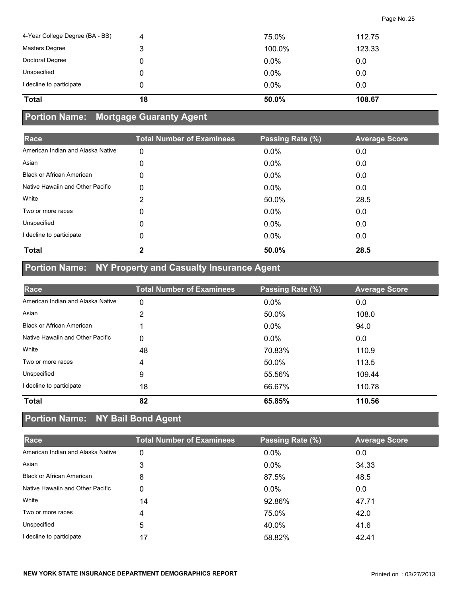| 4-Year College Degree (BA - BS) | 4  | 75.0%   | 112.75 |
|---------------------------------|----|---------|--------|
| Masters Degree                  | 3  | 100.0%  | 123.33 |
| Doctoral Degree                 | 0  | $0.0\%$ | 0.0    |
| Unspecified                     | 0  | $0.0\%$ | 0.0    |
| I decline to participate        | 0  | $0.0\%$ | 0.0    |
| <b>Total</b>                    | 18 | 50.0%   | 108.67 |

# **Portion Name: Mortgage Guaranty Agent**

| Race                              | <b>Total Number of Examinees</b> | Passing Rate (%) | <b>Average Score</b> |
|-----------------------------------|----------------------------------|------------------|----------------------|
| American Indian and Alaska Native | 0                                | 0.0%             | 0.0                  |
| Asian                             | 0                                | $0.0\%$          | 0.0                  |
| <b>Black or African American</b>  | 0                                | $0.0\%$          | 0.0                  |
| Native Hawaiin and Other Pacific  | 0                                | $0.0\%$          | 0.0                  |
| White                             | 2                                | 50.0%            | 28.5                 |
| Two or more races                 | 0                                | 0.0%             | 0.0                  |
| Unspecified                       | 0                                | 0.0%             | 0.0                  |
| I decline to participate          | 0                                | $0.0\%$          | 0.0                  |
| <b>Total</b>                      | $\mathbf{2}$                     | 50.0%            | 28.5                 |

# **Portion Name: NY Property and Casualty Insurance Agent**

| Race                              | <b>Total Number of Examinees</b> | Passing Rate (%) | <b>Average Score</b> |
|-----------------------------------|----------------------------------|------------------|----------------------|
| American Indian and Alaska Native | 0                                | $0.0\%$          | 0.0                  |
| Asian                             | 2                                | 50.0%            | 108.0                |
| <b>Black or African American</b>  |                                  | $0.0\%$          | 94.0                 |
| Native Hawaiin and Other Pacific  | 0                                | $0.0\%$          | 0.0                  |
| White                             | 48                               | 70.83%           | 110.9                |
| Two or more races                 | 4                                | 50.0%            | 113.5                |
| Unspecified                       | 9                                | 55.56%           | 109.44               |
| I decline to participate          | 18                               | 66.67%           | 110.78               |
| <b>Total</b>                      | 82                               | 65.85%           | 110.56               |

# **Portion Name: NY Bail Bond Agent**

| Race                              | <b>Total Number of Examinees</b> | Passing Rate (%) | <b>Average Score</b> |
|-----------------------------------|----------------------------------|------------------|----------------------|
| American Indian and Alaska Native | 0                                | $0.0\%$          | 0.0                  |
| Asian                             | 3                                | $0.0\%$          | 34.33                |
| <b>Black or African American</b>  | 8                                | 87.5%            | 48.5                 |
| Native Hawaiin and Other Pacific  | 0                                | $0.0\%$          | 0.0                  |
| White                             | 14                               | 92.86%           | 47.71                |
| Two or more races                 | 4                                | 75.0%            | 42.0                 |
| Unspecified                       | 5                                | 40.0%            | 41.6                 |
| I decline to participate          | 17                               | 58.82%           | 42.41                |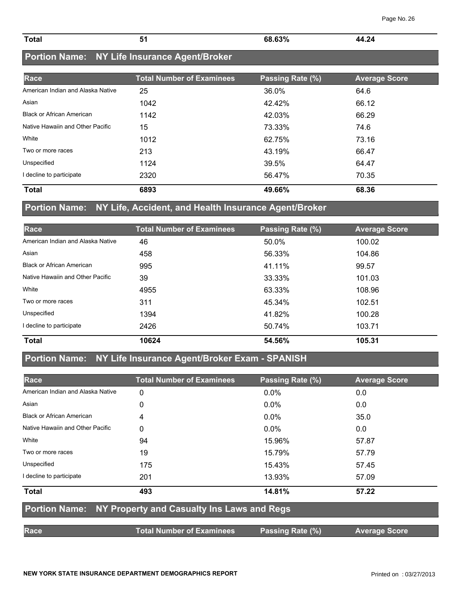| Page No. 26 |  |  |
|-------------|--|--|
|-------------|--|--|

| <b>Total</b> | $\sim$ 0.00/<br>68<br>7٥<br>uJ | 24<br>AA.<br>70 L<br>$\sim$ $\sim$ $\sim$ $\sim$ |
|--------------|--------------------------------|--------------------------------------------------|

## **Portion Name: NY Life Insurance Agent/Broker**

| Race                              | <b>Total Number of Examinees</b> | Passing Rate (%) | <b>Average Score</b> |
|-----------------------------------|----------------------------------|------------------|----------------------|
| American Indian and Alaska Native | 25                               | 36.0%            | 64.6                 |
| Asian                             | 1042                             | 42.42%           | 66.12                |
| <b>Black or African American</b>  | 1142                             | 42.03%           | 66.29                |
| Native Hawaiin and Other Pacific  | 15                               | 73.33%           | 74.6                 |
| White                             | 1012                             | 62.75%           | 73.16                |
| Two or more races                 | 213                              | 43.19%           | 66.47                |
| Unspecified                       | 1124                             | 39.5%            | 64.47                |
| I decline to participate          | 2320                             | 56.47%           | 70.35                |
| <b>Total</b>                      | 6893                             | 49.66%           | 68.36                |

## **Portion Name: NY Life, Accident, and Health Insurance Agent/Broker**

| Race                              | <b>Total Number of Examinees</b> | Passing Rate (%) | <b>Average Score</b> |
|-----------------------------------|----------------------------------|------------------|----------------------|
| American Indian and Alaska Native | 46                               | 50.0%            | 100.02               |
| Asian                             | 458                              | 56.33%           | 104.86               |
| <b>Black or African American</b>  | 995                              | 41.11%           | 99.57                |
| Native Hawaiin and Other Pacific  | 39                               | 33.33%           | 101.03               |
| White                             | 4955                             | 63.33%           | 108.96               |
| Two or more races                 | 311                              | 45.34%           | 102.51               |
| Unspecified                       | 1394                             | 41.82%           | 100.28               |
| I decline to participate          | 2426                             | 50.74%           | 103.71               |
| <b>Total</b>                      | 10624                            | 54.56%           | 105.31               |

## **Portion Name: NY Life Insurance Agent/Broker Exam - SPANISH**

| Race                                                            | <b>Total Number of Examinees</b> | Passing Rate (%) | <b>Average Score</b> |  |  |
|-----------------------------------------------------------------|----------------------------------|------------------|----------------------|--|--|
| American Indian and Alaska Native                               | 0                                | $0.0\%$          | 0.0                  |  |  |
| Asian                                                           | 0                                | $0.0\%$          | 0.0                  |  |  |
| <b>Black or African American</b>                                | 4                                | $0.0\%$          | 35.0                 |  |  |
| Native Hawaiin and Other Pacific                                | 0                                | $0.0\%$          | 0.0                  |  |  |
| White                                                           | 94                               | 15.96%           | 57.87                |  |  |
| Two or more races                                               | 19                               | 15.79%           | 57.79                |  |  |
| Unspecified                                                     | 175                              | 15.43%           | 57.45                |  |  |
| I decline to participate                                        | 201                              | 13.93%           | 57.09                |  |  |
| <b>Total</b>                                                    | 493                              | 14.81%           | 57.22                |  |  |
| <b>Portion Name: NY Property and Casualty Ins Laws and Regs</b> |                                  |                  |                      |  |  |
| Race                                                            | <b>Total Number of Examinees</b> | Passing Rate (%) | <b>Average Score</b> |  |  |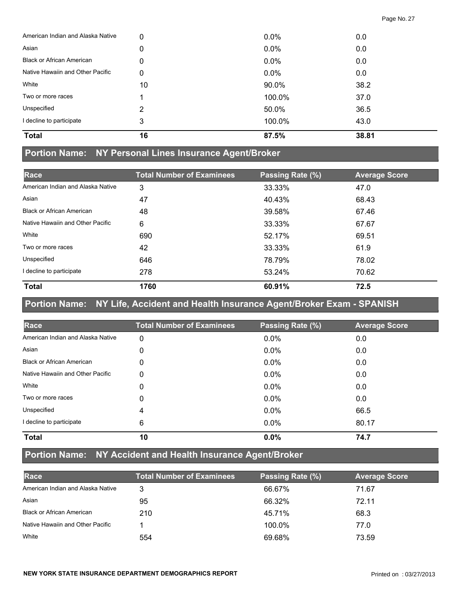| <b>Total</b>                      | 16 | 87.5%   | 38.81 |
|-----------------------------------|----|---------|-------|
| I decline to participate          | 3  | 100.0%  | 43.0  |
| Unspecified                       | 2  | 50.0%   | 36.5  |
| Two or more races                 |    | 100.0%  | 37.0  |
| White                             | 10 | 90.0%   | 38.2  |
| Native Hawaiin and Other Pacific  | 0  | $0.0\%$ | 0.0   |
| <b>Black or African American</b>  | 0  | 0.0%    | 0.0   |
| Asian                             | 0  | 0.0%    | 0.0   |
| American Indian and Alaska Native | 0  | $0.0\%$ | 0.0   |

#### **Portion Name: NY Personal Lines Insurance Agent/Broker**

| Race                              | <b>Total Number of Examinees</b> | Passing Rate (%) | <b>Average Score</b> |
|-----------------------------------|----------------------------------|------------------|----------------------|
| American Indian and Alaska Native | 3                                | 33.33%           | 47.0                 |
| Asian                             | 47                               | 40.43%           | 68.43                |
| <b>Black or African American</b>  | 48                               | 39.58%           | 67.46                |
| Native Hawaiin and Other Pacific  | 6                                | 33.33%           | 67.67                |
| White                             | 690                              | 52.17%           | 69.51                |
| Two or more races                 | 42                               | 33.33%           | 61.9                 |
| Unspecified                       | 646                              | 78.79%           | 78.02                |
| I decline to participate          | 278                              | 53.24%           | 70.62                |
| <b>Total</b>                      | 1760                             | 60.91%           | 72.5                 |

## **Portion Name: NY Life, Accident and Health Insurance Agent/Broker Exam - SPANISH**

| Race                              | <b>Total Number of Examinees</b> | Passing Rate (%) | <b>Average Score</b> |
|-----------------------------------|----------------------------------|------------------|----------------------|
| American Indian and Alaska Native | 0                                | 0.0%             | 0.0                  |
| Asian                             | 0                                | $0.0\%$          | 0.0                  |
| <b>Black or African American</b>  | 0                                | 0.0%             | 0.0                  |
| Native Hawaiin and Other Pacific  | 0                                | 0.0%             | 0.0                  |
| White                             | 0                                | 0.0%             | 0.0                  |
| Two or more races                 | 0                                | 0.0%             | 0.0                  |
| Unspecified                       | 4                                | 0.0%             | 66.5                 |
| I decline to participate          | 6                                | 0.0%             | 80.17                |
| <b>Total</b>                      | 10                               | 0.0%             | 74.7                 |

# **Portion Name: NY Accident and Health Insurance Agent/Broker**

| Race                              | <b>Total Number of Examinees</b> | Passing Rate (%) | <b>Average Score</b> |
|-----------------------------------|----------------------------------|------------------|----------------------|
| American Indian and Alaska Native |                                  | 66.67%           | 71.67                |
| Asian                             | 95                               | 66.32%           | 72.11                |
| <b>Black or African American</b>  | 210                              | 45.71%           | 68.3                 |
| Native Hawaiin and Other Pacific  |                                  | 100.0%           | 77.0                 |
| White                             | 554                              | 69.68%           | 73.59                |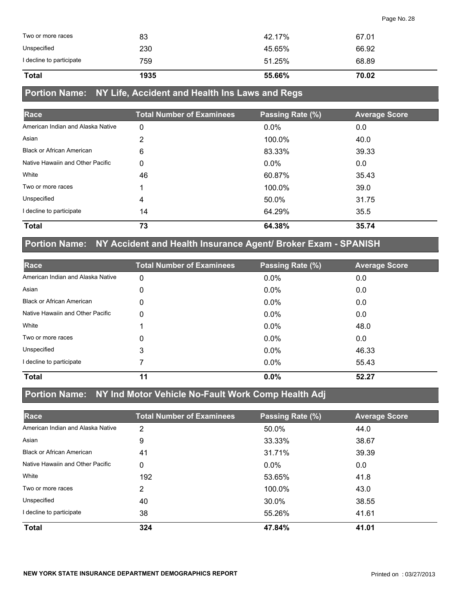| <b>Total</b>             | 1935 | 55.66% | 70.02 |
|--------------------------|------|--------|-------|
| I decline to participate | 759  | 51.25% | 68.89 |
| Unspecified              | 230  | 45.65% | 66.92 |
| Two or more races        | 83   | 42.17% | 67.01 |

## **Portion Name: NY Life, Accident and Health Ins Laws and Regs**

| Race                              | <b>Total Number of Examinees</b> | Passing Rate (%) | <b>Average Score</b> |
|-----------------------------------|----------------------------------|------------------|----------------------|
| American Indian and Alaska Native | 0                                | 0.0%             | 0.0                  |
| Asian                             | 2                                | 100.0%           | 40.0                 |
| <b>Black or African American</b>  | 6                                | 83.33%           | 39.33                |
| Native Hawaiin and Other Pacific  | 0                                | $0.0\%$          | 0.0                  |
| White                             | 46                               | 60.87%           | 35.43                |
| Two or more races                 |                                  | 100.0%           | 39.0                 |
| Unspecified                       | 4                                | 50.0%            | 31.75                |
| I decline to participate          | 14                               | 64.29%           | 35.5                 |
| <b>Total</b>                      | 73                               | 64.38%           | 35.74                |

# **Portion Name: NY Accident and Health Insurance Agent/ Broker Exam - SPANISH**

| Race                              | <b>Total Number of Examinees</b> | Passing Rate (%) | <b>Average Score</b> |
|-----------------------------------|----------------------------------|------------------|----------------------|
| American Indian and Alaska Native | 0                                | $0.0\%$          | 0.0                  |
| Asian                             | 0                                | 0.0%             | 0.0                  |
| <b>Black or African American</b>  | 0                                | $0.0\%$          | 0.0                  |
| Native Hawaiin and Other Pacific  | 0                                | $0.0\%$          | 0.0                  |
| White                             |                                  | 0.0%             | 48.0                 |
| Two or more races                 | 0                                | $0.0\%$          | 0.0                  |
| Unspecified                       | 3                                | $0.0\%$          | 46.33                |
| decline to participate            |                                  | 0.0%             | 55.43                |
| <b>Total</b>                      | 11                               | 0.0%             | 52.27                |

#### **Portion Name: NY Ind Motor Vehicle No-Fault Work Comp Health Adj**

| Race                              | <b>Total Number of Examinees</b> | Passing Rate (%) | <b>Average Score</b> |
|-----------------------------------|----------------------------------|------------------|----------------------|
| American Indian and Alaska Native | 2                                | 50.0%            | 44.0                 |
| Asian                             | 9                                | 33.33%           | 38.67                |
| <b>Black or African American</b>  | 41                               | 31.71%           | 39.39                |
| Native Hawaiin and Other Pacific  | 0                                | $0.0\%$          | 0.0                  |
| White                             | 192                              | 53.65%           | 41.8                 |
| Two or more races                 | 2                                | 100.0%           | 43.0                 |
| Unspecified                       | 40                               | 30.0%            | 38.55                |
| decline to participate            | 38                               | 55.26%           | 41.61                |
| <b>Total</b>                      | 324                              | 47.84%           | 41.01                |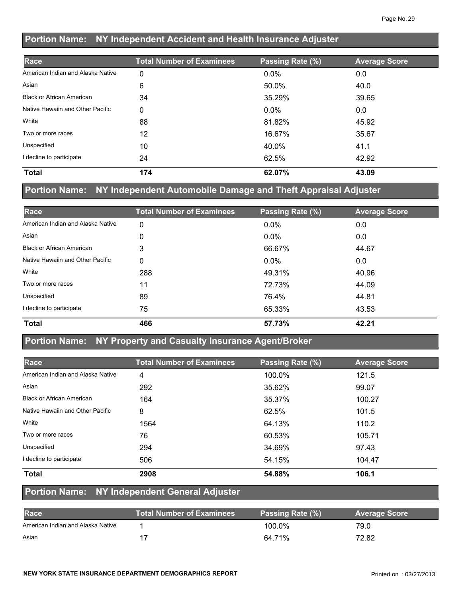## **Portion Name: NY Independent Accident and Health Insurance Adjuster**

| Race                              | <b>Total Number of Examinees</b> | Passing Rate (%) | <b>Average Score</b> |
|-----------------------------------|----------------------------------|------------------|----------------------|
| American Indian and Alaska Native | 0                                | 0.0%             | 0.0                  |
| Asian                             | 6                                | 50.0%            | 40.0                 |
| <b>Black or African American</b>  | 34                               | 35.29%           | 39.65                |
| Native Hawaiin and Other Pacific  | 0                                | $0.0\%$          | 0.0                  |
| White                             | 88                               | 81.82%           | 45.92                |
| Two or more races                 | 12                               | 16.67%           | 35.67                |
| Unspecified                       | 10                               | 40.0%            | 41.1                 |
| I decline to participate          | 24                               | 62.5%            | 42.92                |
| <b>Total</b>                      | 174                              | 62.07%           | 43.09                |

#### **Portion Name: NY Independent Automobile Damage and Theft Appraisal Adjuster**

| Race                              | <b>Total Number of Examinees</b> | Passing Rate (%) | <b>Average Score</b> |
|-----------------------------------|----------------------------------|------------------|----------------------|
| American Indian and Alaska Native | 0                                | 0.0%             | 0.0                  |
| Asian                             | 0                                | $0.0\%$          | 0.0                  |
| <b>Black or African American</b>  | 3                                | 66.67%           | 44.67                |
| Native Hawaiin and Other Pacific  | 0                                | $0.0\%$          | 0.0                  |
| White                             | 288                              | 49.31%           | 40.96                |
| Two or more races                 | 11                               | 72.73%           | 44.09                |
| Unspecified                       | 89                               | 76.4%            | 44.81                |
| I decline to participate          | 75                               | 65.33%           | 43.53                |
| <b>Total</b>                      | 466                              | 57.73%           | 42.21                |

#### **Portion Name: NY Property and Casualty Insurance Agent/Broker**

| Race                              | <b>Total Number of Examinees</b> | Passing Rate (%) | <b>Average Score</b> |
|-----------------------------------|----------------------------------|------------------|----------------------|
| American Indian and Alaska Native | 4                                | 100.0%           | 121.5                |
| Asian                             | 292                              | 35.62%           | 99.07                |
| <b>Black or African American</b>  | 164                              | 35.37%           | 100.27               |
| Native Hawaiin and Other Pacific  | 8                                | 62.5%            | 101.5                |
| White                             | 1564                             | 64.13%           | 110.2                |
| Two or more races                 | 76                               | 60.53%           | 105.71               |
| Unspecified                       | 294                              | 34.69%           | 97.43                |
| I decline to participate          | 506                              | 54.15%           | 104.47               |
| Total                             | 2908                             | 54.88%           | 106.1                |

#### **Portion Name: NY Independent General Adjuster**

| <b>Race</b>                       | <b>Total Number of Examinees</b> | Passing Rate (%) | <b>Average Score</b> |
|-----------------------------------|----------------------------------|------------------|----------------------|
| American Indian and Alaska Native |                                  | 100.0%           | 79.0                 |
| Asian                             |                                  | 64.71%           | 72.82                |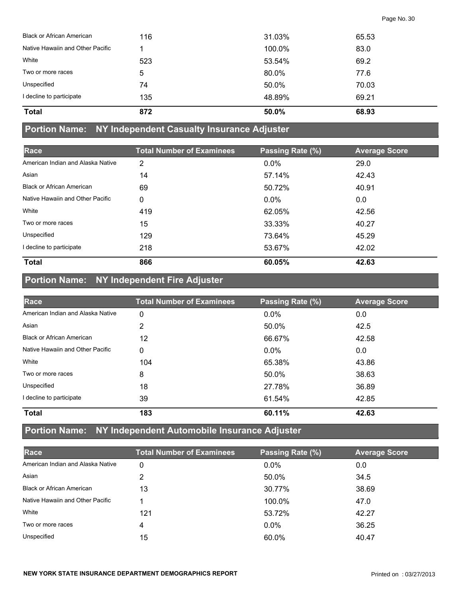| 872 | 50.0%  | 68.93 |  |
|-----|--------|-------|--|
| 135 | 48.89% | 69.21 |  |
| 74  | 50.0%  | 70.03 |  |
| 5   | 80.0%  | 77.6  |  |
| 523 | 53.54% | 69.2  |  |
|     | 100.0% | 83.0  |  |
| 116 | 31.03% | 65.53 |  |
|     |        |       |  |

#### **Portion Name: NY Independent Casualty Insurance Adjuster**

| Race                              | <b>Total Number of Examinees</b> | Passing Rate (%) | <b>Average Score</b> |
|-----------------------------------|----------------------------------|------------------|----------------------|
| American Indian and Alaska Native | 2                                | $0.0\%$          | 29.0                 |
| Asian                             | 14                               | 57.14%           | 42.43                |
| <b>Black or African American</b>  | 69                               | 50.72%           | 40.91                |
| Native Hawaiin and Other Pacific  | 0                                | $0.0\%$          | 0.0                  |
| White                             | 419                              | 62.05%           | 42.56                |
| Two or more races                 | 15                               | 33.33%           | 40.27                |
| Unspecified                       | 129                              | 73.64%           | 45.29                |
| I decline to participate          | 218                              | 53.67%           | 42.02                |
| <b>Total</b>                      | 866                              | 60.05%           | 42.63                |

# **Portion Name: NY Independent Fire Adjuster**

| Race                              | <b>Total Number of Examinees</b> | Passing Rate (%) | <b>Average Score</b> |
|-----------------------------------|----------------------------------|------------------|----------------------|
| American Indian and Alaska Native | 0                                | 0.0%             | 0.0                  |
| Asian                             | 2                                | 50.0%            | 42.5                 |
| <b>Black or African American</b>  | 12                               | 66.67%           | 42.58                |
| Native Hawaiin and Other Pacific  | 0                                | $0.0\%$          | 0.0                  |
| White                             | 104                              | 65.38%           | 43.86                |
| Two or more races                 | 8                                | 50.0%            | 38.63                |
| Unspecified                       | 18                               | 27.78%           | 36.89                |
| I decline to participate          | 39                               | 61.54%           | 42.85                |
| <b>Total</b>                      | 183                              | 60.11%           | 42.63                |

## **Portion Name: NY Independent Automobile Insurance Adjuster**

| Race                              | <b>Total Number of Examinees</b> | Passing Rate (%) | <b>Average Score</b> |
|-----------------------------------|----------------------------------|------------------|----------------------|
| American Indian and Alaska Native | 0                                | $0.0\%$          | 0.0                  |
| Asian                             |                                  | 50.0%            | 34.5                 |
| <b>Black or African American</b>  | 13                               | 30.77%           | 38.69                |
| Native Hawaiin and Other Pacific  |                                  | 100.0%           | 47.0                 |
| White                             | 121                              | 53.72%           | 42.27                |
| Two or more races                 | 4                                | $0.0\%$          | 36.25                |
| Unspecified                       | 15                               | 60.0%            | 40.47                |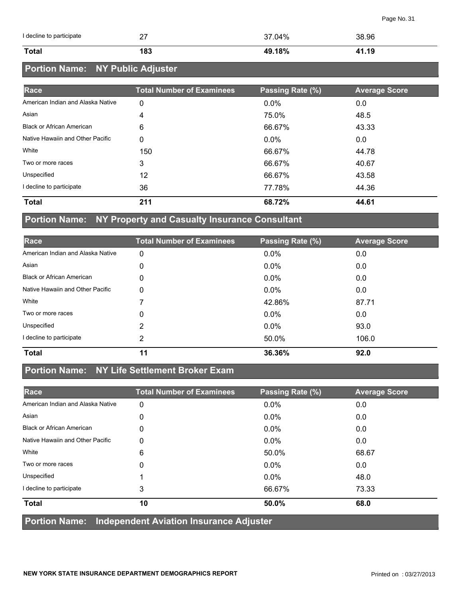| I decline to participate | າາ<br>$\epsilon'$ | 37.04% | 38.96 |
|--------------------------|-------------------|--------|-------|
| <b>Total</b>             | 183               | 49.18% | 41.19 |

# **Portion Name: NY Public Adjuster**

| Race                              | <b>Total Number of Examinees</b> | Passing Rate (%) | <b>Average Score</b> |
|-----------------------------------|----------------------------------|------------------|----------------------|
| American Indian and Alaska Native | 0                                | $0.0\%$          | 0.0                  |
| Asian                             | 4                                | 75.0%            | 48.5                 |
| <b>Black or African American</b>  | 6                                | 66.67%           | 43.33                |
| Native Hawaiin and Other Pacific  | 0                                | $0.0\%$          | 0.0                  |
| White                             | 150                              | 66.67%           | 44.78                |
| Two or more races                 | 3                                | 66.67%           | 40.67                |
| Unspecified                       | 12                               | 66.67%           | 43.58                |
| I decline to participate          | 36                               | 77.78%           | 44.36                |
| <b>Total</b>                      | 211                              | 68.72%           | 44.61                |

#### **Portion Name: NY Property and Casualty Insurance Consultant**

| Race                              | <b>Total Number of Examinees</b> | Passing Rate (%) | <b>Average Score</b> |
|-----------------------------------|----------------------------------|------------------|----------------------|
| American Indian and Alaska Native | 0                                | 0.0%             | 0.0                  |
| Asian                             | 0                                | $0.0\%$          | 0.0                  |
| <b>Black or African American</b>  | 0                                | $0.0\%$          | 0.0                  |
| Native Hawaiin and Other Pacific  | 0                                | 0.0%             | 0.0                  |
| White                             |                                  | 42.86%           | 87.71                |
| Two or more races                 | 0                                | $0.0\%$          | 0.0                  |
| Unspecified                       | 2                                | $0.0\%$          | 93.0                 |
| I decline to participate          | 2                                | 50.0%            | 106.0                |
| <b>Total</b>                      | 11                               | 36.36%           | 92.0                 |

## **Portion Name: NY Life Settlement Broker Exam**

| Race                                                                                                                               | <b>Total Number of Examinees</b> | Passing Rate (%) | <b>Average Score</b> |
|------------------------------------------------------------------------------------------------------------------------------------|----------------------------------|------------------|----------------------|
| American Indian and Alaska Native                                                                                                  | 0                                | 0.0%             | 0.0                  |
| Asian                                                                                                                              | 0                                | $0.0\%$          | 0.0                  |
| <b>Black or African American</b>                                                                                                   | 0                                | $0.0\%$          | 0.0                  |
| Native Hawaiin and Other Pacific                                                                                                   | 0                                | $0.0\%$          | 0.0                  |
| White                                                                                                                              | 6                                | 50.0%            | 68.67                |
| Two or more races                                                                                                                  | 0                                | 0.0%             | 0.0                  |
| Unspecified                                                                                                                        |                                  | $0.0\%$          | 48.0                 |
| I decline to participate                                                                                                           | 3                                | 66.67%           | 73.33                |
| <b>Total</b>                                                                                                                       | 10                               | 50.0%            | 68.0                 |
| $\mathbf{B}$ and $\mathbf{B}$ are the set of the set of the set of the set of the set of $\mathbf{A}$ . If the set of $\mathbf{A}$ |                                  |                  |                      |

**Portion Name: Independent Aviation Insurance Adjuster**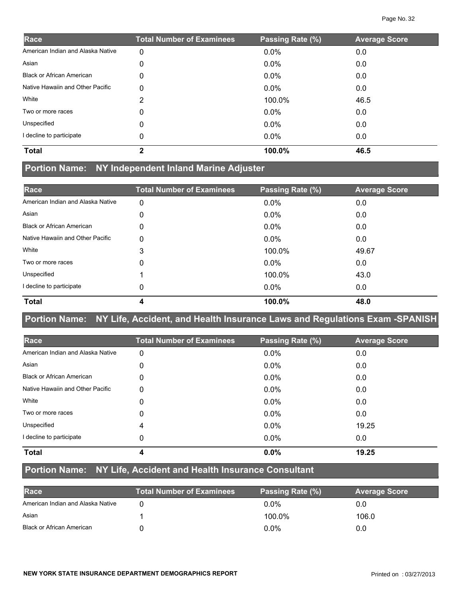| Race                              | <b>Total Number of Examinees</b> | Passing Rate (%) | <b>Average Score</b> |
|-----------------------------------|----------------------------------|------------------|----------------------|
| American Indian and Alaska Native | 0                                | 0.0%             | 0.0                  |
| Asian                             | 0                                | $0.0\%$          | 0.0                  |
| <b>Black or African American</b>  | 0                                | $0.0\%$          | 0.0                  |
| Native Hawaiin and Other Pacific  | 0                                | $0.0\%$          | 0.0                  |
| White                             | 2                                | 100.0%           | 46.5                 |
| Two or more races                 | 0                                | $0.0\%$          | 0.0                  |
| Unspecified                       | 0                                | $0.0\%$          | 0.0                  |
| I decline to participate          | 0                                | $0.0\%$          | 0.0                  |
| <b>Total</b>                      | $\mathbf{2}$                     | 100.0%           | 46.5                 |

## **Portion Name: NY Independent Inland Marine Adjuster**

| Race                              | <b>Total Number of Examinees</b> | Passing Rate (%) | <b>Average Score</b> |
|-----------------------------------|----------------------------------|------------------|----------------------|
| American Indian and Alaska Native | 0                                | 0.0%             | 0.0                  |
| Asian                             | 0                                | $0.0\%$          | 0.0                  |
| <b>Black or African American</b>  | 0                                | $0.0\%$          | 0.0                  |
| Native Hawaiin and Other Pacific  | 0                                | $0.0\%$          | 0.0                  |
| White                             | 3                                | 100.0%           | 49.67                |
| Two or more races                 | 0                                | $0.0\%$          | 0.0                  |
| Unspecified                       |                                  | 100.0%           | 43.0                 |
| I decline to participate          | 0                                | $0.0\%$          | 0.0                  |
| <b>Total</b>                      | 4                                | 100.0%           | 48.0                 |

## **Portion Name: NY Life, Accident, and Health Insurance Laws and Regulations Exam -SPANISH**

| Race                              | <b>Total Number of Examinees</b> | Passing Rate (%) | <b>Average Score</b> |
|-----------------------------------|----------------------------------|------------------|----------------------|
| American Indian and Alaska Native | 0                                | 0.0%             | 0.0                  |
| Asian                             | 0                                | $0.0\%$          | 0.0                  |
| <b>Black or African American</b>  | 0                                | $0.0\%$          | 0.0                  |
| Native Hawaiin and Other Pacific  | 0                                | $0.0\%$          | 0.0                  |
| White                             | 0                                | 0.0%             | 0.0                  |
| Two or more races                 | 0                                | 0.0%             | 0.0                  |
| Unspecified                       | 4                                | $0.0\%$          | 19.25                |
| decline to participate            | 0                                | 0.0%             | 0.0                  |
| <b>Total</b>                      | 4                                | 0.0%             | 19.25                |

# **Portion Name: NY Life, Accident and Health Insurance Consultant**

| Race                              | <b>Total Number of Examinees</b> | Passing Rate (%) | <b>Average Score</b> |
|-----------------------------------|----------------------------------|------------------|----------------------|
| American Indian and Alaska Native |                                  | $0.0\%$          |                      |
| Asian                             |                                  | 100.0%           | 106.0                |
| <b>Black or African American</b>  |                                  | $0.0\%$          |                      |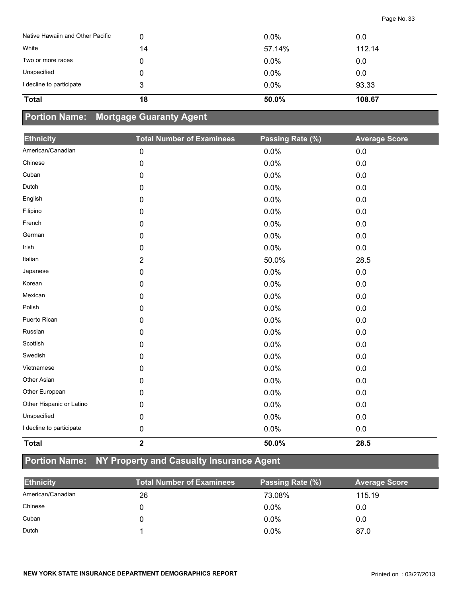| Native Hawaiin and Other Pacific | 0  | $0.0\%$ | 0.0    |
|----------------------------------|----|---------|--------|
| White                            | 14 | 57.14%  | 112.14 |
| Two or more races                |    | $0.0\%$ | 0.0    |
| Unspecified                      |    | $0.0\%$ | 0.0    |
| I decline to participate         | 3  | 0.0%    | 93.33  |
| <b>Total</b>                     | 18 | 50.0%   | 108.67 |

## **Portion Name: Mortgage Guaranty Agent**

| <b>Ethnicity</b>         | <b>Total Number of Examinees</b> | Passing Rate (%) | <b>Average Score</b> |
|--------------------------|----------------------------------|------------------|----------------------|
| American/Canadian        | $\pmb{0}$                        | 0.0%             | 0.0                  |
| Chinese                  | 0                                | 0.0%             | $0.0\,$              |
| Cuban                    | 0                                | 0.0%             | 0.0                  |
| Dutch                    | 0                                | 0.0%             | 0.0                  |
| English                  | $\mathbf 0$                      | 0.0%             | 0.0                  |
| Filipino                 | 0                                | 0.0%             | 0.0                  |
| French                   | 0                                | 0.0%             | 0.0                  |
| German                   | 0                                | 0.0%             | $0.0\,$              |
| Irish                    | 0                                | 0.0%             | 0.0                  |
| Italian                  | $\overline{2}$                   | 50.0%            | 28.5                 |
| Japanese                 | 0                                | 0.0%             | 0.0                  |
| Korean                   | 0                                | 0.0%             | 0.0                  |
| Mexican                  | 0                                | 0.0%             | $0.0\,$              |
| Polish                   | 0                                | 0.0%             | 0.0                  |
| Puerto Rican             | 0                                | 0.0%             | $0.0\,$              |
| Russian                  | 0                                | 0.0%             | 0.0                  |
| Scottish                 | 0                                | 0.0%             | $0.0\,$              |
| Swedish                  | 0                                | 0.0%             | 0.0                  |
| Vietnamese               | 0                                | 0.0%             | $0.0\,$              |
| Other Asian              | 0                                | 0.0%             | 0.0                  |
| Other European           | 0                                | 0.0%             | 0.0                  |
| Other Hispanic or Latino | 0                                | 0.0%             | 0.0                  |
| Unspecified              | 0                                | 0.0%             | $0.0\,$              |
| I decline to participate | 0                                | 0.0%             | 0.0                  |
| <b>Total</b>             | $\overline{\mathbf{2}}$          | 50.0%            | 28.5                 |

# **Portion Name: NY Property and Casualty Insurance Agent**

| <b>Ethnicity</b>  | <b>Total Number of Examinees</b> | Passing Rate (%) | <b>Average Score</b> |
|-------------------|----------------------------------|------------------|----------------------|
| American/Canadian | 26                               | 73.08%           | 115.19               |
| Chinese           |                                  | $0.0\%$          | 0.0                  |
| Cuban             |                                  | $0.0\%$          | 0.0                  |
| Dutch             |                                  | 0.0%             | 87.0                 |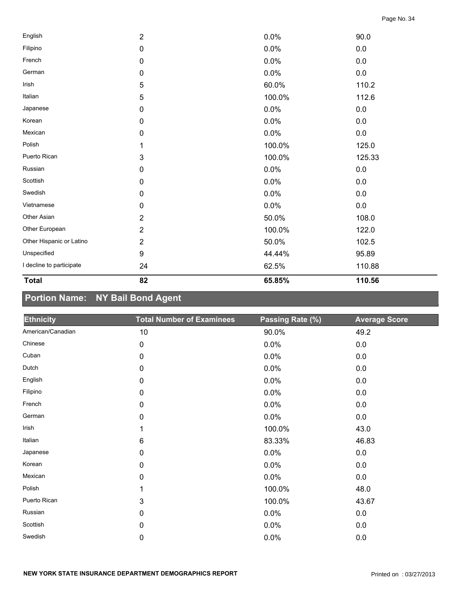| <b>Total</b>             | 82             | 65.85% | 110.56  |
|--------------------------|----------------|--------|---------|
| I decline to participate | 24             | 62.5%  | 110.88  |
| Unspecified              | 9              | 44.44% | 95.89   |
| Other Hispanic or Latino | $\overline{2}$ | 50.0%  | 102.5   |
| Other European           | $\overline{2}$ | 100.0% | 122.0   |
| Other Asian              | $\overline{2}$ | 50.0%  | 108.0   |
| Vietnamese               | 0              | 0.0%   | 0.0     |
| Swedish                  | 0              | 0.0%   | 0.0     |
| Scottish                 | 0              | 0.0%   | 0.0     |
| Russian                  | 0              | 0.0%   | 0.0     |
| Puerto Rican             | 3              | 100.0% | 125.33  |
| Polish                   | 1              | 100.0% | 125.0   |
| Mexican                  | 0              | 0.0%   | 0.0     |
| Korean                   | 0              | 0.0%   | $0.0\,$ |
| Japanese                 | 0              | 0.0%   | 0.0     |
| Italian                  | 5              | 100.0% | 112.6   |
| Irish                    | 5              | 60.0%  | 110.2   |
| German                   | 0              | 0.0%   | 0.0     |
| French                   | 0              | 0.0%   | 0.0     |
| Filipino                 | 0              | 0.0%   | $0.0\,$ |
| English                  | $\overline{2}$ | 0.0%   | 90.0    |

# **Portion Name: NY Bail Bond Agent**

| <b>Ethnicity</b>  | <b>Total Number of Examinees</b> | Passing Rate (%) | <b>Average Score</b> |
|-------------------|----------------------------------|------------------|----------------------|
| American/Canadian | 10                               | 90.0%            | 49.2                 |
| Chinese           | $\mathbf 0$                      | 0.0%             | 0.0                  |
| Cuban             | $\pmb{0}$                        | 0.0%             | 0.0                  |
| Dutch             | $\pmb{0}$                        | 0.0%             | 0.0                  |
| English           | $\pmb{0}$                        | 0.0%             | 0.0                  |
| Filipino          | 0                                | 0.0%             | 0.0                  |
| French            | $\pmb{0}$                        | 0.0%             | 0.0                  |
| German            | $\pmb{0}$                        | 0.0%             | 0.0                  |
| Irish             | 1                                | 100.0%           | 43.0                 |
| Italian           | $\,6$                            | 83.33%           | 46.83                |
| Japanese          | $\pmb{0}$                        | 0.0%             | 0.0                  |
| Korean            | $\pmb{0}$                        | 0.0%             | 0.0                  |
| Mexican           | $\pmb{0}$                        | 0.0%             | 0.0                  |
| Polish            | 1                                | 100.0%           | 48.0                 |
| Puerto Rican      | 3                                | 100.0%           | 43.67                |
| Russian           | $\mathbf 0$                      | 0.0%             | 0.0                  |
| Scottish          | $\mathbf 0$                      | 0.0%             | 0.0                  |
| Swedish           | 0                                | 0.0%             | $0.0\,$              |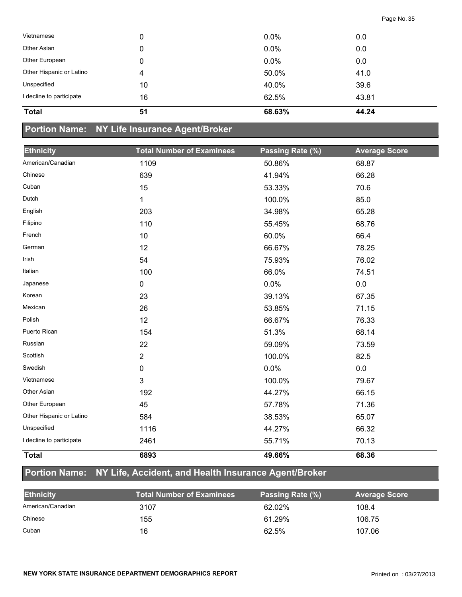| <b>Total</b>             | 51 | 68.63%  | 44.24 |  |
|--------------------------|----|---------|-------|--|
| I decline to participate | 16 | 62.5%   | 43.81 |  |
| Unspecified              | 10 | 40.0%   | 39.6  |  |
| Other Hispanic or Latino | 4  | 50.0%   | 41.0  |  |
| Other European           | 0  | $0.0\%$ | 0.0   |  |
| Other Asian              | 0  | $0.0\%$ | 0.0   |  |
| Vietnamese               | 0  | $0.0\%$ | 0.0   |  |
|                          |    |         |       |  |

## **Portion Name: NY Life Insurance Agent/Broker**

| <b>Ethnicity</b>         | <b>Total Number of Examinees</b> | Passing Rate (%) | <b>Average Score</b> |
|--------------------------|----------------------------------|------------------|----------------------|
| American/Canadian        | 1109                             | 50.86%           | 68.87                |
| Chinese                  | 639                              | 41.94%           | 66.28                |
| Cuban                    | 15                               | 53.33%           | 70.6                 |
| Dutch                    | 1                                | 100.0%           | 85.0                 |
| English                  | 203                              | 34.98%           | 65.28                |
| Filipino                 | 110                              | 55.45%           | 68.76                |
| French                   | 10                               | 60.0%            | 66.4                 |
| German                   | 12                               | 66.67%           | 78.25                |
| Irish                    | 54                               | 75.93%           | 76.02                |
| Italian                  | 100                              | 66.0%            | 74.51                |
| Japanese                 | $\mathbf 0$                      | 0.0%             | 0.0                  |
| Korean                   | 23                               | 39.13%           | 67.35                |
| Mexican                  | 26                               | 53.85%           | 71.15                |
| Polish                   | 12                               | 66.67%           | 76.33                |
| Puerto Rican             | 154                              | 51.3%            | 68.14                |
| Russian                  | 22                               | 59.09%           | 73.59                |
| Scottish                 | $\overline{2}$                   | 100.0%           | 82.5                 |
| Swedish                  | 0                                | 0.0%             | $0.0\,$              |
| Vietnamese               | 3                                | 100.0%           | 79.67                |
| Other Asian              | 192                              | 44.27%           | 66.15                |
| Other European           | 45                               | 57.78%           | 71.36                |
| Other Hispanic or Latino | 584                              | 38.53%           | 65.07                |
| Unspecified              | 1116                             | 44.27%           | 66.32                |
| I decline to participate | 2461                             | 55.71%           | 70.13                |
| <b>Total</b>             | 6893                             | 49.66%           | 68.36                |

## **Portion Name: NY Life, Accident, and Health Insurance Agent/Broker**

| <b>Ethnicity</b>  | <b>Total Number of Examinees</b> | Passing Rate (%) | <b>Average Score</b> |
|-------------------|----------------------------------|------------------|----------------------|
| American/Canadian | 3107                             | 62.02%           | 108.4                |
| Chinese           | 155                              | 61.29%           | 106.75               |
| Cuban             | 16                               | 62.5%            | 107.06               |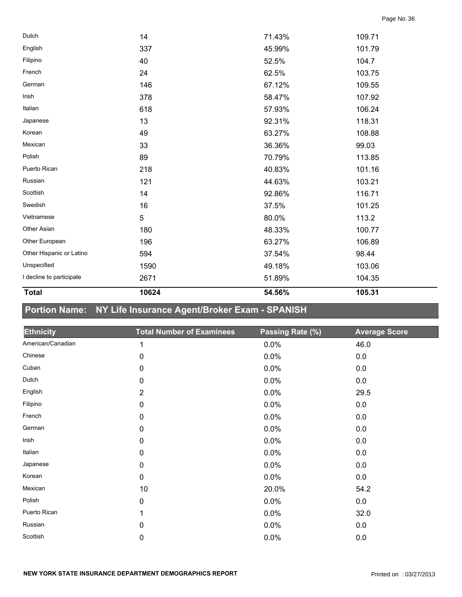| <b>Total</b>             | 10624 | 54.56% | 105.31 |  |
|--------------------------|-------|--------|--------|--|
| I decline to participate | 2671  | 51.89% | 104.35 |  |
| Unspecified              | 1590  | 49.18% | 103.06 |  |
| Other Hispanic or Latino | 594   | 37.54% | 98.44  |  |
| Other European           | 196   | 63.27% | 106.89 |  |
| Other Asian              | 180   | 48.33% | 100.77 |  |
| Vietnamese               | 5     | 80.0%  | 113.2  |  |
| Swedish                  | 16    | 37.5%  | 101.25 |  |
| Scottish                 | 14    | 92.86% | 116.71 |  |
| Russian                  | 121   | 44.63% | 103.21 |  |
| Puerto Rican             | 218   | 40.83% | 101.16 |  |
| Polish                   | 89    | 70.79% | 113.85 |  |
| Mexican                  | 33    | 36.36% | 99.03  |  |
| Korean                   | 49    | 63.27% | 108.88 |  |
| Japanese                 | 13    | 92.31% | 118.31 |  |
| Italian                  | 618   | 57.93% | 106.24 |  |
| Irish                    | 378   | 58.47% | 107.92 |  |
| German                   | 146   | 67.12% | 109.55 |  |
| French                   | 24    | 62.5%  | 103.75 |  |
| Filipino                 | 40    | 52.5%  | 104.7  |  |
| English                  | 337   | 45.99% | 101.79 |  |
| Dutch                    | 14    | 71.43% | 109.71 |  |
|                          |       |        |        |  |

# **Portion Name: NY Life Insurance Agent/Broker Exam - SPANISH**

| <b>Ethnicity</b>  | <b>Total Number of Examinees</b> | Passing Rate (%) | <b>Average Score</b> |
|-------------------|----------------------------------|------------------|----------------------|
| American/Canadian | 1                                | 0.0%             | 46.0                 |
| Chinese           | $\mathbf 0$                      | 0.0%             | 0.0                  |
| Cuban             | 0                                | 0.0%             | 0.0                  |
| Dutch             | $\mathbf 0$                      | 0.0%             | 0.0                  |
| English           | 2                                | 0.0%             | 29.5                 |
| Filipino          | $\pmb{0}$                        | 0.0%             | 0.0                  |
| French            | $\pmb{0}$                        | 0.0%             | 0.0                  |
| German            | $\pmb{0}$                        | 0.0%             | 0.0                  |
| Irish             | $\pmb{0}$                        | 0.0%             | 0.0                  |
| Italian           | 0                                | 0.0%             | 0.0                  |
| Japanese          | 0                                | 0.0%             | 0.0                  |
| Korean            | 0                                | 0.0%             | 0.0                  |
| Mexican           | 10                               | 20.0%            | 54.2                 |
| Polish            | $\mathbf 0$                      | 0.0%             | 0.0                  |
| Puerto Rican      | 1                                | 0.0%             | 32.0                 |
| Russian           | $\mathbf 0$                      | 0.0%             | 0.0                  |
| Scottish          | 0                                | 0.0%             | 0.0                  |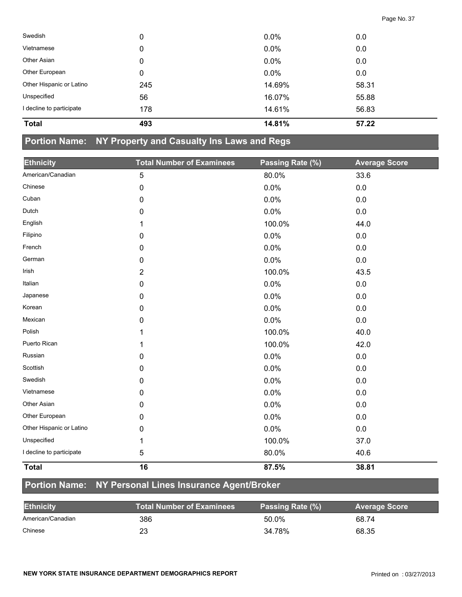| Swedish                  | 0   | 0.0%   | 0.0   |
|--------------------------|-----|--------|-------|
| Vietnamese               | 0   | 0.0%   | 0.0   |
| Other Asian              | 0   | 0.0%   | 0.0   |
| Other European           | 0   | 0.0%   | 0.0   |
| Other Hispanic or Latino | 245 | 14.69% | 58.31 |
| Unspecified              | 56  | 16.07% | 55.88 |
| I decline to participate | 178 | 14.61% | 56.83 |
| <b>Total</b>             | 493 | 14.81% | 57.22 |

#### **Portion Name: NY Property and Casualty Ins Laws and Regs**

| <b>Ethnicity</b>         | <b>Total Number of Examinees</b> | Passing Rate (%) | <b>Average Score</b> |
|--------------------------|----------------------------------|------------------|----------------------|
| American/Canadian        | $\sqrt{5}$                       | 80.0%            | 33.6                 |
| Chinese                  | $\pmb{0}$                        | 0.0%             | 0.0                  |
| Cuban                    | 0                                | 0.0%             | 0.0                  |
| Dutch                    | 0                                | 0.0%             | 0.0                  |
| English                  | 1                                | 100.0%           | 44.0                 |
| Filipino                 | 0                                | 0.0%             | 0.0                  |
| French                   | $\pmb{0}$                        | 0.0%             | 0.0                  |
| German                   | 0                                | 0.0%             | 0.0                  |
| Irish                    | $\overline{2}$                   | 100.0%           | 43.5                 |
| Italian                  | $\pmb{0}$                        | 0.0%             | $0.0\,$              |
| Japanese                 | 0                                | 0.0%             | 0.0                  |
| Korean                   | 0                                | 0.0%             | 0.0                  |
| Mexican                  | $\pmb{0}$                        | 0.0%             | 0.0                  |
| Polish                   | 1                                | 100.0%           | 40.0                 |
| Puerto Rican             | 1                                | 100.0%           | 42.0                 |
| Russian                  | 0                                | 0.0%             | 0.0                  |
| Scottish                 | 0                                | 0.0%             | 0.0                  |
| Swedish                  | $\mathbf 0$                      | 0.0%             | 0.0                  |
| Vietnamese               | 0                                | 0.0%             | 0.0                  |
| Other Asian              | 0                                | 0.0%             | 0.0                  |
| Other European           | $\mathbf 0$                      | 0.0%             | 0.0                  |
| Other Hispanic or Latino | 0                                | 0.0%             | 0.0                  |
| Unspecified              | 1                                | 100.0%           | 37.0                 |
| I decline to participate | $\sqrt{5}$                       | 80.0%            | 40.6                 |
| <b>Total</b>             | 16                               | 87.5%            | 38.81                |

## **Portion Name: NY Personal Lines Insurance Agent/Broker**

| <b>Ethnicity</b>  | <b>Total Number of Examinees</b> | Passing Rate (%) | <b>Average Score</b> |
|-------------------|----------------------------------|------------------|----------------------|
| American/Canadian | 386                              | 50.0%            | 68.74                |
| Chinese           | 23                               | 34.78%           | 68.35                |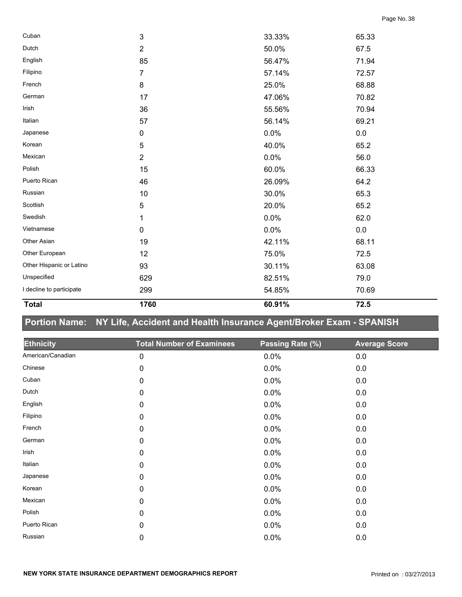| 1760           | 60.91% | 72.5    |       |
|----------------|--------|---------|-------|
| 299            | 54.85% | 70.69   |       |
| 629            | 82.51% | 79.0    |       |
| 93             | 30.11% | 63.08   |       |
| 12             | 75.0%  | 72.5    |       |
| 19             | 42.11% | 68.11   |       |
| $\mathbf 0$    | 0.0%   | $0.0\,$ |       |
| 1              | 0.0%   | 62.0    |       |
| 5              | 20.0%  | 65.2    |       |
| 10             | 30.0%  | 65.3    |       |
| 46             | 26.09% | 64.2    |       |
| 15             | 60.0%  | 66.33   |       |
| $\overline{2}$ | 0.0%   | 56.0    |       |
| 5              | 40.0%  | 65.2    |       |
| $\pmb{0}$      | 0.0%   | 0.0     |       |
| 57             | 56.14% | 69.21   |       |
| 36             | 55.56% | 70.94   |       |
| 17             | 47.06% | 70.82   |       |
| 8              | 25.0%  | 68.88   |       |
| $\overline{7}$ | 57.14% | 72.57   |       |
| 85             | 56.47% | 71.94   |       |
| $\overline{2}$ | 50.0%  | 67.5    |       |
| 3              | 33.33% |         |       |
|                |        |         | 65.33 |

# **Portion Name: NY Life, Accident and Health Insurance Agent/Broker Exam - SPANISH**

| <b>Ethnicity</b>  | <b>Total Number of Examinees</b> | Passing Rate (%) | <b>Average Score</b> |
|-------------------|----------------------------------|------------------|----------------------|
| American/Canadian | $\pmb{0}$                        | 0.0%             | 0.0                  |
| Chinese           | 0                                | 0.0%             | 0.0                  |
| Cuban             | 0                                | 0.0%             | 0.0                  |
| Dutch             | $\pmb{0}$                        | 0.0%             | 0.0                  |
| English           | $\pmb{0}$                        | 0.0%             | 0.0                  |
| Filipino          | 0                                | 0.0%             | $0.0\,$              |
| French            | $\pmb{0}$                        | 0.0%             | $0.0\,$              |
| German            | $\pmb{0}$                        | 0.0%             | 0.0                  |
| Irish             | 0                                | 0.0%             | 0.0                  |
| Italian           | $\mathbf 0$                      | 0.0%             | 0.0                  |
| Japanese          | $\mathbf 0$                      | 0.0%             | 0.0                  |
| Korean            | $\mathbf 0$                      | 0.0%             | 0.0                  |
| Mexican           | 0                                | 0.0%             | 0.0                  |
| Polish            | $\mathbf 0$                      | 0.0%             | 0.0                  |
| Puerto Rican      | 0                                | 0.0%             | 0.0                  |
| Russian           | 0                                | 0.0%             | 0.0                  |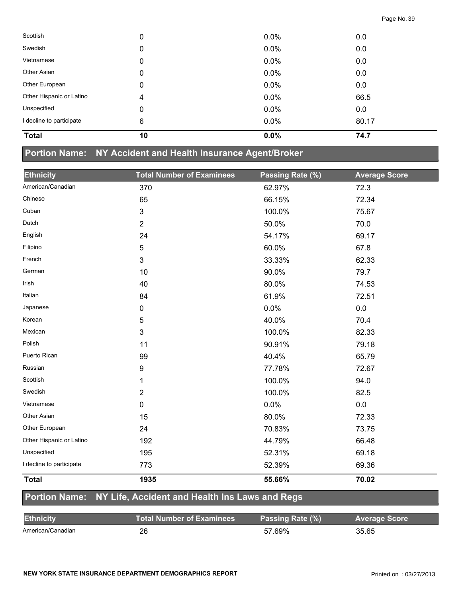| Scottish                 | 0  | 0.0%    | 0.0   |
|--------------------------|----|---------|-------|
| Swedish                  | 0  | 0.0%    | 0.0   |
| Vietnamese               | 0  | 0.0%    | 0.0   |
| Other Asian              | 0  | 0.0%    | 0.0   |
| Other European           | 0  | $0.0\%$ | 0.0   |
| Other Hispanic or Latino | 4  | 0.0%    | 66.5  |
| Unspecified              | 0  | $0.0\%$ | 0.0   |
| I decline to participate | 6  | 0.0%    | 80.17 |
| <b>Total</b>             | 10 | 0.0%    | 74.7  |

#### **Portion Name: NY Accident and Health Insurance Agent/Broker**

| <b>Ethnicity</b>         | <b>Total Number of Examinees</b> | Passing Rate (%) | <b>Average Score</b> |
|--------------------------|----------------------------------|------------------|----------------------|
| American/Canadian        | 370                              | 62.97%           | 72.3                 |
| Chinese                  | 65                               | 66.15%           | 72.34                |
| Cuban                    | 3                                | 100.0%           | 75.67                |
| Dutch                    | $\overline{2}$                   | 50.0%            | 70.0                 |
| English                  | 24                               | 54.17%           | 69.17                |
| Filipino                 | 5                                | 60.0%            | 67.8                 |
| French                   | 3                                | 33.33%           | 62.33                |
| German                   | 10                               | 90.0%            | 79.7                 |
| Irish                    | 40                               | 80.0%            | 74.53                |
| Italian                  | 84                               | 61.9%            | 72.51                |
| Japanese                 | 0                                | 0.0%             | 0.0                  |
| Korean                   | 5                                | 40.0%            | 70.4                 |
| Mexican                  | 3                                | 100.0%           | 82.33                |
| Polish                   | 11                               | 90.91%           | 79.18                |
| Puerto Rican             | 99                               | 40.4%            | 65.79                |
| Russian                  | 9                                | 77.78%           | 72.67                |
| Scottish                 | 1                                | 100.0%           | 94.0                 |
| Swedish                  | $\overline{2}$                   | 100.0%           | 82.5                 |
| Vietnamese               | 0                                | 0.0%             | 0.0                  |
| Other Asian              | 15                               | 80.0%            | 72.33                |
| Other European           | 24                               | 70.83%           | 73.75                |
| Other Hispanic or Latino | 192                              | 44.79%           | 66.48                |
| Unspecified              | 195                              | 52.31%           | 69.18                |
| I decline to participate | 773                              | 52.39%           | 69.36                |
| <b>Total</b>             | 1935                             | 55.66%           | 70.02                |

## **Portion Name: NY Life, Accident and Health Ins Laws and Regs**

| <b>Ethnicity</b>  | <b>Total Number of Examinees \</b> | Passing Rate (%) | <b>Average Score</b> |
|-------------------|------------------------------------|------------------|----------------------|
| American/Canadian | 26                                 | 57.69%           | 35.65                |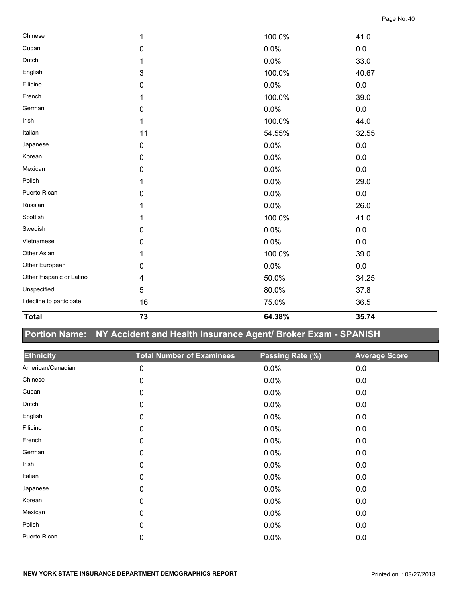| Chinese                  | 1         | 100.0% | 41.0    |
|--------------------------|-----------|--------|---------|
| Cuban                    | $\pmb{0}$ | 0.0%   | $0.0\,$ |
| Dutch                    |           | 0.0%   | 33.0    |
| English                  | 3         | 100.0% | 40.67   |
| Filipino                 | 0         | 0.0%   | 0.0     |
| French                   | 1         | 100.0% | 39.0    |
| German                   | 0         | 0.0%   | 0.0     |
| Irish                    | 1         | 100.0% | 44.0    |
| Italian                  | 11        | 54.55% | 32.55   |
| Japanese                 | $\pmb{0}$ | 0.0%   | 0.0     |
| Korean                   | 0         | 0.0%   | $0.0\,$ |
| Mexican                  | 0         | 0.0%   | 0.0     |
| Polish                   | 1         | 0.0%   | 29.0    |
| Puerto Rican             | 0         | 0.0%   | 0.0     |
| Russian                  | 1         | 0.0%   | 26.0    |
| Scottish                 | 1         | 100.0% | 41.0    |
| Swedish                  | 0         | 0.0%   | 0.0     |
| Vietnamese               | 0         | 0.0%   | 0.0     |
| Other Asian              | 1         | 100.0% | 39.0    |
| Other European           | 0         | 0.0%   | $0.0\,$ |
| Other Hispanic or Latino | 4         | 50.0%  | 34.25   |
| Unspecified              | 5         | 80.0%  | 37.8    |
| I decline to participate | 16        | 75.0%  | 36.5    |

# **Portion Name: NY Accident and Health Insurance Agent/ Broker Exam - SPANISH**

**Total 73 64.38% 35.74** 

| <b>Ethnicity</b>  | <b>Total Number of Examinees</b> | Passing Rate (%) | <b>Average Score</b> |
|-------------------|----------------------------------|------------------|----------------------|
| American/Canadian | $\pmb{0}$                        | 0.0%             | 0.0                  |
| Chinese           | 0                                | 0.0%             | 0.0                  |
| Cuban             | $\mathbf 0$                      | 0.0%             | 0.0                  |
| Dutch             | 0                                | 0.0%             | 0.0                  |
| English           | $\mathbf 0$                      | 0.0%             | 0.0                  |
| Filipino          | $\pmb{0}$                        | 0.0%             | 0.0                  |
| French            | $\pmb{0}$                        | 0.0%             | 0.0                  |
| German            | 0                                | 0.0%             | 0.0                  |
| Irish             | $\pmb{0}$                        | 0.0%             | 0.0                  |
| Italian           | $\mathbf 0$                      | 0.0%             | 0.0                  |
| Japanese          | 0                                | 0.0%             | 0.0                  |
| Korean            | $\mathbf 0$                      | 0.0%             | 0.0                  |
| Mexican           | 0                                | 0.0%             | 0.0                  |
| Polish            | 0                                | 0.0%             | 0.0                  |
| Puerto Rican      | 0                                | 0.0%             | 0.0                  |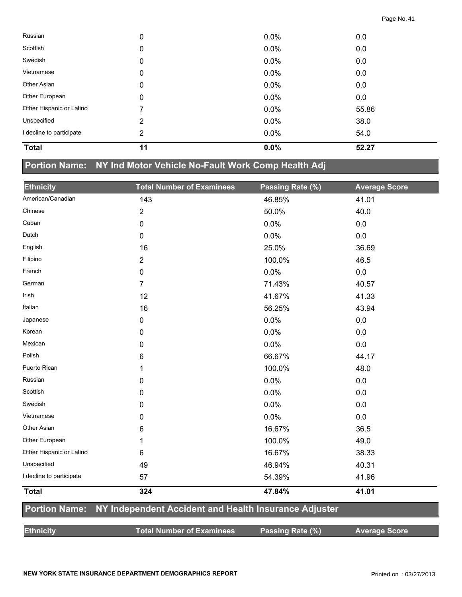| Russian                  | 0  | $0.0\%$ | 0.0   |  |
|--------------------------|----|---------|-------|--|
| Scottish                 | 0  | $0.0\%$ | 0.0   |  |
| Swedish                  | 0  | 0.0%    | 0.0   |  |
| Vietnamese               | 0  | $0.0\%$ | 0.0   |  |
| Other Asian              | 0  | 0.0%    | 0.0   |  |
| Other European           | 0  | 0.0%    | 0.0   |  |
| Other Hispanic or Latino | 7  | 0.0%    | 55.86 |  |
| Unspecified              | 2  | $0.0\%$ | 38.0  |  |
| I decline to participate | 2  | 0.0%    | 54.0  |  |
| <b>Total</b>             | 11 | 0.0%    | 52.27 |  |

# **Portion Name: NY Ind Motor Vehicle No-Fault Work Comp Health Adj**

| <b>Ethnicity</b>         | <b>Total Number of Examinees</b>                      | Passing Rate (%) | <b>Average Score</b> |
|--------------------------|-------------------------------------------------------|------------------|----------------------|
| American/Canadian        | 143                                                   | 46.85%           | 41.01                |
| Chinese                  | $\overline{2}$                                        | 50.0%            | 40.0                 |
| Cuban                    | 0                                                     | 0.0%             | 0.0                  |
| Dutch                    | 0                                                     | 0.0%             | 0.0                  |
| English                  | 16                                                    | 25.0%            | 36.69                |
| Filipino                 | $\overline{2}$                                        | 100.0%           | 46.5                 |
| French                   | 0                                                     | 0.0%             | 0.0                  |
| German                   | $\overline{7}$                                        | 71.43%           | 40.57                |
| Irish                    | 12                                                    | 41.67%           | 41.33                |
| Italian                  | 16                                                    | 56.25%           | 43.94                |
| Japanese                 | 0                                                     | 0.0%             | 0.0                  |
| Korean                   | 0                                                     | 0.0%             | 0.0                  |
| Mexican                  | 0                                                     | 0.0%             | 0.0                  |
| Polish                   | 6                                                     | 66.67%           | 44.17                |
| Puerto Rican             | 1                                                     | 100.0%           | 48.0                 |
| Russian                  | 0                                                     | 0.0%             | 0.0                  |
| Scottish                 | 0                                                     | 0.0%             | 0.0                  |
| Swedish                  | 0                                                     | 0.0%             | 0.0                  |
| Vietnamese               | 0                                                     | 0.0%             | 0.0                  |
| Other Asian              | 6                                                     | 16.67%           | 36.5                 |
| Other European           | 1                                                     | 100.0%           | 49.0                 |
| Other Hispanic or Latino | 6                                                     | 16.67%           | 38.33                |
| Unspecified              | 49                                                    | 46.94%           | 40.31                |
| I decline to participate | 57                                                    | 54.39%           | 41.96                |
| <b>Total</b>             | 324                                                   | 47.84%           | 41.01                |
| <b>Portion Name:</b>     | NY Independent Accident and Health Insurance Adjuster |                  |                      |
| <b>Ethnicity</b>         | <b>Total Number of Examinees</b>                      | Passing Rate (%) | <b>Average Score</b> |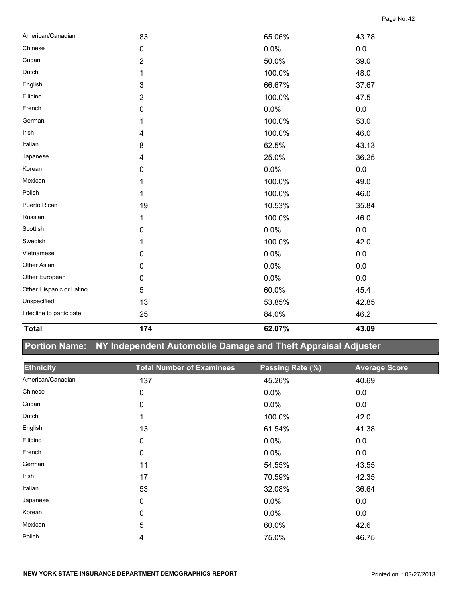| <b>Total</b>             | 174            | 62.07% | 43.09 |
|--------------------------|----------------|--------|-------|
| I decline to participate | 25             | 84.0%  | 46.2  |
| Unspecified              | 13             | 53.85% | 42.85 |
| Other Hispanic or Latino | 5              | 60.0%  | 45.4  |
| Other European           | $\mathbf 0$    | 0.0%   | 0.0   |
| Other Asian              | $\pmb{0}$      | 0.0%   | 0.0   |
| Vietnamese               | $\pmb{0}$      | 0.0%   | 0.0   |
| Swedish                  | 1              | 100.0% | 42.0  |
| Scottish                 | 0              | 0.0%   | 0.0   |
| Russian                  | 1              | 100.0% | 46.0  |
| Puerto Rican             | 19             | 10.53% | 35.84 |
| Polish                   | 1              | 100.0% | 46.0  |
| Mexican                  | 1              | 100.0% | 49.0  |
| Korean                   | $\pmb{0}$      | 0.0%   | 0.0   |
| Japanese                 | 4              | 25.0%  | 36.25 |
| Italian                  | 8              | 62.5%  | 43.13 |
| Irish                    | 4              | 100.0% | 46.0  |
| German                   | 1              | 100.0% | 53.0  |
| French                   | $\pmb{0}$      | 0.0%   | 0.0   |
| Filipino                 | $\overline{2}$ | 100.0% | 47.5  |
| English                  | 3              | 66.67% | 37.67 |
| Dutch                    | 1              | 100.0% | 48.0  |
| Cuban                    | $\overline{2}$ | 50.0%  | 39.0  |
| Chinese                  | $\pmb{0}$      | 0.0%   | 0.0   |
| American/Canadian        | 83             | 65.06% | 43.78 |

# **Portion Name: NY Independent Automobile Damage and Theft Appraisal Adjuster**

| <b>Ethnicity</b>  | <b>Total Number of Examinees</b> | Passing Rate (%) | <b>Average Score</b> |
|-------------------|----------------------------------|------------------|----------------------|
| American/Canadian | 137                              | 45.26%           | 40.69                |
| Chinese           | 0                                | 0.0%             | 0.0                  |
| Cuban             | 0                                | 0.0%             | 0.0                  |
| Dutch             | 1                                | 100.0%           | 42.0                 |
| English           | 13                               | 61.54%           | 41.38                |
| Filipino          | 0                                | 0.0%             | 0.0                  |
| French            | $\pmb{0}$                        | 0.0%             | 0.0                  |
| German            | 11                               | 54.55%           | 43.55                |
| Irish             | 17                               | 70.59%           | 42.35                |
| Italian           | 53                               | 32.08%           | 36.64                |
| Japanese          | $\mathbf 0$                      | 0.0%             | 0.0                  |
| Korean            | 0                                | 0.0%             | 0.0                  |
| Mexican           | 5                                | 60.0%            | 42.6                 |
| Polish            | 4                                | 75.0%            | 46.75                |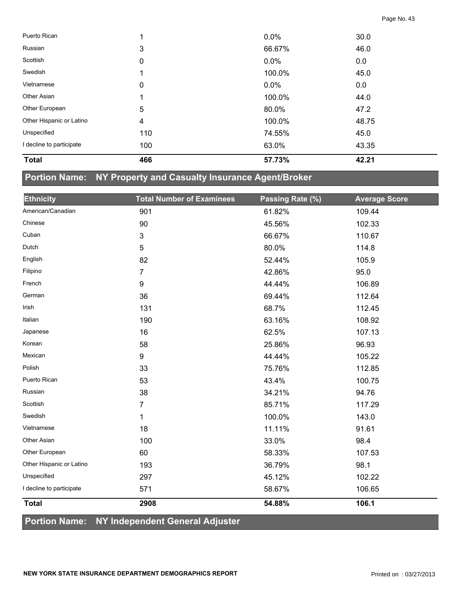| <b>Total</b>             | 466 | 57.73%  | 42.21 |  |
|--------------------------|-----|---------|-------|--|
| I decline to participate | 100 | 63.0%   | 43.35 |  |
| Unspecified              | 110 | 74.55%  | 45.0  |  |
| Other Hispanic or Latino | 4   | 100.0%  | 48.75 |  |
| Other European           | 5   | 80.0%   | 47.2  |  |
| <b>Other Asian</b>       |     | 100.0%  | 44.0  |  |
| Vietnamese               | 0   | $0.0\%$ | 0.0   |  |
| Swedish                  |     | 100.0%  | 45.0  |  |
| Scottish                 | 0   | $0.0\%$ | 0.0   |  |
| Russian                  | 3   | 66.67%  | 46.0  |  |
| Puerto Rican             |     | $0.0\%$ | 30.0  |  |

## **Portion Name: NY Property and Casualty Insurance Agent/Broker**

| <b>Ethnicity</b>         | <b>Total Number of Examinees</b> | Passing Rate (%) | <b>Average Score</b> |
|--------------------------|----------------------------------|------------------|----------------------|
| American/Canadian        | 901                              | 61.82%           | 109.44               |
| Chinese                  | 90                               | 45.56%           | 102.33               |
| Cuban                    | $\mathfrak{S}$                   | 66.67%           | 110.67               |
| Dutch                    | 5                                | 80.0%            | 114.8                |
| English                  | 82                               | 52.44%           | 105.9                |
| Filipino                 | $\overline{7}$                   | 42.86%           | 95.0                 |
| French                   | 9                                | 44.44%           | 106.89               |
| German                   | 36                               | 69.44%           | 112.64               |
| Irish                    | 131                              | 68.7%            | 112.45               |
| Italian                  | 190                              | 63.16%           | 108.92               |
| Japanese                 | 16                               | 62.5%            | 107.13               |
| Korean                   | 58                               | 25.86%           | 96.93                |
| Mexican                  | 9                                | 44.44%           | 105.22               |
| Polish                   | 33                               | 75.76%           | 112.85               |
| Puerto Rican             | 53                               | 43.4%            | 100.75               |
| Russian                  | 38                               | 34.21%           | 94.76                |
| Scottish                 | 7                                | 85.71%           | 117.29               |
| Swedish                  | 1                                | 100.0%           | 143.0                |
| Vietnamese               | 18                               | 11.11%           | 91.61                |
| Other Asian              | 100                              | 33.0%            | 98.4                 |
| Other European           | 60                               | 58.33%           | 107.53               |
| Other Hispanic or Latino | 193                              | 36.79%           | 98.1                 |
| Unspecified              | 297                              | 45.12%           | 102.22               |
| I decline to participate | 571                              | 58.67%           | 106.65               |
| <b>Total</b>             | 2908                             | 54.88%           | 106.1                |

#### **Portion Name: NY Independent General Adjuster**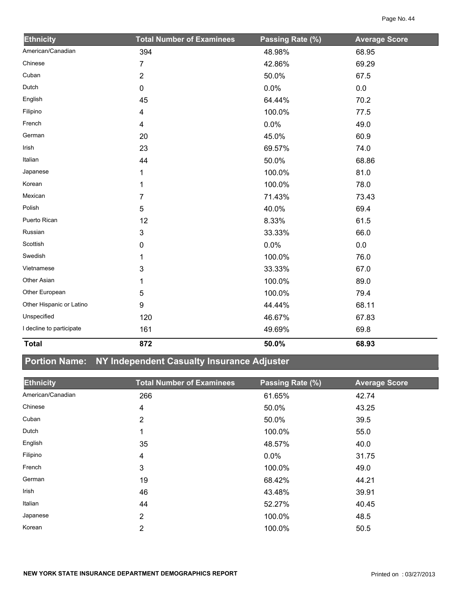| <b>Ethnicity</b>         | <b>Total Number of Examinees</b> | Passing Rate (%) | <b>Average Score</b> |
|--------------------------|----------------------------------|------------------|----------------------|
| American/Canadian        | 394                              | 48.98%           | 68.95                |
| Chinese                  | 7                                | 42.86%           | 69.29                |
| Cuban                    | $\overline{2}$                   | 50.0%            | 67.5                 |
| Dutch                    | 0                                | 0.0%             | 0.0                  |
| English                  | 45                               | 64.44%           | 70.2                 |
| Filipino                 | 4                                | 100.0%           | 77.5                 |
| French                   | 4                                | 0.0%             | 49.0                 |
| German                   | 20                               | 45.0%            | 60.9                 |
| Irish                    | 23                               | 69.57%           | 74.0                 |
| Italian                  | 44                               | 50.0%            | 68.86                |
| Japanese                 | 1                                | 100.0%           | 81.0                 |
| Korean                   | 1                                | 100.0%           | 78.0                 |
| Mexican                  | $\overline{7}$                   | 71.43%           | 73.43                |
| Polish                   | 5                                | 40.0%            | 69.4                 |
| Puerto Rican             | 12                               | 8.33%            | 61.5                 |
| Russian                  | 3                                | 33.33%           | 66.0                 |
| Scottish                 | 0                                | 0.0%             | 0.0                  |
| Swedish                  | 1                                | 100.0%           | 76.0                 |
| Vietnamese               | 3                                | 33.33%           | 67.0                 |
| Other Asian              |                                  | 100.0%           | 89.0                 |
| Other European           | 5                                | 100.0%           | 79.4                 |
| Other Hispanic or Latino | 9                                | 44.44%           | 68.11                |
| Unspecified              | 120                              | 46.67%           | 67.83                |
| I decline to participate | 161                              | 49.69%           | 69.8                 |
| <b>Total</b>             | 872                              | 50.0%            | 68.93                |

# **Portion Name: NY Independent Casualty Insurance Adjuster**

| <b>Ethnicity</b>  | <b>Total Number of Examinees</b> | Passing Rate (%) | <b>Average Score</b> |
|-------------------|----------------------------------|------------------|----------------------|
| American/Canadian | 266                              | 61.65%           | 42.74                |
| Chinese           | 4                                | 50.0%            | 43.25                |
| Cuban             | 2                                | 50.0%            | 39.5                 |
| Dutch             | 1                                | 100.0%           | 55.0                 |
| English           | 35                               | 48.57%           | 40.0                 |
| Filipino          | 4                                | $0.0\%$          | 31.75                |
| French            | 3                                | 100.0%           | 49.0                 |
| German            | 19                               | 68.42%           | 44.21                |
| Irish             | 46                               | 43.48%           | 39.91                |
| Italian           | 44                               | 52.27%           | 40.45                |
| Japanese          | 2                                | 100.0%           | 48.5                 |
| Korean            | $\overline{2}$                   | 100.0%           | 50.5                 |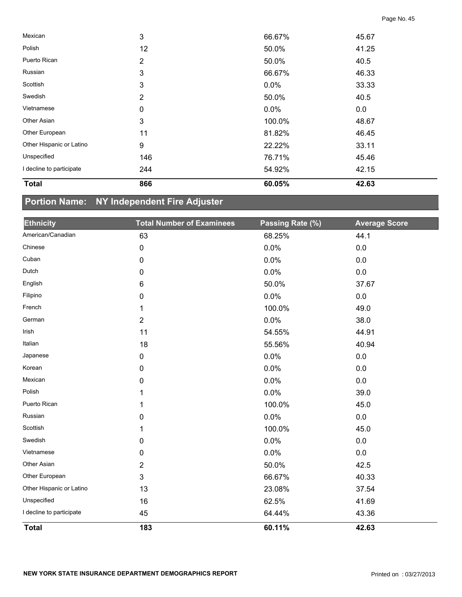| <b>Total</b>             | 866            | 60.05%  | 42.63 |  |
|--------------------------|----------------|---------|-------|--|
| I decline to participate | 244            | 54.92%  | 42.15 |  |
| Unspecified              | 146            | 76.71%  | 45.46 |  |
| Other Hispanic or Latino | 9              | 22.22%  | 33.11 |  |
| Other European           | 11             | 81.82%  | 46.45 |  |
| Other Asian              | 3              | 100.0%  | 48.67 |  |
| Vietnamese               | $\mathbf 0$    | $0.0\%$ | 0.0   |  |
| Swedish                  | 2              | 50.0%   | 40.5  |  |
| Scottish                 | 3              | 0.0%    | 33.33 |  |
| Russian                  | 3              | 66.67%  | 46.33 |  |
| Puerto Rican             | $\overline{2}$ | 50.0%   | 40.5  |  |
| Polish                   | 12             | 50.0%   | 41.25 |  |
| Mexican                  | 3              | 66.67%  | 45.67 |  |

# **Portion Name: NY Independent Fire Adjuster**

| <b>Ethnicity</b>         | <b>Total Number of Examinees</b> | Passing Rate (%) | <b>Average Score</b> |
|--------------------------|----------------------------------|------------------|----------------------|
| American/Canadian        | 63                               | 68.25%           | 44.1                 |
| Chinese                  | $\pmb{0}$                        | 0.0%             | 0.0                  |
| Cuban                    | 0                                | 0.0%             | 0.0                  |
| Dutch                    | 0                                | 0.0%             | 0.0                  |
| English                  | 6                                | 50.0%            | 37.67                |
| Filipino                 | 0                                | 0.0%             | $0.0\,$              |
| French                   | 1                                | 100.0%           | 49.0                 |
| German                   | $\overline{2}$                   | 0.0%             | 38.0                 |
| Irish                    | 11                               | 54.55%           | 44.91                |
| Italian                  | 18                               | 55.56%           | 40.94                |
| Japanese                 | $\pmb{0}$                        | 0.0%             | 0.0                  |
| Korean                   | 0                                | 0.0%             | 0.0                  |
| Mexican                  | 0                                | 0.0%             | 0.0                  |
| Polish                   | 1                                | 0.0%             | 39.0                 |
| Puerto Rican             | 1                                | 100.0%           | 45.0                 |
| Russian                  | 0                                | 0.0%             | 0.0                  |
| Scottish                 | 1                                | 100.0%           | 45.0                 |
| Swedish                  | 0                                | 0.0%             | $0.0\,$              |
| Vietnamese               | 0                                | 0.0%             | 0.0                  |
| Other Asian              | 2                                | 50.0%            | 42.5                 |
| Other European           | 3                                | 66.67%           | 40.33                |
| Other Hispanic or Latino | 13                               | 23.08%           | 37.54                |
| Unspecified              | 16                               | 62.5%            | 41.69                |
| I decline to participate | 45                               | 64.44%           | 43.36                |
| <b>Total</b>             | 183                              | 60.11%           | 42.63                |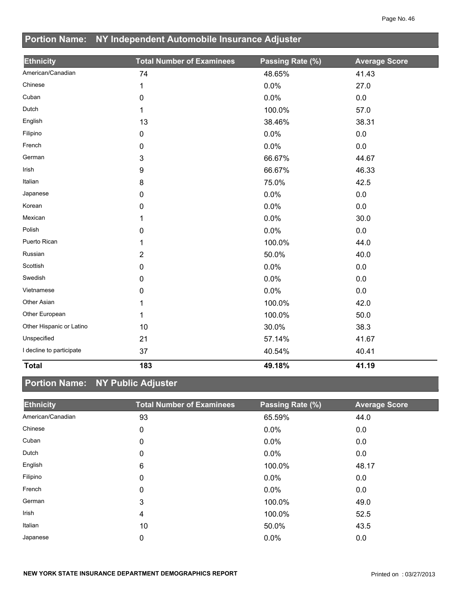|                          | Portion Name: NY Independent Automobile Insurance Adjuster |                  |                      |  |
|--------------------------|------------------------------------------------------------|------------------|----------------------|--|
| <b>Ethnicity</b>         | <b>Total Number of Examinees</b>                           | Passing Rate (%) | <b>Average Score</b> |  |
| American/Canadian        | 74                                                         | 48.65%           | 41.43                |  |
| Chinese                  | 1                                                          | 0.0%             | 27.0                 |  |
| Cuban                    | 0                                                          | 0.0%             | 0.0                  |  |
| Dutch                    | 1                                                          | 100.0%           | 57.0                 |  |
| English                  | 13                                                         | 38.46%           | 38.31                |  |
| Filipino                 | $\mathbf 0$                                                | 0.0%             | 0.0                  |  |
| French                   | 0                                                          | 0.0%             | 0.0                  |  |
| German                   | 3                                                          | 66.67%           | 44.67                |  |
| Irish                    | 9                                                          | 66.67%           | 46.33                |  |
| Italian                  | 8                                                          | 75.0%            | 42.5                 |  |
| Japanese                 | 0                                                          | 0.0%             | 0.0                  |  |
| Korean                   | 0                                                          | 0.0%             | 0.0                  |  |
| Mexican                  | 1                                                          | 0.0%             | 30.0                 |  |
| Polish                   | 0                                                          | 0.0%             | 0.0                  |  |
| Puerto Rican             | 1                                                          | 100.0%           | 44.0                 |  |
| Russian                  | $\overline{2}$                                             | 50.0%            | 40.0                 |  |
| Scottish                 | 0                                                          | 0.0%             | 0.0                  |  |
| Swedish                  | 0                                                          | 0.0%             | 0.0                  |  |
| Vietnamese               | 0                                                          | 0.0%             | 0.0                  |  |
| Other Asian              | 1                                                          | 100.0%           | 42.0                 |  |
| Other European           | 1                                                          | 100.0%           | 50.0                 |  |
| Other Hispanic or Latino | 10                                                         | 30.0%            | 38.3                 |  |
| Unspecified              | 21                                                         | 57.14%           | 41.67                |  |
| I decline to participate | 37                                                         | 40.54%           | 40.41                |  |
| <b>Total</b>             | 183                                                        | 49.18%           | 41.19                |  |

# **Portion Name: NY Public Adjuster**

| <b>Ethnicity</b>  | <b>Total Number of Examinees</b> | Passing Rate (%) | <b>Average Score</b> |
|-------------------|----------------------------------|------------------|----------------------|
| American/Canadian | 93                               | 65.59%           | 44.0                 |
| Chinese           | 0                                | 0.0%             | 0.0                  |
| Cuban             | 0                                | 0.0%             | 0.0                  |
| Dutch             | 0                                | 0.0%             | 0.0                  |
| English           | 6                                | 100.0%           | 48.17                |
| Filipino          | 0                                | 0.0%             | 0.0                  |
| French            | $\mathbf{0}$                     | 0.0%             | 0.0                  |
| German            | 3                                | 100.0%           | 49.0                 |
| Irish             | 4                                | 100.0%           | 52.5                 |
| Italian           | 10                               | 50.0%            | 43.5                 |
| Japanese          | 0                                | 0.0%             | 0.0                  |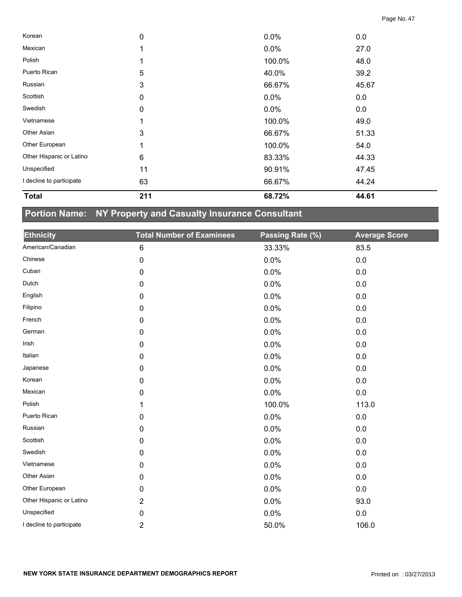| <b>Total</b>             | 211         | 68.72%  | 44.61 |  |
|--------------------------|-------------|---------|-------|--|
| I decline to participate | 63          | 66.67%  | 44.24 |  |
| Unspecified              | 11          | 90.91%  | 47.45 |  |
| Other Hispanic or Latino | 6           | 83.33%  | 44.33 |  |
| Other European           |             | 100.0%  | 54.0  |  |
| Other Asian              | 3           | 66.67%  | 51.33 |  |
| Vietnamese               |             | 100.0%  | 49.0  |  |
| Swedish                  | 0           | $0.0\%$ | 0.0   |  |
| Scottish                 | 0           | $0.0\%$ | 0.0   |  |
| Russian                  | 3           | 66.67%  | 45.67 |  |
| Puerto Rican             | $\sqrt{5}$  | 40.0%   | 39.2  |  |
| Polish                   |             | 100.0%  | 48.0  |  |
| Mexican                  |             | $0.0\%$ | 27.0  |  |
| Korean                   | $\mathbf 0$ | $0.0\%$ | 0.0   |  |

# **Portion Name: NY Property and Casualty Insurance Consultant**

| <b>Ethnicity</b>         | <b>Total Number of Examinees</b> | Passing Rate (%) | <b>Average Score</b> |
|--------------------------|----------------------------------|------------------|----------------------|
| American/Canadian        | 6                                | 33.33%           | 83.5                 |
| Chinese                  | 0                                | 0.0%             | 0.0                  |
| Cuban                    | 0                                | 0.0%             | 0.0                  |
| Dutch                    | 0                                | 0.0%             | 0.0                  |
| English                  | 0                                | 0.0%             | 0.0                  |
| Filipino                 | 0                                | 0.0%             | 0.0                  |
| French                   | 0                                | 0.0%             | 0.0                  |
| German                   | 0                                | 0.0%             | 0.0                  |
| Irish                    | 0                                | 0.0%             | 0.0                  |
| Italian                  | 0                                | 0.0%             | 0.0                  |
| Japanese                 | 0                                | 0.0%             | 0.0                  |
| Korean                   | 0                                | 0.0%             | 0.0                  |
| Mexican                  | 0                                | 0.0%             | 0.0                  |
| Polish                   | 1                                | 100.0%           | 113.0                |
| Puerto Rican             | 0                                | 0.0%             | 0.0                  |
| Russian                  | 0                                | 0.0%             | 0.0                  |
| Scottish                 | 0                                | 0.0%             | 0.0                  |
| Swedish                  | 0                                | 0.0%             | 0.0                  |
| Vietnamese               | 0                                | 0.0%             | 0.0                  |
| Other Asian              | 0                                | 0.0%             | 0.0                  |
| Other European           | 0                                | 0.0%             | 0.0                  |
| Other Hispanic or Latino | $\overline{2}$                   | 0.0%             | 93.0                 |
| Unspecified              | 0                                | 0.0%             | $0.0\,$              |
| I decline to participate | 2                                | 50.0%            | 106.0                |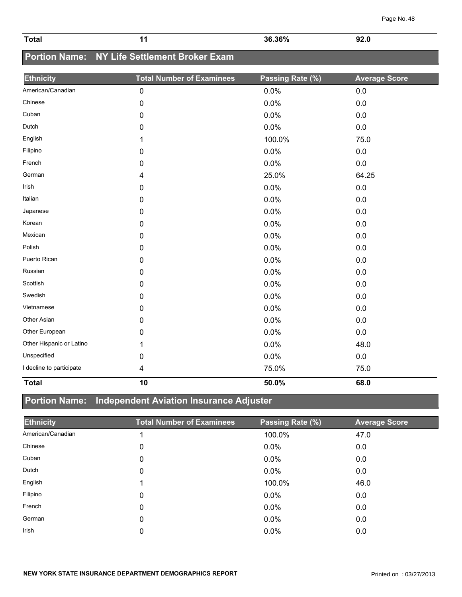| Page No. 48 |  |
|-------------|--|
|             |  |

| <b>Total</b> | 36.36%<br>70 | $\mathbf{e}$<br>. .<br>. .<br>$\sim$ $\sim$ |  |
|--------------|--------------|---------------------------------------------|--|

# **Portion Name: NY Life Settlement Broker Exam**

| <b>Ethnicity</b>         | <b>Total Number of Examinees</b> | Passing Rate (%) | <b>Average Score</b> |
|--------------------------|----------------------------------|------------------|----------------------|
| American/Canadian        | $\pmb{0}$                        | 0.0%             | 0.0                  |
| Chinese                  | $\mathbf 0$                      | 0.0%             | 0.0                  |
| Cuban                    | $\mathbf 0$                      | 0.0%             | 0.0                  |
| Dutch                    | $\mathbf 0$                      | 0.0%             | 0.0                  |
| English                  | 1                                | 100.0%           | 75.0                 |
| Filipino                 | $\mathbf 0$                      | 0.0%             | $0.0\,$              |
| French                   | 0                                | 0.0%             | 0.0                  |
| German                   | 4                                | 25.0%            | 64.25                |
| Irish                    | 0                                | 0.0%             | 0.0                  |
| Italian                  | 0                                | 0.0%             | 0.0                  |
| Japanese                 | 0                                | 0.0%             | 0.0                  |
| Korean                   | 0                                | 0.0%             | 0.0                  |
| Mexican                  | 0                                | 0.0%             | 0.0                  |
| Polish                   | 0                                | 0.0%             | 0.0                  |
| Puerto Rican             | 0                                | 0.0%             | 0.0                  |
| Russian                  | 0                                | 0.0%             | 0.0                  |
| Scottish                 | $\mathbf 0$                      | 0.0%             | 0.0                  |
| Swedish                  | 0                                | 0.0%             | 0.0                  |
| Vietnamese               | 0                                | 0.0%             | 0.0                  |
| Other Asian              | $\mathbf 0$                      | 0.0%             | 0.0                  |
| Other European           | 0                                | 0.0%             | 0.0                  |
| Other Hispanic or Latino | 1                                | 0.0%             | 48.0                 |
| Unspecified              | 0                                | 0.0%             | 0.0                  |
| I decline to participate | 4                                | 75.0%            | 75.0                 |
| <b>Total</b>             | 10                               | 50.0%            | 68.0                 |

## **Portion Name: Independent Aviation Insurance Adjuster**

| <b>Ethnicity</b>  | <b>Total Number of Examinees</b> | Passing Rate (%) | <b>Average Score</b> |
|-------------------|----------------------------------|------------------|----------------------|
| American/Canadian |                                  | 100.0%           | 47.0                 |
| Chinese           | 0                                | $0.0\%$          | 0.0                  |
| Cuban             | 0                                | $0.0\%$          | 0.0                  |
| Dutch             | 0                                | 0.0%             | 0.0                  |
| English           |                                  | 100.0%           | 46.0                 |
| Filipino          | 0                                | $0.0\%$          | 0.0                  |
| French            | 0                                | $0.0\%$          | 0.0                  |
| German            | 0                                | $0.0\%$          | 0.0                  |
| <b>Irish</b>      | 0                                | 0.0%             | 0.0                  |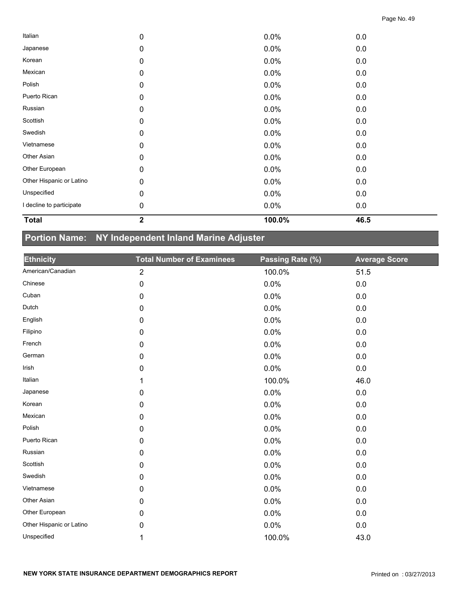| <b>Total</b>             | $\overline{\mathbf{2}}$ | 100.0% | 46.5 |  |
|--------------------------|-------------------------|--------|------|--|
| I decline to participate | $\mathbf 0$             | 0.0%   | 0.0  |  |
| Unspecified              | 0                       | 0.0%   | 0.0  |  |
| Other Hispanic or Latino | 0                       | 0.0%   | 0.0  |  |
| Other European           | 0                       | 0.0%   | 0.0  |  |
| Other Asian              | 0                       | 0.0%   | 0.0  |  |
| Vietnamese               | 0                       | 0.0%   | 0.0  |  |
| Swedish                  | 0                       | 0.0%   | 0.0  |  |
| Scottish                 | 0                       | 0.0%   | 0.0  |  |
| Russian                  | 0                       | 0.0%   | 0.0  |  |
| Puerto Rican             | $\pmb{0}$               | 0.0%   | 0.0  |  |
| Polish                   | 0                       | 0.0%   | 0.0  |  |
| Mexican                  | $\mathbf 0$             | 0.0%   | 0.0  |  |
| Korean                   | $\pmb{0}$               | 0.0%   | 0.0  |  |
| Japanese                 | 0                       | 0.0%   | 0.0  |  |
| Italian                  | 0                       | 0.0%   | 0.0  |  |

# **Portion Name: NY Independent Inland Marine Adjuster**

| <b>Ethnicity</b>         | <b>Total Number of Examinees</b> | Passing Rate (%) | <b>Average Score</b> |
|--------------------------|----------------------------------|------------------|----------------------|
| American/Canadian        | $\overline{\mathbf{c}}$          | 100.0%           | 51.5                 |
| Chinese                  | 0                                | 0.0%             | 0.0                  |
| Cuban                    | 0                                | 0.0%             | 0.0                  |
| Dutch                    | 0                                | 0.0%             | 0.0                  |
| English                  | 0                                | 0.0%             | 0.0                  |
| Filipino                 | 0                                | 0.0%             | 0.0                  |
| French                   | 0                                | 0.0%             | 0.0                  |
| German                   | 0                                | 0.0%             | $0.0\,$              |
| Irish                    | 0                                | 0.0%             | 0.0                  |
| Italian                  |                                  | 100.0%           | 46.0                 |
| Japanese                 | $\mathbf 0$                      | 0.0%             | 0.0                  |
| Korean                   | 0                                | 0.0%             | 0.0                  |
| Mexican                  | 0                                | 0.0%             | 0.0                  |
| Polish                   | 0                                | 0.0%             | 0.0                  |
| Puerto Rican             | 0                                | 0.0%             | 0.0                  |
| Russian                  | 0                                | 0.0%             | 0.0                  |
| Scottish                 | 0                                | 0.0%             | 0.0                  |
| Swedish                  | 0                                | 0.0%             | $0.0\,$              |
| Vietnamese               | 0                                | 0.0%             | 0.0                  |
| Other Asian              | $\mathbf 0$                      | 0.0%             | 0.0                  |
| Other European           | 0                                | 0.0%             | 0.0                  |
| Other Hispanic or Latino | 0                                | 0.0%             | 0.0                  |
| Unspecified              | 1                                | 100.0%           | 43.0                 |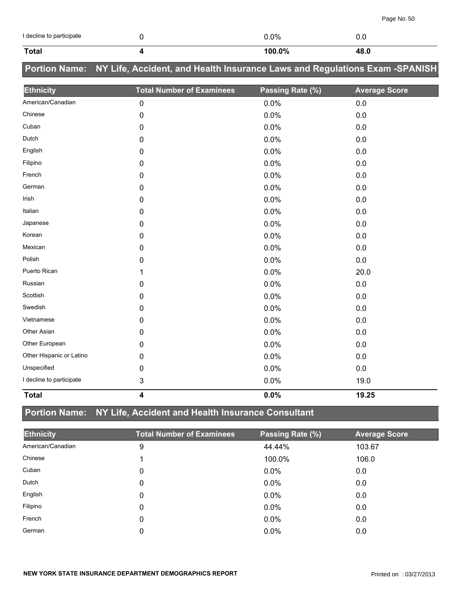| I decline to participate | 0                                                                          | 0.0%             | 0.0                  |
|--------------------------|----------------------------------------------------------------------------|------------------|----------------------|
| <b>Total</b>             | 4                                                                          | 100.0%           | 48.0                 |
| <b>Portion Name:</b>     | NY Life, Accident, and Health Insurance Laws and Regulations Exam -SPANISH |                  |                      |
| <b>Ethnicity</b>         | <b>Total Number of Examinees</b>                                           | Passing Rate (%) | <b>Average Score</b> |
| American/Canadian        | $\pmb{0}$                                                                  | 0.0%             | $0.0\,$              |
| Chinese                  | 0                                                                          | 0.0%             | 0.0                  |
| Cuban                    | 0                                                                          | 0.0%             | $0.0\,$              |
| Dutch                    | 0                                                                          | 0.0%             | 0.0                  |
| English                  | 0                                                                          | 0.0%             | 0.0                  |
| Filipino                 | 0                                                                          | 0.0%             | 0.0                  |
| French                   | 0                                                                          | 0.0%             | 0.0                  |
| German                   | 0                                                                          | 0.0%             | 0.0                  |
| Irish                    | 0                                                                          | 0.0%             | 0.0                  |
| Italian                  | 0                                                                          | 0.0%             | 0.0                  |
| Japanese                 | 0                                                                          | 0.0%             | 0.0                  |
| Korean                   | 0                                                                          | 0.0%             | 0.0                  |
| Mexican                  | 0                                                                          | 0.0%             | $0.0\,$              |
| Polish                   | 0                                                                          | 0.0%             | 0.0                  |
| Puerto Rican             | 1                                                                          | 0.0%             | 20.0                 |
| Russian                  | 0                                                                          | 0.0%             | 0.0                  |
| Scottish                 | 0                                                                          | 0.0%             | 0.0                  |
| Swedish                  | 0                                                                          | 0.0%             | $0.0\,$              |
| Vietnamese               | 0                                                                          | 0.0%             | 0.0                  |
| Other Asian              | 0                                                                          | 0.0%             | $0.0\,$              |
| Other European           | 0                                                                          | 0.0%             | 0.0                  |
| Other Hispanic or Latino | 0                                                                          | 0.0%             | 0.0                  |
| Unspecified              | 0                                                                          | 0.0%             | 0.0                  |
| I decline to participate | 3                                                                          | 0.0%             | 19.0                 |

#### **Total 4 0.0% 19.25**

## **Portion Name: NY Life, Accident and Health Insurance Consultant**

| <b>Ethnicity</b>  | <b>Total Number of Examinees</b> | Passing Rate (%) | <b>Average Score</b> |
|-------------------|----------------------------------|------------------|----------------------|
| American/Canadian | 9                                | 44.44%           | 103.67               |
| Chinese           |                                  | 100.0%           | 106.0                |
| Cuban             | 0                                | $0.0\%$          | 0.0                  |
| Dutch             | 0                                | 0.0%             | 0.0                  |
| English           | 0                                | $0.0\%$          | 0.0                  |
| Filipino          | 0                                | 0.0%             | 0.0                  |
| French            | 0                                | 0.0%             | 0.0                  |
| German            | 0                                | $0.0\%$          | 0.0                  |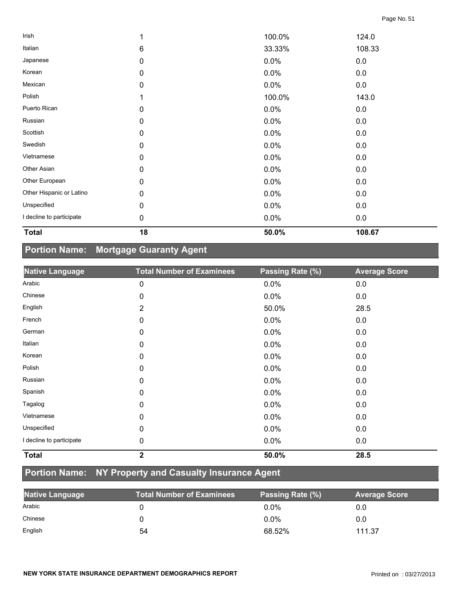| <b>Total</b>             | 18        | 50.0%  | 108.67 |  |
|--------------------------|-----------|--------|--------|--|
| I decline to participate | $\pmb{0}$ | 0.0%   | 0.0    |  |
| Unspecified              | 0         | 0.0%   | 0.0    |  |
| Other Hispanic or Latino | 0         | 0.0%   | 0.0    |  |
| Other European           | 0         | 0.0%   | 0.0    |  |
| Other Asian              | 0         | 0.0%   | 0.0    |  |
| Vietnamese               | 0         | 0.0%   | 0.0    |  |
| Swedish                  | 0         | 0.0%   | 0.0    |  |
| Scottish                 | 0         | 0.0%   | 0.0    |  |
| Russian                  | 0         | 0.0%   | 0.0    |  |
| Puerto Rican             | 0         | 0.0%   | 0.0    |  |
| Polish                   |           | 100.0% | 143.0  |  |
| Mexican                  | $\pmb{0}$ | 0.0%   | 0.0    |  |
| Korean                   | 0         | 0.0%   | 0.0    |  |
| Japanese                 | 0         | 0.0%   | 0.0    |  |
| Italian                  | 6         | 33.33% | 108.33 |  |
| Irish                    |           | 100.0% | 124.0  |  |

## **Portion Name: Mortgage Guaranty Agent**

| <b>Native Language</b>   | <b>Total Number of Examinees</b> | Passing Rate (%) | <b>Average Score</b> |
|--------------------------|----------------------------------|------------------|----------------------|
| Arabic                   | 0                                | 0.0%             | 0.0                  |
| Chinese                  | 0                                | 0.0%             | 0.0                  |
| English                  | $\overline{2}$                   | 50.0%            | 28.5                 |
| French                   | $\mathbf 0$                      | 0.0%             | 0.0                  |
| German                   | 0                                | 0.0%             | 0.0                  |
| Italian                  | 0                                | 0.0%             | 0.0                  |
| Korean                   | 0                                | 0.0%             | 0.0                  |
| Polish                   | $\mathbf 0$                      | 0.0%             | 0.0                  |
| Russian                  | 0                                | 0.0%             | 0.0                  |
| Spanish                  | 0                                | 0.0%             | 0.0                  |
| Tagalog                  | 0                                | 0.0%             | 0.0                  |
| Vietnamese               | 0                                | 0.0%             | 0.0                  |
| Unspecified              | 0                                | 0.0%             | 0.0                  |
| I decline to participate | 0                                | 0.0%             | 0.0                  |
| <b>Total</b>             | $\overline{\mathbf{2}}$          | 50.0%            | 28.5                 |

# **Portion Name: NY Property and Casualty Insurance Agent**

| <b>Native Language</b> | Total Number of Examinees | Passing Rate (%) | <b>Average Score</b> |
|------------------------|---------------------------|------------------|----------------------|
| Arabic                 |                           | $0.0\%$          | 0.0                  |
| Chinese                |                           | $0.0\%$          | 0.0                  |
| English                | 54                        | 68.52%           | 111.37               |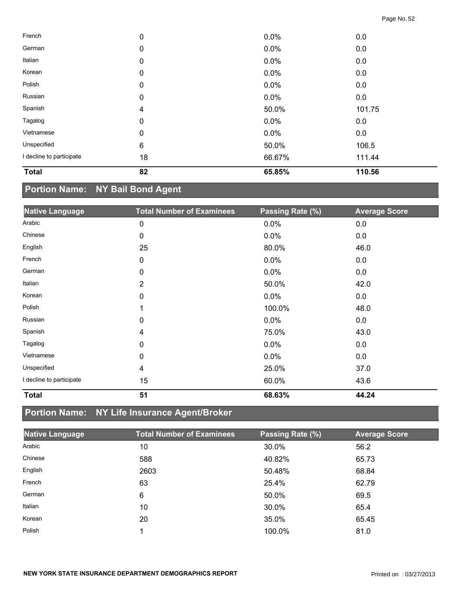| <b>Total</b>             | 82                      | 65.85% | 110.56 |  |
|--------------------------|-------------------------|--------|--------|--|
| I decline to participate | 18                      | 66.67% | 111.44 |  |
| Unspecified              | $\,6$                   | 50.0%  | 106.5  |  |
| Vietnamese               | 0                       | 0.0%   | 0.0    |  |
| Tagalog                  | 0                       | 0.0%   | 0.0    |  |
| Spanish                  | $\overline{\mathbf{4}}$ | 50.0%  | 101.75 |  |
| Russian                  | 0                       | 0.0%   | 0.0    |  |
| Polish                   | 0                       | 0.0%   | 0.0    |  |
| Korean                   | 0                       | 0.0%   | 0.0    |  |
| Italian                  | 0                       | 0.0%   | 0.0    |  |
| German                   | 0                       | 0.0%   | 0.0    |  |
| French                   | 0                       | 0.0%   | 0.0    |  |

## **Portion Name: NY Bail Bond Agent**

| <b>Native Language</b>   | <b>Total Number of Examinees</b> | Passing Rate (%) | <b>Average Score</b> |
|--------------------------|----------------------------------|------------------|----------------------|
| Arabic                   | 0                                | 0.0%             | 0.0                  |
| Chinese                  | 0                                | $0.0\%$          | 0.0                  |
| English                  | 25                               | 80.0%            | 46.0                 |
| French                   | 0                                | 0.0%             | 0.0                  |
| German                   | 0                                | 0.0%             | 0.0                  |
| Italian                  | $\overline{2}$                   | 50.0%            | 42.0                 |
| Korean                   | 0                                | 0.0%             | 0.0                  |
| Polish                   |                                  | 100.0%           | 48.0                 |
| Russian                  | 0                                | 0.0%             | 0.0                  |
| Spanish                  | 4                                | 75.0%            | 43.0                 |
| Tagalog                  | 0                                | 0.0%             | 0.0                  |
| Vietnamese               | 0                                | 0.0%             | 0.0                  |
| Unspecified              | 4                                | 25.0%            | 37.0                 |
| I decline to participate | 15                               | 60.0%            | 43.6                 |
| <b>Total</b>             | 51                               | 68.63%           | 44.24                |

# **Portion Name: NY Life Insurance Agent/Broker**

| <b>Native Language</b> | <b>Total Number of Examinees</b> | Passing Rate (%) | <b>Average Score</b> |
|------------------------|----------------------------------|------------------|----------------------|
| Arabic                 | 10                               | 30.0%            | 56.2                 |
| Chinese                | 588                              | 40.82%           | 65.73                |
| English                | 2603                             | 50.48%           | 68.84                |
| French                 | 63                               | 25.4%            | 62.79                |
| German                 | 6                                | 50.0%            | 69.5                 |
| Italian                | 10                               | 30.0%            | 65.4                 |
| Korean                 | 20                               | 35.0%            | 65.45                |
| Polish                 |                                  | 100.0%           | 81.0                 |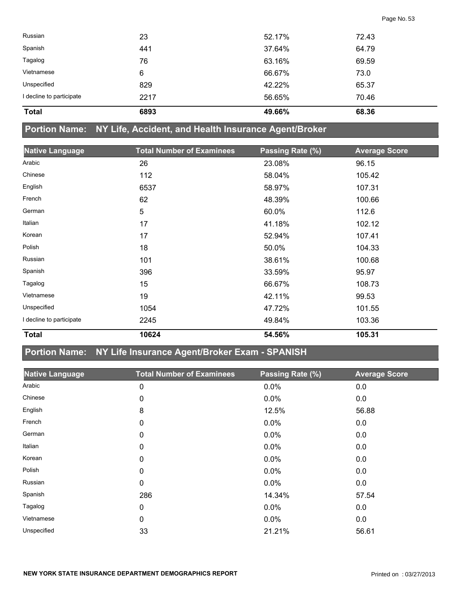| <b>Total</b>             | 6893 | 49.66% | 68.36 |  |
|--------------------------|------|--------|-------|--|
| I decline to participate | 2217 | 56.65% | 70.46 |  |
| Unspecified              | 829  | 42.22% | 65.37 |  |
| Vietnamese               | 6    | 66.67% | 73.0  |  |
| Tagalog                  | 76   | 63.16% | 69.59 |  |
| Spanish                  | 441  | 37.64% | 64.79 |  |
| Russian                  | 23   | 52.17% | 72.43 |  |

#### **Portion Name: NY Life, Accident, and Health Insurance Agent/Broker**

| <b>Native Language</b>   | <b>Total Number of Examinees</b> | Passing Rate (%) | <b>Average Score</b> |
|--------------------------|----------------------------------|------------------|----------------------|
| Arabic                   | 26                               | 23.08%           | 96.15                |
| Chinese                  | 112                              | 58.04%           | 105.42               |
| English                  | 6537                             | 58.97%           | 107.31               |
| French                   | 62                               | 48.39%           | 100.66               |
| German                   | 5                                | 60.0%            | 112.6                |
| Italian                  | 17                               | 41.18%           | 102.12               |
| Korean                   | 17                               | 52.94%           | 107.41               |
| Polish                   | 18                               | 50.0%            | 104.33               |
| Russian                  | 101                              | 38.61%           | 100.68               |
| Spanish                  | 396                              | 33.59%           | 95.97                |
| Tagalog                  | 15                               | 66.67%           | 108.73               |
| Vietnamese               | 19                               | 42.11%           | 99.53                |
| Unspecified              | 1054                             | 47.72%           | 101.55               |
| I decline to participate | 2245                             | 49.84%           | 103.36               |
| <b>Total</b>             | 10624                            | 54.56%           | 105.31               |

## **Portion Name: NY Life Insurance Agent/Broker Exam - SPANISH**

| <b>Native Language</b> | <b>Total Number of Examinees</b> | Passing Rate (%) | <b>Average Score</b> |
|------------------------|----------------------------------|------------------|----------------------|
|                        |                                  |                  |                      |
| Arabic                 | 0                                | 0.0%             | 0.0                  |
| Chinese                | 0                                | 0.0%             | 0.0                  |
| English                | 8                                | 12.5%            | 56.88                |
| French                 | 0                                | 0.0%             | 0.0                  |
| German                 | 0                                | 0.0%             | 0.0                  |
| Italian                | 0                                | 0.0%             | 0.0                  |
| Korean                 | 0                                | 0.0%             | 0.0                  |
| Polish                 | 0                                | 0.0%             | 0.0                  |
| Russian                | 0                                | $0.0\%$          | 0.0                  |
| Spanish                | 286                              | 14.34%           | 57.54                |
| Tagalog                | 0                                | 0.0%             | 0.0                  |
| Vietnamese             | 0                                | $0.0\%$          | 0.0                  |
| Unspecified            | 33                               | 21.21%           | 56.61                |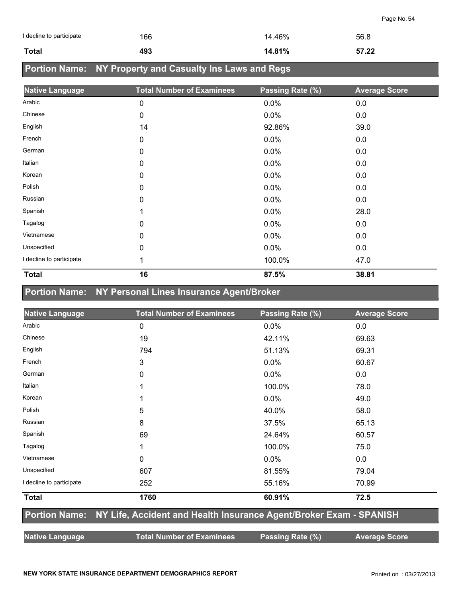| I decline to participate | 166 | 14.46% | 56.8  |
|--------------------------|-----|--------|-------|
| <b>Total</b>             | 493 | 14.81% | 57.22 |

# **Portion Name: NY Property and Casualty Ins Laws and Regs**

| <b>Native Language</b>   | <b>Total Number of Examinees</b> | Passing Rate (%) | <b>Average Score</b> |
|--------------------------|----------------------------------|------------------|----------------------|
| Arabic                   | $\mathbf 0$                      | 0.0%             | 0.0                  |
| Chinese                  | 0                                | 0.0%             | 0.0                  |
| English                  | 14                               | 92.86%           | 39.0                 |
| French                   | $\mathbf 0$                      | 0.0%             | 0.0                  |
| German                   | 0                                | 0.0%             | 0.0                  |
| Italian                  | 0                                | 0.0%             | 0.0                  |
| Korean                   | 0                                | 0.0%             | 0.0                  |
| Polish                   | 0                                | 0.0%             | 0.0                  |
| Russian                  | 0                                | 0.0%             | 0.0                  |
| Spanish                  | 4                                | 0.0%             | 28.0                 |
| Tagalog                  | 0                                | 0.0%             | 0.0                  |
| Vietnamese               | $\mathbf 0$                      | 0.0%             | 0.0                  |
| Unspecified              | 0                                | 0.0%             | 0.0                  |
| I decline to participate | 1                                | 100.0%           | 47.0                 |
| <b>Total</b>             | 16                               | 87.5%            | 38.81                |

## **Portion Name: NY Personal Lines Insurance Agent/Broker**

| <b>Native Language</b>   | <b>Total Number of Examinees</b>                                                 | Passing Rate (%) | <b>Average Score</b> |
|--------------------------|----------------------------------------------------------------------------------|------------------|----------------------|
| Arabic                   | 0                                                                                | 0.0%             | 0.0                  |
| Chinese                  | 19                                                                               | 42.11%           | 69.63                |
| English                  | 794                                                                              | 51.13%           | 69.31                |
| French                   | 3                                                                                | 0.0%             | 60.67                |
| German                   | 0                                                                                | 0.0%             | 0.0                  |
| Italian                  |                                                                                  | 100.0%           | 78.0                 |
| Korean                   |                                                                                  | 0.0%             | 49.0                 |
| Polish                   | 5                                                                                | 40.0%            | 58.0                 |
| Russian                  | 8                                                                                | 37.5%            | 65.13                |
| Spanish                  | 69                                                                               | 24.64%           | 60.57                |
| Tagalog                  |                                                                                  | 100.0%           | 75.0                 |
| Vietnamese               | 0                                                                                | 0.0%             | 0.0                  |
| Unspecified              | 607                                                                              | 81.55%           | 79.04                |
| I decline to participate | 252                                                                              | 55.16%           | 70.99                |
| <b>Total</b>             | 1760                                                                             | 60.91%           | 72.5                 |
|                          | Portion Name: NY Life, Accident and Health Insurance Agent/Broker Exam - SPANISH |                  |                      |
| <b>Native Language</b>   | <b>Total Number of Examinees</b>                                                 | Passing Rate (%) | <b>Average Score</b> |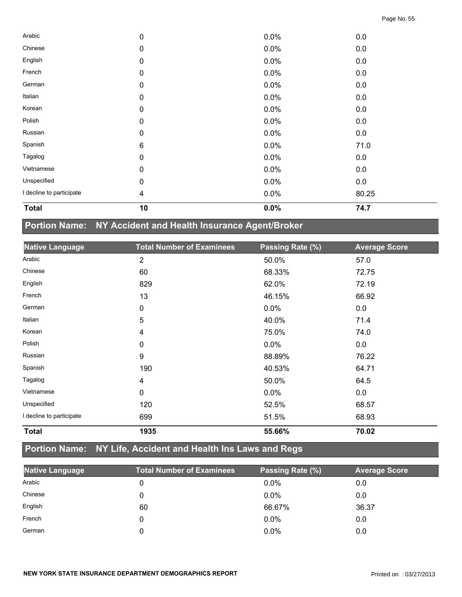| <b>Total</b>             | 10 | 0.0% | 74.7  |  |
|--------------------------|----|------|-------|--|
| I decline to participate | 4  | 0.0% | 80.25 |  |
| Unspecified              | 0  | 0.0% | 0.0   |  |
| Vietnamese               | 0  | 0.0% | 0.0   |  |
| Tagalog                  | 0  | 0.0% | 0.0   |  |
| Spanish                  | 6  | 0.0% | 71.0  |  |
| Russian                  | 0  | 0.0% | 0.0   |  |
| Polish                   | 0  | 0.0% | 0.0   |  |
| Korean                   | 0  | 0.0% | 0.0   |  |
| Italian                  | 0  | 0.0% | 0.0   |  |
| German                   | 0  | 0.0% | 0.0   |  |
| French                   | 0  | 0.0% | 0.0   |  |
| English                  | 0  | 0.0% | 0.0   |  |
| Chinese                  | 0  | 0.0% | 0.0   |  |
| Arabic                   | 0  | 0.0% | 0.0   |  |

# **Portion Name: NY Accident and Health Insurance Agent/Broker**

| <b>Native Language</b>   | <b>Total Number of Examinees</b> | Passing Rate (%) | <b>Average Score</b> |
|--------------------------|----------------------------------|------------------|----------------------|
| Arabic                   | $\overline{2}$                   | 50.0%            | 57.0                 |
| Chinese                  | 60                               | 68.33%           | 72.75                |
| English                  | 829                              | 62.0%            | 72.19                |
| French                   | 13                               | 46.15%           | 66.92                |
| German                   | 0                                | 0.0%             | 0.0                  |
| Italian                  | 5                                | 40.0%            | 71.4                 |
| Korean                   | 4                                | 75.0%            | 74.0                 |
| Polish                   | 0                                | 0.0%             | 0.0                  |
| Russian                  | 9                                | 88.89%           | 76.22                |
| Spanish                  | 190                              | 40.53%           | 64.71                |
| Tagalog                  | 4                                | 50.0%            | 64.5                 |
| Vietnamese               | 0                                | 0.0%             | 0.0                  |
| Unspecified              | 120                              | 52.5%            | 68.57                |
| I decline to participate | 699                              | 51.5%            | 68.93                |
| <b>Total</b>             | 1935                             | 55.66%           | 70.02                |

## **Portion Name: NY Life, Accident and Health Ins Laws and Regs**

| <b>Native Language</b> | <b>Total Number of Examinees</b> | Passing Rate (%) | <b>Average Score</b> |
|------------------------|----------------------------------|------------------|----------------------|
| Arabic                 |                                  | $0.0\%$          | 0.0                  |
| Chinese                |                                  | $0.0\%$          | 0.0                  |
| English                | 60                               | 66.67%           | 36.37                |
| French                 |                                  | $0.0\%$          | 0.0                  |
| German                 |                                  | 0.0%             | 0.0                  |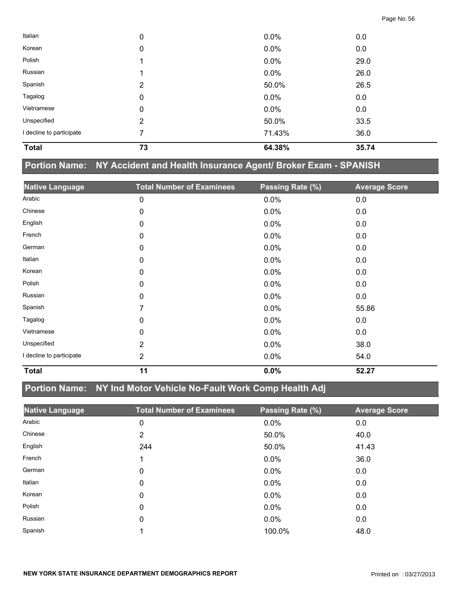| <b>Total</b>             | 73 | 64.38% | 35.74 |  |
|--------------------------|----|--------|-------|--|
| I decline to participate | 7  | 71.43% | 36.0  |  |
| Unspecified              | 2  | 50.0%  | 33.5  |  |
| Vietnamese               | 0  | 0.0%   | 0.0   |  |
| Tagalog                  | 0  | 0.0%   | 0.0   |  |
| Spanish                  | 2  | 50.0%  | 26.5  |  |
| Russian                  |    | 0.0%   | 26.0  |  |
| Polish                   |    | 0.0%   | 29.0  |  |
| Korean                   | 0  | 0.0%   | 0.0   |  |
| Italian                  | 0  | 0.0%   | 0.0   |  |

## **Portion Name: NY Accident and Health Insurance Agent/ Broker Exam - SPANISH**

| <b>Native Language</b>   | <b>Total Number of Examinees</b> | Passing Rate (%) | <b>Average Score</b> |
|--------------------------|----------------------------------|------------------|----------------------|
| Arabic                   | 0                                | 0.0%             | 0.0                  |
| Chinese                  | 0                                | 0.0%             | 0.0                  |
| English                  | 0                                | 0.0%             | 0.0                  |
| French                   | 0                                | 0.0%             | 0.0                  |
| German                   | 0                                | 0.0%             | 0.0                  |
| Italian                  | 0                                | $0.0\%$          | 0.0                  |
| Korean                   | 0                                | 0.0%             | 0.0                  |
| Polish                   | 0                                | 0.0%             | 0.0                  |
| Russian                  | 0                                | 0.0%             | 0.0                  |
| Spanish                  | 7                                | 0.0%             | 55.86                |
| Tagalog                  | 0                                | 0.0%             | 0.0                  |
| Vietnamese               | 0                                | 0.0%             | 0.0                  |
| Unspecified              | $\overline{2}$                   | 0.0%             | 38.0                 |
| I decline to participate | 2                                | 0.0%             | 54.0                 |
| <b>Total</b>             | 11                               | 0.0%             | 52.27                |

## **Portion Name: NY Ind Motor Vehicle No-Fault Work Comp Health Adj**

| <b>Native Language</b> | <b>Total Number of Examinees</b> | Passing Rate (%) | <b>Average Score</b> |
|------------------------|----------------------------------|------------------|----------------------|
| Arabic                 | 0                                | $0.0\%$          | 0.0                  |
| Chinese                | 2                                | 50.0%            | 40.0                 |
| English                | 244                              | 50.0%            | 41.43                |
| French                 | 1                                | $0.0\%$          | 36.0                 |
| German                 | 0                                | $0.0\%$          | 0.0                  |
| Italian                | 0                                | $0.0\%$          | 0.0                  |
| Korean                 | 0                                | $0.0\%$          | 0.0                  |
| Polish                 | 0                                | $0.0\%$          | 0.0                  |
| Russian                | 0                                | $0.0\%$          | 0.0                  |
| Spanish                | ◢                                | 100.0%           | 48.0                 |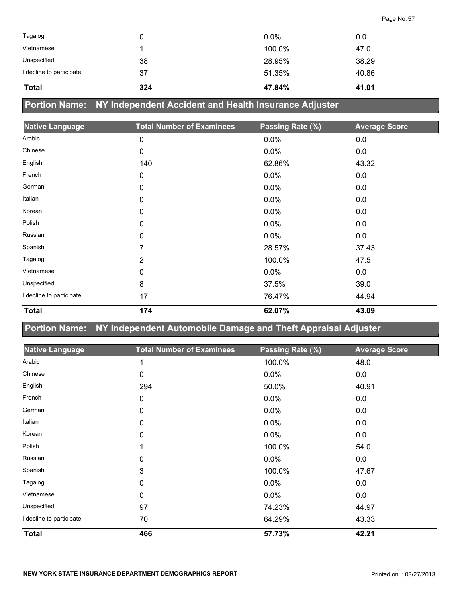| <b>Total</b>             | 324 | 47.84%  | 41.01 |
|--------------------------|-----|---------|-------|
| I decline to participate | 37  | 51.35%  | 40.86 |
| Unspecified              | 38  | 28.95%  | 38.29 |
| Vietnamese               |     | 100.0%  | 47.0  |
| Tagalog                  |     | $0.0\%$ | 0.0   |

**Portion Name: NY Independent Accident and Health Insurance Adjuster**

| <b>Native Language</b>   | <b>Total Number of Examinees</b> | Passing Rate (%) | <b>Average Score</b> |
|--------------------------|----------------------------------|------------------|----------------------|
| Arabic                   | 0                                | 0.0%             | 0.0                  |
| Chinese                  | 0                                | 0.0%             | 0.0                  |
| English                  | 140                              | 62.86%           | 43.32                |
| French                   | 0                                | 0.0%             | 0.0                  |
| German                   | 0                                | 0.0%             | 0.0                  |
| Italian                  | 0                                | 0.0%             | 0.0                  |
| Korean                   | 0                                | 0.0%             | 0.0                  |
| Polish                   | 0                                | 0.0%             | 0.0                  |
| Russian                  | 0                                | 0.0%             | 0.0                  |
| Spanish                  | 7                                | 28.57%           | 37.43                |
| Tagalog                  | 2                                | 100.0%           | 47.5                 |
| Vietnamese               | 0                                | 0.0%             | 0.0                  |
| Unspecified              | 8                                | 37.5%            | 39.0                 |
| I decline to participate | 17                               | 76.47%           | 44.94                |
| <b>Total</b>             | 174                              | 62.07%           | 43.09                |

**Portion Name: NY Independent Automobile Damage and Theft Appraisal Adjuster**

| <b>Native Language</b>   | <b>Total Number of Examinees</b> | Passing Rate (%) | <b>Average Score</b> |
|--------------------------|----------------------------------|------------------|----------------------|
| Arabic                   | 1                                | 100.0%           | 48.0                 |
| Chinese                  | 0                                | 0.0%             | 0.0                  |
| English                  | 294                              | 50.0%            | 40.91                |
| French                   | 0                                | 0.0%             | 0.0                  |
| German                   | 0                                | 0.0%             | 0.0                  |
| Italian                  | 0                                | 0.0%             | 0.0                  |
| Korean                   | 0                                | 0.0%             | 0.0                  |
| Polish                   |                                  | 100.0%           | 54.0                 |
| Russian                  | 0                                | 0.0%             | 0.0                  |
| Spanish                  | 3                                | 100.0%           | 47.67                |
| Tagalog                  | 0                                | 0.0%             | 0.0                  |
| Vietnamese               | 0                                | 0.0%             | 0.0                  |
| Unspecified              | 97                               | 74.23%           | 44.97                |
| I decline to participate | 70                               | 64.29%           | 43.33                |
| <b>Total</b>             | 466                              | 57.73%           | 42.21                |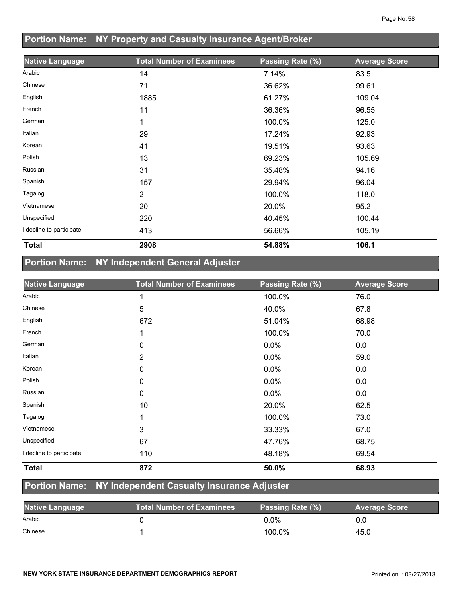## **Portion Name: NY Property and Casualty Insurance Agent/Broker**

| <b>Native Language</b>   | <b>Total Number of Examinees</b> | Passing Rate (%) | <b>Average Score</b> |
|--------------------------|----------------------------------|------------------|----------------------|
| Arabic                   | 14                               | 7.14%            | 83.5                 |
| Chinese                  | 71                               | 36.62%           | 99.61                |
| English                  | 1885                             | 61.27%           | 109.04               |
| French                   | 11                               | 36.36%           | 96.55                |
| German                   | 1                                | 100.0%           | 125.0                |
| Italian                  | 29                               | 17.24%           | 92.93                |
| Korean                   | 41                               | 19.51%           | 93.63                |
| Polish                   | 13                               | 69.23%           | 105.69               |
| Russian                  | 31                               | 35.48%           | 94.16                |
| Spanish                  | 157                              | 29.94%           | 96.04                |
| Tagalog                  | $\overline{2}$                   | 100.0%           | 118.0                |
| Vietnamese               | 20                               | 20.0%            | 95.2                 |
| Unspecified              | 220                              | 40.45%           | 100.44               |
| I decline to participate | 413                              | 56.66%           | 105.19               |
| <b>Total</b>             | 2908                             | 54.88%           | 106.1                |

## **Portion Name: NY Independent General Adjuster**

| <b>Native Language</b>   | <b>Total Number of Examinees</b> | Passing Rate (%) | <b>Average Score</b> |
|--------------------------|----------------------------------|------------------|----------------------|
| Arabic                   |                                  | 100.0%           | 76.0                 |
| Chinese                  | 5                                | 40.0%            | 67.8                 |
| English                  | 672                              | 51.04%           | 68.98                |
| French                   |                                  | 100.0%           | 70.0                 |
| German                   | 0                                | $0.0\%$          | 0.0                  |
| Italian                  | 2                                | $0.0\%$          | 59.0                 |
| Korean                   | 0                                | $0.0\%$          | 0.0                  |
| Polish                   | 0                                | 0.0%             | 0.0                  |
| Russian                  | 0                                | 0.0%             | 0.0                  |
| Spanish                  | 10                               | 20.0%            | 62.5                 |
| Tagalog                  |                                  | 100.0%           | 73.0                 |
| Vietnamese               | 3                                | 33.33%           | 67.0                 |
| Unspecified              | 67                               | 47.76%           | 68.75                |
| I decline to participate | 110                              | 48.18%           | 69.54                |
| <b>Total</b>             | 872                              | 50.0%            | 68.93                |

## **Portion Name: NY Independent Casualty Insurance Adjuster**

| <b>Native Language</b> | <b>Total Number of Examinees</b> | Passing Rate (%) | <b>Average Score</b> |
|------------------------|----------------------------------|------------------|----------------------|
| Arabic                 |                                  | 0.0%             | 0.0                  |
| Chinese                |                                  | 100.0%           | 45.0                 |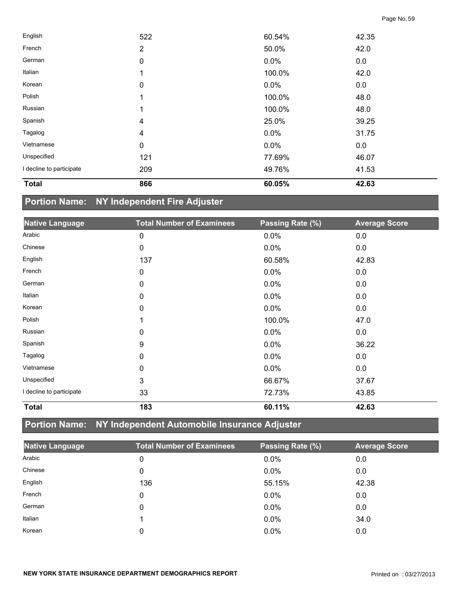| <b>Total</b>             | 866              | 60.05%  | 42.63 |  |
|--------------------------|------------------|---------|-------|--|
| I decline to participate | 209              | 49.76%  | 41.53 |  |
| Unspecified              | 121              | 77.69%  | 46.07 |  |
| Vietnamese               | $\mathbf 0$      | $0.0\%$ | 0.0   |  |
| Tagalog                  | 4                | 0.0%    | 31.75 |  |
| Spanish                  | 4                | 25.0%   | 39.25 |  |
| Russian                  |                  | 100.0%  | 48.0  |  |
| Polish                   | 1                | 100.0%  | 48.0  |  |
| Korean                   | 0                | $0.0\%$ | 0.0   |  |
| Italian                  | 1                | 100.0%  | 42.0  |  |
| German                   | $\boldsymbol{0}$ | $0.0\%$ | 0.0   |  |
| French                   | $\overline{2}$   | 50.0%   | 42.0  |  |
| English                  | 522              | 60.54%  | 42.35 |  |

# **Portion Name: NY Independent Fire Adjuster**

| <b>Native Language</b>   | <b>Total Number of Examinees</b> | Passing Rate (%) | <b>Average Score</b> |
|--------------------------|----------------------------------|------------------|----------------------|
| Arabic                   | 0                                | 0.0%             | 0.0                  |
| Chinese                  | 0                                | 0.0%             | 0.0                  |
| English                  | 137                              | 60.58%           | 42.83                |
| French                   | 0                                | 0.0%             | 0.0                  |
| German                   | 0                                | 0.0%             | 0.0                  |
| Italian                  | $\mathbf 0$                      | 0.0%             | 0.0                  |
| Korean                   | 0                                | 0.0%             | 0.0                  |
| Polish                   | 1                                | 100.0%           | 47.0                 |
| Russian                  | 0                                | 0.0%             | 0.0                  |
| Spanish                  | 9                                | 0.0%             | 36.22                |
| Tagalog                  | 0                                | 0.0%             | 0.0                  |
| Vietnamese               | 0                                | 0.0%             | 0.0                  |
| Unspecified              | 3                                | 66.67%           | 37.67                |
| I decline to participate | 33                               | 72.73%           | 43.85                |
| <b>Total</b>             | 183                              | 60.11%           | 42.63                |

# **Portion Name: NY Independent Automobile Insurance Adjuster**

| <b>Native Language</b> | <b>Total Number of Examinees</b> | Passing Rate (%) | <b>Average Score</b> |
|------------------------|----------------------------------|------------------|----------------------|
| Arabic                 | 0                                | 0.0%             | 0.0                  |
| Chinese                | 0                                | 0.0%             | 0.0                  |
| English                | 136                              | 55.15%           | 42.38                |
| French                 | 0                                | 0.0%             | 0.0                  |
| German                 | 0                                | 0.0%             | 0.0                  |
| Italian                |                                  | 0.0%             | 34.0                 |
| Korean                 | 0                                | $0.0\%$          | 0.0                  |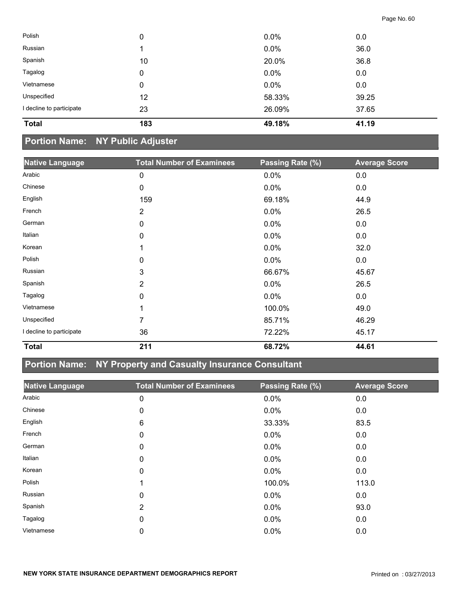| <b>Total</b>             |    |         |       |  |
|--------------------------|----|---------|-------|--|
| I decline to participate | 23 | 26.09%  | 37.65 |  |
| Unspecified              | 12 | 58.33%  | 39.25 |  |
| Vietnamese               | 0  | $0.0\%$ | 0.0   |  |
| Tagalog                  | 0  | 0.0%    | 0.0   |  |
| Spanish                  | 10 | 20.0%   | 36.8  |  |
| Russian                  |    | 0.0%    | 36.0  |  |
| Polish                   | 0  | $0.0\%$ | 0.0   |  |

## **Portion Name: NY Public Adjuster**

| <b>Native Language</b>   | <b>Total Number of Examinees</b> | Passing Rate (%) | <b>Average Score</b> |
|--------------------------|----------------------------------|------------------|----------------------|
| Arabic                   | 0                                | 0.0%             | 0.0                  |
| Chinese                  | 0                                | 0.0%             | 0.0                  |
| English                  | 159                              | 69.18%           | 44.9                 |
| French                   | $\overline{2}$                   | 0.0%             | 26.5                 |
| German                   | 0                                | 0.0%             | 0.0                  |
| Italian                  | 0                                | 0.0%             | 0.0                  |
| Korean                   | 1                                | 0.0%             | 32.0                 |
| Polish                   | 0                                | 0.0%             | 0.0                  |
| Russian                  | 3                                | 66.67%           | 45.67                |
| Spanish                  | 2                                | 0.0%             | 26.5                 |
| Tagalog                  | 0                                | 0.0%             | 0.0                  |
| Vietnamese               | 1                                | 100.0%           | 49.0                 |
| Unspecified              | 7                                | 85.71%           | 46.29                |
| I decline to participate | 36                               | 72.22%           | 45.17                |
| <b>Total</b>             | 211                              | 68.72%           | 44.61                |

## **Portion Name: NY Property and Casualty Insurance Consultant**

| <b>Native Language</b> | <b>Total Number of Examinees</b> | Passing Rate (%) | <b>Average Score</b> |
|------------------------|----------------------------------|------------------|----------------------|
| Arabic                 | 0                                | $0.0\%$          | 0.0                  |
| Chinese                | 0                                | $0.0\%$          | 0.0                  |
| English                | 6                                | 33.33%           | 83.5                 |
| French                 | 0                                | $0.0\%$          | 0.0                  |
| German                 | 0                                | $0.0\%$          | 0.0                  |
| Italian                | 0                                | $0.0\%$          | 0.0                  |
| Korean                 | 0                                | $0.0\%$          | 0.0                  |
| Polish                 | 1                                | 100.0%           | 113.0                |
| Russian                | 0                                | $0.0\%$          | 0.0                  |
| Spanish                | 2                                | $0.0\%$          | 93.0                 |
| Tagalog                | 0                                | $0.0\%$          | 0.0                  |
| Vietnamese             | 0                                | 0.0%             | 0.0                  |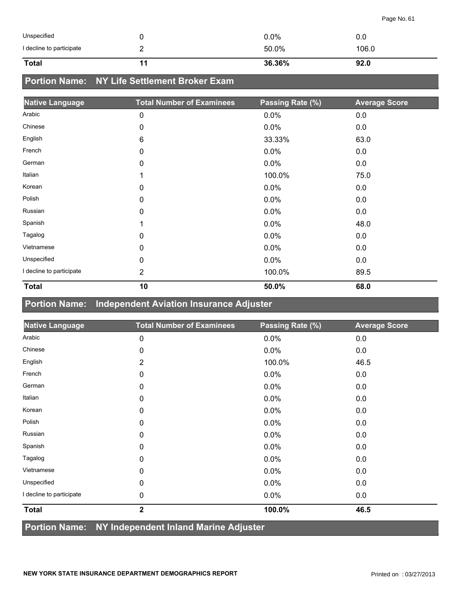| Unspecified              |   | $0.0\%$ | 0.0   |
|--------------------------|---|---------|-------|
| I decline to participate | - | 50.0%   | 106.0 |
| <b>Total</b>             |   | 36.36%  | 92.0  |

## **Portion Name: NY Life Settlement Broker Exam**

| <b>Native Language</b>   | <b>Total Number of Examinees</b> | Passing Rate (%) | <b>Average Score</b> |
|--------------------------|----------------------------------|------------------|----------------------|
| Arabic                   | 0                                | 0.0%             | 0.0                  |
| Chinese                  | 0                                | 0.0%             | 0.0                  |
| English                  | 6                                | 33.33%           | 63.0                 |
| French                   | 0                                | 0.0%             | 0.0                  |
| German                   | 0                                | 0.0%             | 0.0                  |
| Italian                  | 1                                | 100.0%           | 75.0                 |
| Korean                   | 0                                | 0.0%             | 0.0                  |
| Polish                   | 0                                | 0.0%             | 0.0                  |
| Russian                  | 0                                | 0.0%             | 0.0                  |
| Spanish                  | 1                                | 0.0%             | 48.0                 |
| Tagalog                  | 0                                | 0.0%             | 0.0                  |
| Vietnamese               | 0                                | 0.0%             | 0.0                  |
| Unspecified              | 0                                | 0.0%             | 0.0                  |
| I decline to participate | $\overline{2}$                   | 100.0%           | 89.5                 |
| <b>Total</b>             | 10                               | 50.0%            | 68.0                 |

#### **Portion Name: Independent Aviation Insurance Adjuster**

| <b>Native Language</b>   | <b>Total Number of Examinees</b> | Passing Rate (%) | <b>Average Score</b> |
|--------------------------|----------------------------------|------------------|----------------------|
| Arabic                   | 0                                | 0.0%             | 0.0                  |
| Chinese                  | 0                                | 0.0%             | 0.0                  |
| English                  | $\overline{2}$                   | 100.0%           | 46.5                 |
| French                   | 0                                | 0.0%             | 0.0                  |
| German                   | 0                                | 0.0%             | 0.0                  |
| Italian                  | 0                                | 0.0%             | 0.0                  |
| Korean                   | 0                                | 0.0%             | 0.0                  |
| Polish                   | 0                                | 0.0%             | 0.0                  |
| Russian                  | $\mathbf 0$                      | 0.0%             | 0.0                  |
| Spanish                  | 0                                | 0.0%             | 0.0                  |
| Tagalog                  | 0                                | 0.0%             | 0.0                  |
| Vietnamese               | 0                                | 0.0%             | 0.0                  |
| Unspecified              | 0                                | 0.0%             | 0.0                  |
| I decline to participate | 0                                | 0.0%             | $0.0\,$              |
| <b>Total</b>             | $\mathbf 2$                      | 100.0%           | 46.5                 |
| .                        | <b>AINER RESIDENT</b><br>.       |                  |                      |

**Portion Name: NY Independent Inland Marine Adjuster**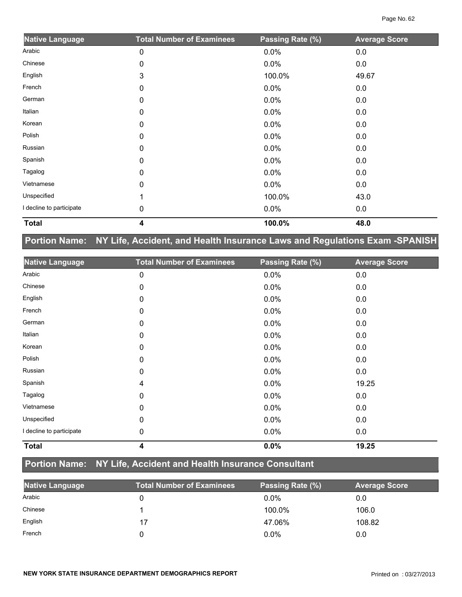| <b>Native Language</b>   | <b>Total Number of Examinees</b> | Passing Rate (%) | <b>Average Score</b> |
|--------------------------|----------------------------------|------------------|----------------------|
| Arabic                   | 0                                | 0.0%             | 0.0                  |
| Chinese                  | 0                                | 0.0%             | 0.0                  |
| English                  | 3                                | 100.0%           | 49.67                |
| French                   | 0                                | 0.0%             | 0.0                  |
| German                   | 0                                | 0.0%             | 0.0                  |
| Italian                  | 0                                | 0.0%             | 0.0                  |
| Korean                   | 0                                | 0.0%             | 0.0                  |
| Polish                   | 0                                | 0.0%             | 0.0                  |
| Russian                  | $\Omega$                         | 0.0%             | 0.0                  |
| Spanish                  | 0                                | 0.0%             | 0.0                  |
| Tagalog                  | 0                                | 0.0%             | 0.0                  |
| Vietnamese               | 0                                | 0.0%             | 0.0                  |
| Unspecified              |                                  | 100.0%           | 43.0                 |
| I decline to participate | 0                                | 0.0%             | 0.0                  |
| <b>Total</b>             | 4                                | 100.0%           | 48.0                 |

## **Portion Name: NY Life, Accident, and Health Insurance Laws and Regulations Exam -SPANISH**

| <b>Native Language</b>   | <b>Total Number of Examinees</b> | Passing Rate (%) | <b>Average Score</b> |
|--------------------------|----------------------------------|------------------|----------------------|
| Arabic                   | 0                                | 0.0%             | 0.0                  |
| Chinese                  | 0                                | 0.0%             | 0.0                  |
| English                  | 0                                | 0.0%             | 0.0                  |
| French                   | 0                                | 0.0%             | 0.0                  |
| German                   | 0                                | 0.0%             | 0.0                  |
| Italian                  | 0                                | 0.0%             | 0.0                  |
| Korean                   | 0                                | 0.0%             | 0.0                  |
| Polish                   | 0                                | 0.0%             | 0.0                  |
| Russian                  | 0                                | 0.0%             | 0.0                  |
| Spanish                  | 4                                | 0.0%             | 19.25                |
| Tagalog                  | 0                                | 0.0%             | 0.0                  |
| Vietnamese               | 0                                | 0.0%             | 0.0                  |
| Unspecified              | 0                                | 0.0%             | 0.0                  |
| I decline to participate | 0                                | 0.0%             | 0.0                  |
| <b>Total</b>             | 4                                | 0.0%             | 19.25                |

## **Portion Name: NY Life, Accident and Health Insurance Consultant**

| Native Language | <b>Total Number of Examinees</b> | Passing Rate (%) | <b>Average Score</b> |
|-----------------|----------------------------------|------------------|----------------------|
| Arabic          |                                  | $0.0\%$          | 0.0                  |
| Chinese         |                                  | 100.0%           | 106.0                |
| English         | 17                               | 47.06%           | 108.82               |
| French          |                                  | $0.0\%$          | 0.0                  |